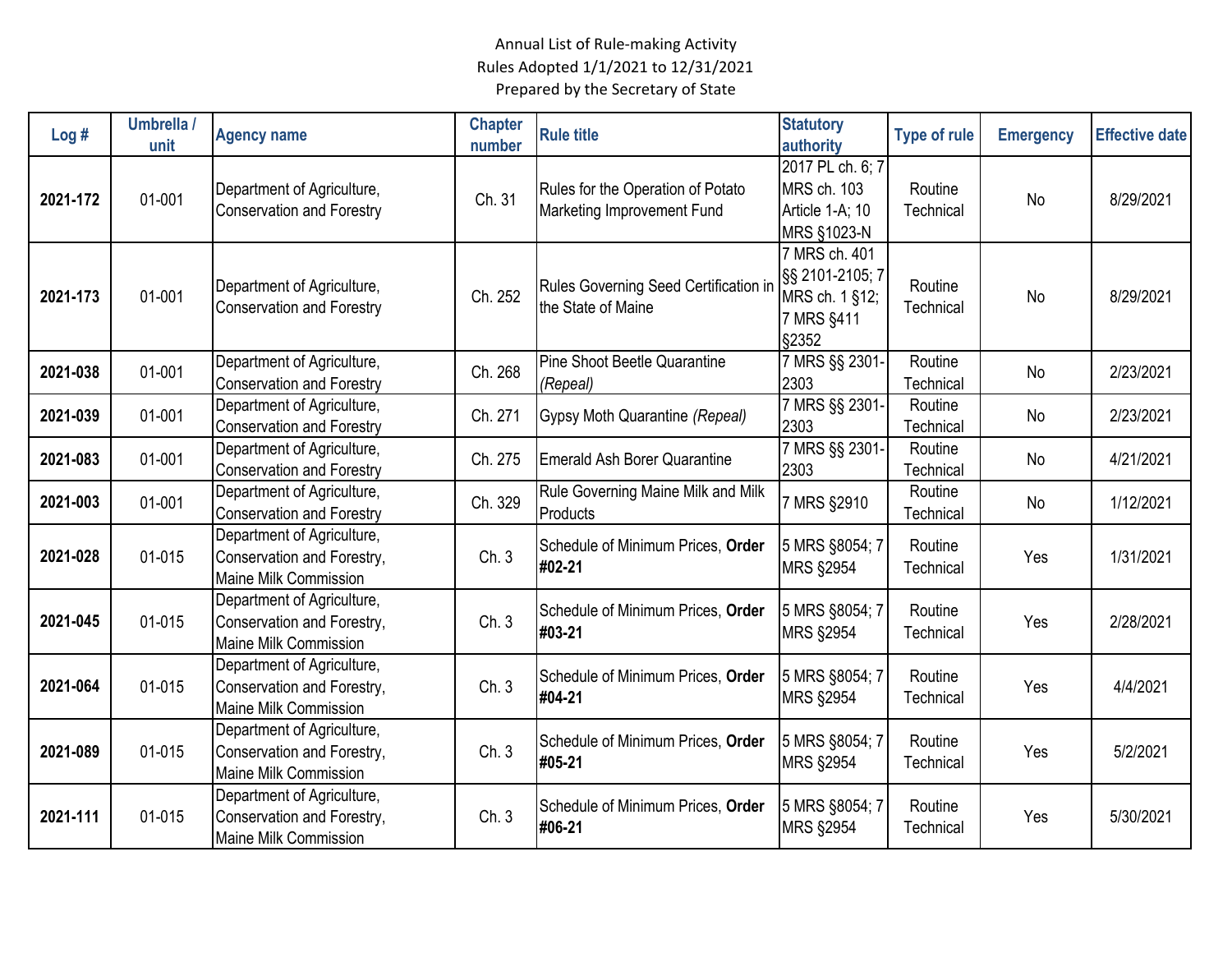| Log#     | Umbrella /<br>unit | <b>Agency name</b>                                                                       | <b>Chapter</b><br>number | <b>Rule title</b>                                               | <b>Statutory</b><br>authority                                             | <b>Type of rule</b>  | <b>Emergency</b> | <b>Effective date</b> |
|----------|--------------------|------------------------------------------------------------------------------------------|--------------------------|-----------------------------------------------------------------|---------------------------------------------------------------------------|----------------------|------------------|-----------------------|
| 2021-172 | 01-001             | Department of Agriculture,<br><b>Conservation and Forestry</b>                           | Ch. 31                   | Rules for the Operation of Potato<br>Marketing Improvement Fund | 2017 PL ch. 6; 7<br>MRS ch. 103<br>Article 1-A; 10<br>MRS §1023-N         | Routine<br>Technical | <b>No</b>        | 8/29/2021             |
| 2021-173 | 01-001             | Department of Agriculture,<br><b>Conservation and Forestry</b>                           | Ch. 252                  | Rules Governing Seed Certification in<br>the State of Maine     | 7 MRS ch. 401<br>§§ 2101-2105; 7<br>MRS ch. 1 §12;<br>7 MRS §411<br>§2352 | Routine<br>Technical | No               | 8/29/2021             |
| 2021-038 | 01-001             | Department of Agriculture,<br><b>Conservation and Forestry</b>                           | Ch. 268                  | <b>Pine Shoot Beetle Quarantine</b><br>(Repeal)                 | 7 MRS §§ 2301-<br>2303                                                    | Routine<br>Technical | No               | 2/23/2021             |
| 2021-039 | 01-001             | Department of Agriculture,<br><b>Conservation and Forestry</b>                           | Ch. 271                  | Gypsy Moth Quarantine (Repeal)                                  | 7 MRS §§ 2301-<br>2303                                                    | Routine<br>Technical | No               | 2/23/2021             |
| 2021-083 | 01-001             | Department of Agriculture,<br><b>Conservation and Forestry</b>                           | Ch. 275                  | <b>Emerald Ash Borer Quarantine</b>                             | 7 MRS §§ 2301-<br>2303                                                    | Routine<br>Technical | No               | 4/21/2021             |
| 2021-003 | 01-001             | Department of Agriculture,<br><b>Conservation and Forestry</b>                           | Ch. 329                  | Rule Governing Maine Milk and Milk<br>Products                  | 7 MRS §2910                                                               | Routine<br>Technical | No               | 1/12/2021             |
| 2021-028 | 01-015             | Department of Agriculture,<br>Conservation and Forestry,<br><b>Maine Milk Commission</b> | Ch. 3                    | Schedule of Minimum Prices, Order<br>#02-21                     | 5 MRS §8054; 7<br><b>MRS §2954</b>                                        | Routine<br>Technical | Yes              | 1/31/2021             |
| 2021-045 | 01-015             | Department of Agriculture,<br>Conservation and Forestry,<br><b>Maine Milk Commission</b> | Ch. 3                    | Schedule of Minimum Prices, Order<br>#03-21                     | 5 MRS §8054; 7<br><b>MRS §2954</b>                                        | Routine<br>Technical | Yes              | 2/28/2021             |
| 2021-064 | 01-015             | Department of Agriculture,<br>Conservation and Forestry,<br><b>Maine Milk Commission</b> | Ch.3                     | Schedule of Minimum Prices, Order<br>#04-21                     | 5 MRS §8054; 7<br><b>MRS §2954</b>                                        | Routine<br>Technical | Yes              | 4/4/2021              |
| 2021-089 | 01-015             | Department of Agriculture,<br>Conservation and Forestry,<br>Maine Milk Commission        | Ch.3                     | Schedule of Minimum Prices, Order<br>#05-21                     | 5 MRS §8054; 7<br><b>MRS §2954</b>                                        | Routine<br>Technical | Yes              | 5/2/2021              |
| 2021-111 | 01-015             | Department of Agriculture,<br>Conservation and Forestry,<br><b>Maine Milk Commission</b> | Ch. 3                    | Schedule of Minimum Prices, Order<br>#06-21                     | 5 MRS §8054; 7<br><b>MRS §2954</b>                                        | Routine<br>Technical | Yes              | 5/30/2021             |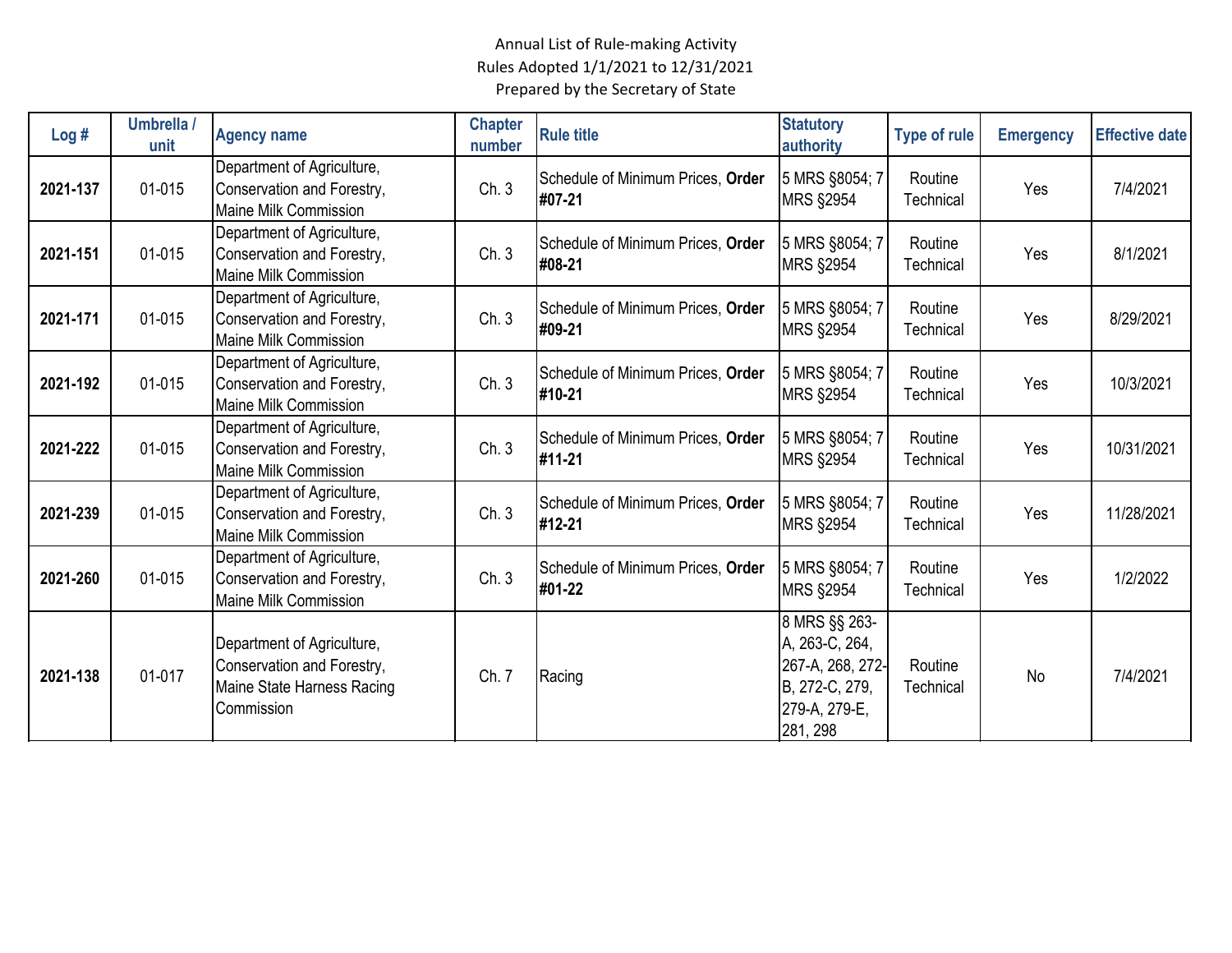| Log#     | Umbrella /<br>unit | <b>Agency name</b>                                                                                   | <b>Chapter</b><br>number | <b>Rule title</b>                           | <b>Statutory</b><br>authority                                                                      | <b>Type of rule</b>  | <b>Emergency</b> | <b>Effective date</b> |
|----------|--------------------|------------------------------------------------------------------------------------------------------|--------------------------|---------------------------------------------|----------------------------------------------------------------------------------------------------|----------------------|------------------|-----------------------|
| 2021-137 | 01-015             | Department of Agriculture,<br>Conservation and Forestry,<br><b>Maine Milk Commission</b>             | Ch.3                     | Schedule of Minimum Prices, Order<br>#07-21 | 5 MRS §8054; 7<br><b>MRS §2954</b>                                                                 | Routine<br>Technical | Yes              | 7/4/2021              |
| 2021-151 | 01-015             | Department of Agriculture,<br>Conservation and Forestry,<br><b>Maine Milk Commission</b>             | Ch.3                     | Schedule of Minimum Prices, Order<br>#08-21 | 5 MRS §8054; 7<br><b>MRS §2954</b>                                                                 | Routine<br>Technical | Yes              | 8/1/2021              |
| 2021-171 | 01-015             | Department of Agriculture,<br>Conservation and Forestry,<br><b>Maine Milk Commission</b>             | Ch. 3                    | Schedule of Minimum Prices, Order<br>#09-21 | 5 MRS §8054; 7<br><b>MRS §2954</b>                                                                 | Routine<br>Technical | Yes              | 8/29/2021             |
| 2021-192 | 01-015             | Department of Agriculture,<br>Conservation and Forestry,<br><b>Maine Milk Commission</b>             | Ch.3                     | Schedule of Minimum Prices, Order<br>#10-21 | 5 MRS §8054; 7<br><b>MRS §2954</b>                                                                 | Routine<br>Technical | Yes              | 10/3/2021             |
| 2021-222 | 01-015             | Department of Agriculture,<br>Conservation and Forestry,<br><b>Maine Milk Commission</b>             | Ch. 3                    | Schedule of Minimum Prices, Order<br>#11-21 | 5 MRS §8054; 7<br><b>MRS §2954</b>                                                                 | Routine<br>Technical | Yes              | 10/31/2021            |
| 2021-239 | 01-015             | Department of Agriculture,<br>Conservation and Forestry,<br><b>Maine Milk Commission</b>             | Ch. 3                    | Schedule of Minimum Prices, Order<br>#12-21 | 5 MRS §8054; 7<br><b>MRS §2954</b>                                                                 | Routine<br>Technical | Yes              | 11/28/2021            |
| 2021-260 | 01-015             | Department of Agriculture,<br>Conservation and Forestry,<br><b>Maine Milk Commission</b>             | Ch. 3                    | Schedule of Minimum Prices, Order<br>#01-22 | 5 MRS §8054; 7<br><b>MRS §2954</b>                                                                 | Routine<br>Technical | Yes              | 1/2/2022              |
| 2021-138 | 01-017             | Department of Agriculture,<br>Conservation and Forestry,<br>Maine State Harness Racing<br>Commission | Ch. 7                    | Racing                                      | 8 MRS §§ 263-<br>A, 263-C, 264,<br>267-A, 268, 272-<br>B, 272-C, 279,<br>279-A, 279-E,<br>281, 298 | Routine<br>Technical | No               | 7/4/2021              |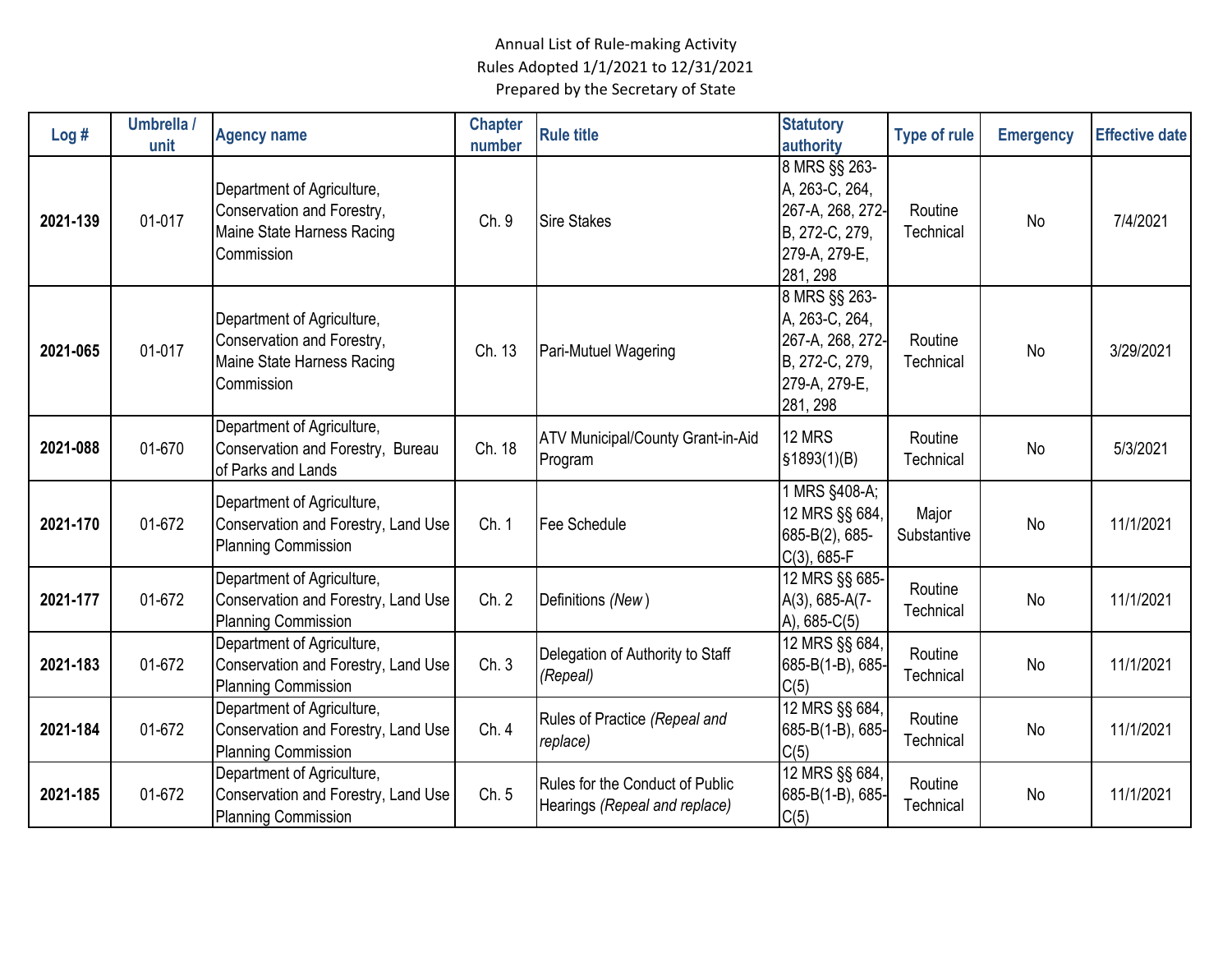| Log#     | Umbrella /<br>unit | <b>Agency name</b>                                                                                   | <b>Chapter</b><br>number | <b>Rule title</b>                                                | <b>Statutory</b><br>authority                                                                      | <b>Type of rule</b>  | <b>Emergency</b> | <b>Effective date</b> |
|----------|--------------------|------------------------------------------------------------------------------------------------------|--------------------------|------------------------------------------------------------------|----------------------------------------------------------------------------------------------------|----------------------|------------------|-----------------------|
| 2021-139 | 01-017             | Department of Agriculture,<br>Conservation and Forestry,<br>Maine State Harness Racing<br>Commission | Ch. 9                    | <b>Sire Stakes</b>                                               | 8 MRS §§ 263-<br>A, 263-C, 264,<br>267-A, 268, 272-<br>B, 272-C, 279,<br>279-A, 279-E,<br>281, 298 | Routine<br>Technical | No               | 7/4/2021              |
| 2021-065 | 01-017             | Department of Agriculture,<br>Conservation and Forestry,<br>Maine State Harness Racing<br>Commission | Ch. 13                   | Pari-Mutuel Wagering                                             | 8 MRS §§ 263-<br>A, 263-C, 264,<br>267-A, 268, 272-<br>B, 272-C, 279,<br>279-A, 279-E,<br>281, 298 | Routine<br>Technical | No               | 3/29/2021             |
| 2021-088 | 01-670             | Department of Agriculture,<br>Conservation and Forestry, Bureau<br>of Parks and Lands                | Ch. 18                   | <b>ATV Municipal/County Grant-in-Aid</b><br>Program              | 12 MRS<br>\$1893(1)(B)                                                                             | Routine<br>Technical | No               | 5/3/2021              |
| 2021-170 | 01-672             | Department of Agriculture,<br>Conservation and Forestry, Land Use<br><b>Planning Commission</b>      | Ch. 1                    | Fee Schedule                                                     | 1 MRS §408-A;<br>12 MRS §§ 684,<br>685-B(2), 685-<br>$C(3)$ , 685-F                                | Major<br>Substantive | <b>No</b>        | 11/1/2021             |
| 2021-177 | 01-672             | Department of Agriculture,<br>Conservation and Forestry, Land Use<br><b>Planning Commission</b>      | Ch. 2                    | Definitions (New)                                                | 12 MRS §§ 685-<br>A(3), 685-A(7-<br>A), 685-C(5)                                                   | Routine<br>Technical | <b>No</b>        | 11/1/2021             |
| 2021-183 | 01-672             | Department of Agriculture,<br>Conservation and Forestry, Land Use<br><b>Planning Commission</b>      | Ch.3                     | Delegation of Authority to Staff<br>(Repeal)                     | 12 MRS §§ 684,<br>685-B(1-B), 685-<br>C(5)                                                         | Routine<br>Technical | No               | 11/1/2021             |
| 2021-184 | 01-672             | Department of Agriculture,<br>Conservation and Forestry, Land Use<br><b>Planning Commission</b>      | Ch. 4                    | Rules of Practice (Repeal and<br>replace)                        | 12 MRS §§ 684,<br>685-B(1-B), 685-<br>C(5)                                                         | Routine<br>Technical | No               | 11/1/2021             |
| 2021-185 | 01-672             | Department of Agriculture,<br>Conservation and Forestry, Land Use<br><b>Planning Commission</b>      | Ch. 5                    | Rules for the Conduct of Public<br>Hearings (Repeal and replace) | 12 MRS §§ 684,<br>685-B(1-B), 685-<br>C(5)                                                         | Routine<br>Technical | <b>No</b>        | 11/1/2021             |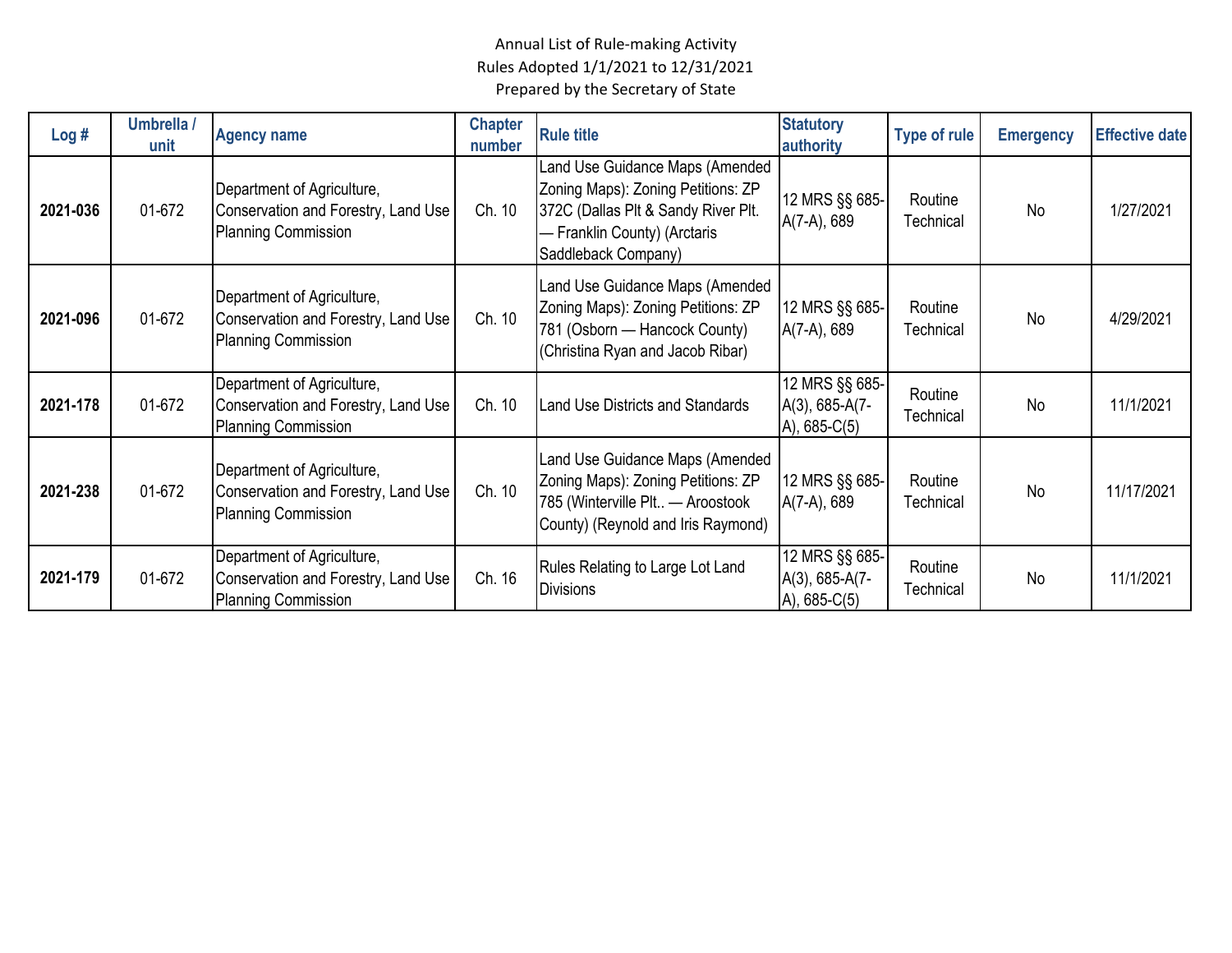| Log#     | Umbrella /<br>unit | <b>Agency name</b>                                                                              | <b>Chapter</b><br>number | <b>Rule title</b>                                                                                                                                                   | <b>Statutory</b><br>authority                          | Type of rule                | <b>Emergency</b> | <b>Effective date</b> |
|----------|--------------------|-------------------------------------------------------------------------------------------------|--------------------------|---------------------------------------------------------------------------------------------------------------------------------------------------------------------|--------------------------------------------------------|-----------------------------|------------------|-----------------------|
| 2021-036 | 01-672             | Department of Agriculture,<br>Conservation and Forestry, Land Use<br><b>Planning Commission</b> | Ch. 10                   | Land Use Guidance Maps (Amended<br>Zoning Maps): Zoning Petitions: ZP<br>372C (Dallas Plt & Sandy River Plt.<br>- Franklin County) (Arctaris<br>Saddleback Company) | 12 MRS §§ 685-<br>A(7-A), 689                          | Routine<br>Technical        | No               | 1/27/2021             |
| 2021-096 | 01-672             | Department of Agriculture,<br>Conservation and Forestry, Land Use<br><b>Planning Commission</b> | Ch. 10                   | Land Use Guidance Maps (Amended<br>Zoning Maps): Zoning Petitions: ZP<br>781 (Osborn - Hancock County)<br>(Christina Ryan and Jacob Ribar)                          | 12 MRS §§ 685-<br>A(7-A), 689                          | Routine<br><b>Technical</b> | <b>No</b>        | 4/29/2021             |
| 2021-178 | 01-672             | Department of Agriculture,<br>Conservation and Forestry, Land Use<br><b>Planning Commission</b> | Ch. 10                   | <b>Land Use Districts and Standards</b>                                                                                                                             | 12 MRS §§ 685-<br>$A(3)$ , 685-A(7-<br>$A)$ , 685-C(5) | Routine<br>Technical        | No               | 11/1/2021             |
| 2021-238 | 01-672             | Department of Agriculture,<br>Conservation and Forestry, Land Use<br><b>Planning Commission</b> | Ch. 10                   | Land Use Guidance Maps (Amended<br>Zoning Maps): Zoning Petitions: ZP<br>785 (Winterville Plt - Aroostook<br>County) (Reynold and Iris Raymond)                     | 12 MRS §§ 685-<br>A(7-A), 689                          | Routine<br>Technical        | No               | 11/17/2021            |
| 2021-179 | 01-672             | Department of Agriculture,<br>Conservation and Forestry, Land Use<br><b>Planning Commission</b> | Ch. 16                   | Rules Relating to Large Lot Land<br><b>Divisions</b>                                                                                                                | 12 MRS §§ 685-<br>A(3), 685-A(7-<br>$A)$ , 685-C(5)    | Routine<br>Technical        | No               | 11/1/2021             |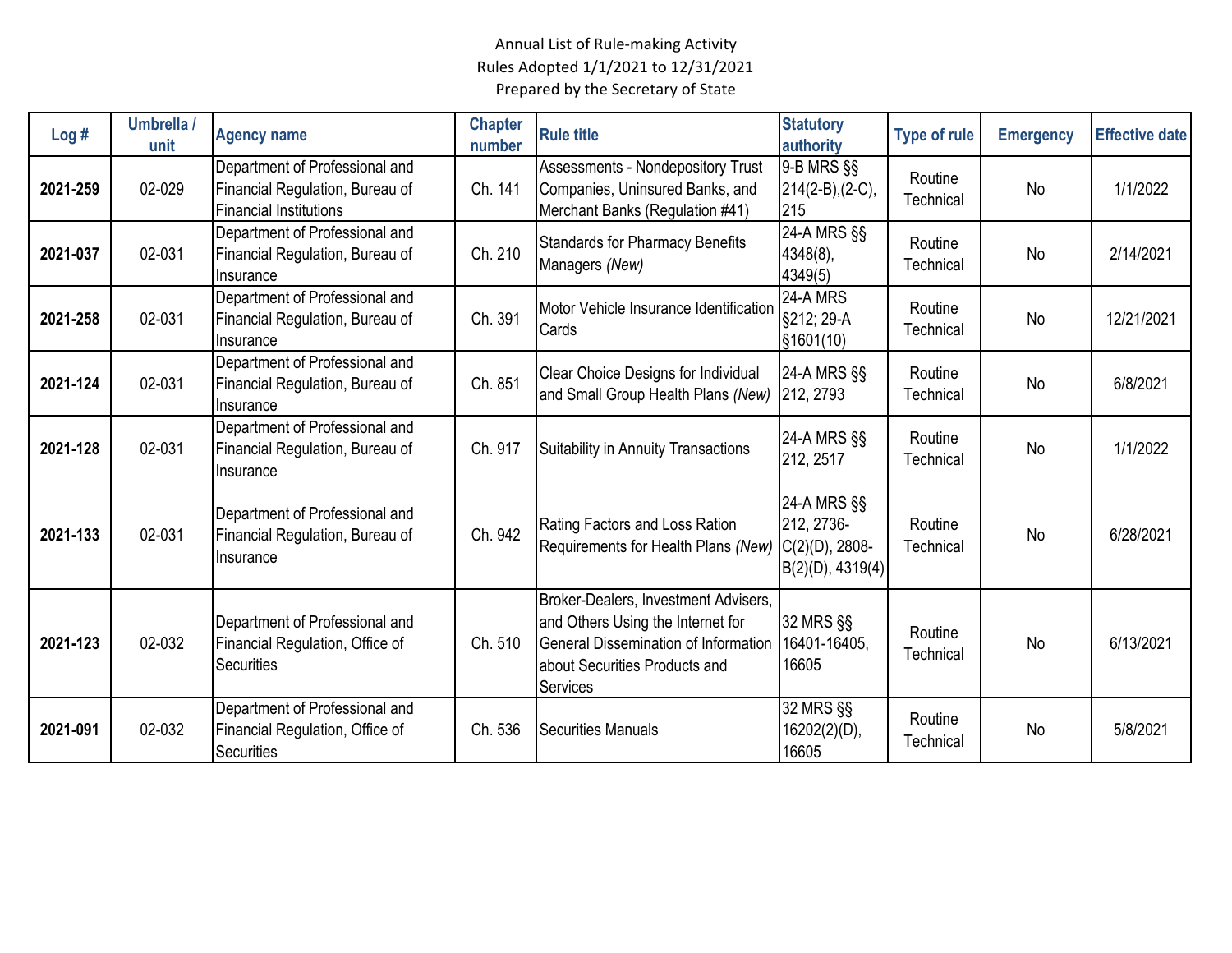| Log#     | Umbrella /<br>unit | <b>Agency name</b>                                                                                 | <b>Chapter</b><br>number | <b>Rule title</b>                                                                                                                                                     | <b>Statutory</b><br>authority                 | <b>Type of rule</b>  | <b>Emergency</b> | <b>Effective date</b> |
|----------|--------------------|----------------------------------------------------------------------------------------------------|--------------------------|-----------------------------------------------------------------------------------------------------------------------------------------------------------------------|-----------------------------------------------|----------------------|------------------|-----------------------|
| 2021-259 | 02-029             | Department of Professional and<br>Financial Regulation, Bureau of<br><b>Financial Institutions</b> | Ch. 141                  | <b>Assessments - Nondepository Trust</b><br>Companies, Uninsured Banks, and<br>Merchant Banks (Regulation #41)                                                        | 9-B MRS §§<br>$214(2-B),(2-C),$<br>215        | Routine<br>Technical | <b>No</b>        | 1/1/2022              |
| 2021-037 | 02-031             | Department of Professional and<br>Financial Regulation, Bureau of<br>Insurance                     | Ch. 210                  | <b>Standards for Pharmacy Benefits</b><br>Managers (New)                                                                                                              | 24-A MRS §§<br>4348(8),<br>4349(5)            | Routine<br>Technical | <b>No</b>        | 2/14/2021             |
| 2021-258 | 02-031             | Department of Professional and<br>Financial Regulation, Bureau of<br>Insurance                     | Ch. 391                  | Motor Vehicle Insurance Identification<br>Cards                                                                                                                       | 24-A MRS<br>§212; 29-A<br>\$1601(10)          | Routine<br>Technical | <b>No</b>        | 12/21/2021            |
| 2021-124 | 02-031             | Department of Professional and<br>Financial Regulation, Bureau of<br>Insurance                     | Ch. 851                  | Clear Choice Designs for Individual<br>and Small Group Health Plans (New)                                                                                             | 24-A MRS §§<br>212, 2793                      | Routine<br>Technical | <b>No</b>        | 6/8/2021              |
| 2021-128 | 02-031             | Department of Professional and<br>Financial Regulation, Bureau of<br>Insurance                     | Ch. 917                  | Suitability in Annuity Transactions                                                                                                                                   | 24-A MRS §§<br>212, 2517                      | Routine<br>Technical | No               | 1/1/2022              |
| 2021-133 | 02-031             | Department of Professional and<br>Financial Regulation, Bureau of<br>Insurance                     | Ch. 942                  | Rating Factors and Loss Ration<br>Requirements for Health Plans (New) C(2)(D), 2808-                                                                                  | 24-A MRS §§<br>212, 2736-<br>B(2)(D), 4319(4) | Routine<br>Technical | <b>No</b>        | 6/28/2021             |
| 2021-123 | 02-032             | Department of Professional and<br>Financial Regulation, Office of<br><b>Securities</b>             | Ch. 510                  | Broker-Dealers, Investment Advisers,<br>and Others Using the Internet for<br>General Dissemination of Information<br>about Securities Products and<br><b>Services</b> | 32 MRS §§<br>16401-16405,<br>16605            | Routine<br>Technical | No               | 6/13/2021             |
| 2021-091 | 02-032             | Department of Professional and<br>Financial Regulation, Office of<br><b>Securities</b>             | Ch. 536                  | <b>Securities Manuals</b>                                                                                                                                             | 32 MRS §§<br>16202(2)(D),<br>16605            | Routine<br>Technical | No               | 5/8/2021              |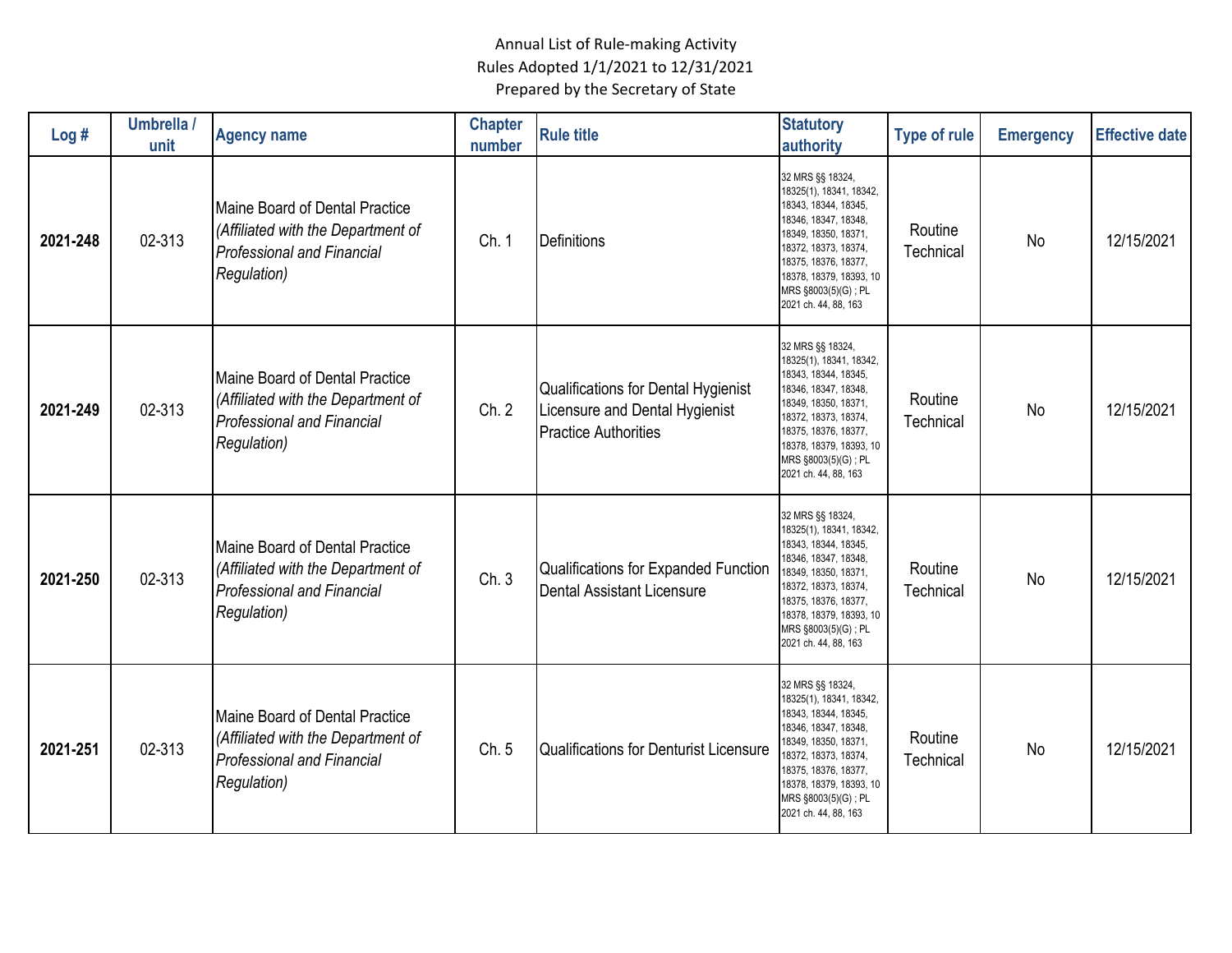| Log#     | Umbrella /<br>unit | <b>Agency name</b>                                                                                                                      | <b>Chapter</b><br>number | <b>Rule title</b>                                                                                    | <b>Statutory</b><br>authority                                                                                                                                                                                                                  | <b>Type of rule</b>  | <b>Emergency</b> | <b>Effective date</b> |
|----------|--------------------|-----------------------------------------------------------------------------------------------------------------------------------------|--------------------------|------------------------------------------------------------------------------------------------------|------------------------------------------------------------------------------------------------------------------------------------------------------------------------------------------------------------------------------------------------|----------------------|------------------|-----------------------|
| 2021-248 | 02-313             | Maine Board of Dental Practice<br>(Affiliated with the Department of<br><b>Professional and Financial</b><br><b>Regulation</b> )        | Ch. 1                    | Definitions                                                                                          | 32 MRS §§ 18324,<br>18325(1), 18341, 18342,<br>18343, 18344, 18345,<br>18346, 18347, 18348,<br>18349, 18350, 18371,<br>18372, 18373, 18374,<br>18375, 18376, 18377,<br>18378, 18379, 18393, 10<br>MRS §8003(5)(G) ; PL<br>2021 ch. 44, 88, 163 | Routine<br>Technical | No               | 12/15/2021            |
| 2021-249 | 02-313             | <b>Maine Board of Dental Practice</b><br>(Affiliated with the Department of<br><b>Professional and Financial</b><br><b>Regulation</b> ) | Ch. 2                    | Qualifications for Dental Hygienist<br>Licensure and Dental Hygienist<br><b>Practice Authorities</b> | 32 MRS §§ 18324,<br>18325(1), 18341, 18342,<br>18343, 18344, 18345,<br>18346, 18347, 18348,<br>18349, 18350, 18371,<br>18372, 18373, 18374,<br>18375, 18376, 18377,<br>18378, 18379, 18393, 10<br>MRS §8003(5)(G) ; PL<br>2021 ch. 44, 88, 163 | Routine<br>Technical | No               | 12/15/2021            |
| 2021-250 | 02-313             | Maine Board of Dental Practice<br>(Affiliated with the Department of<br><b>Professional and Financial</b><br><b>Regulation</b> )        | Ch. 3                    | Qualifications for Expanded Function<br><b>Dental Assistant Licensure</b>                            | 32 MRS §§ 18324,<br>18325(1), 18341, 18342,<br>18343, 18344, 18345,<br>18346, 18347, 18348,<br>18349, 18350, 18371,<br>18372, 18373, 18374,<br>18375, 18376, 18377,<br>18378, 18379, 18393, 10<br>MRS §8003(5)(G) ; PL<br>2021 ch. 44, 88, 163 | Routine<br>Technical | <b>No</b>        | 12/15/2021            |
| 2021-251 | 02-313             | Maine Board of Dental Practice<br>(Affiliated with the Department of<br><b>Professional and Financial</b><br><b>Regulation</b> )        | Ch. 5                    | <b>Qualifications for Denturist Licensure</b>                                                        | 32 MRS §§ 18324,<br>18325(1), 18341, 18342,<br>18343, 18344, 18345,<br>18346, 18347, 18348,<br>18349, 18350, 18371,<br>18372, 18373, 18374,<br>18375, 18376, 18377,<br>18378, 18379, 18393, 10<br>MRS §8003(5)(G) ; PL<br>2021 ch. 44, 88, 163 | Routine<br>Technical | No               | 12/15/2021            |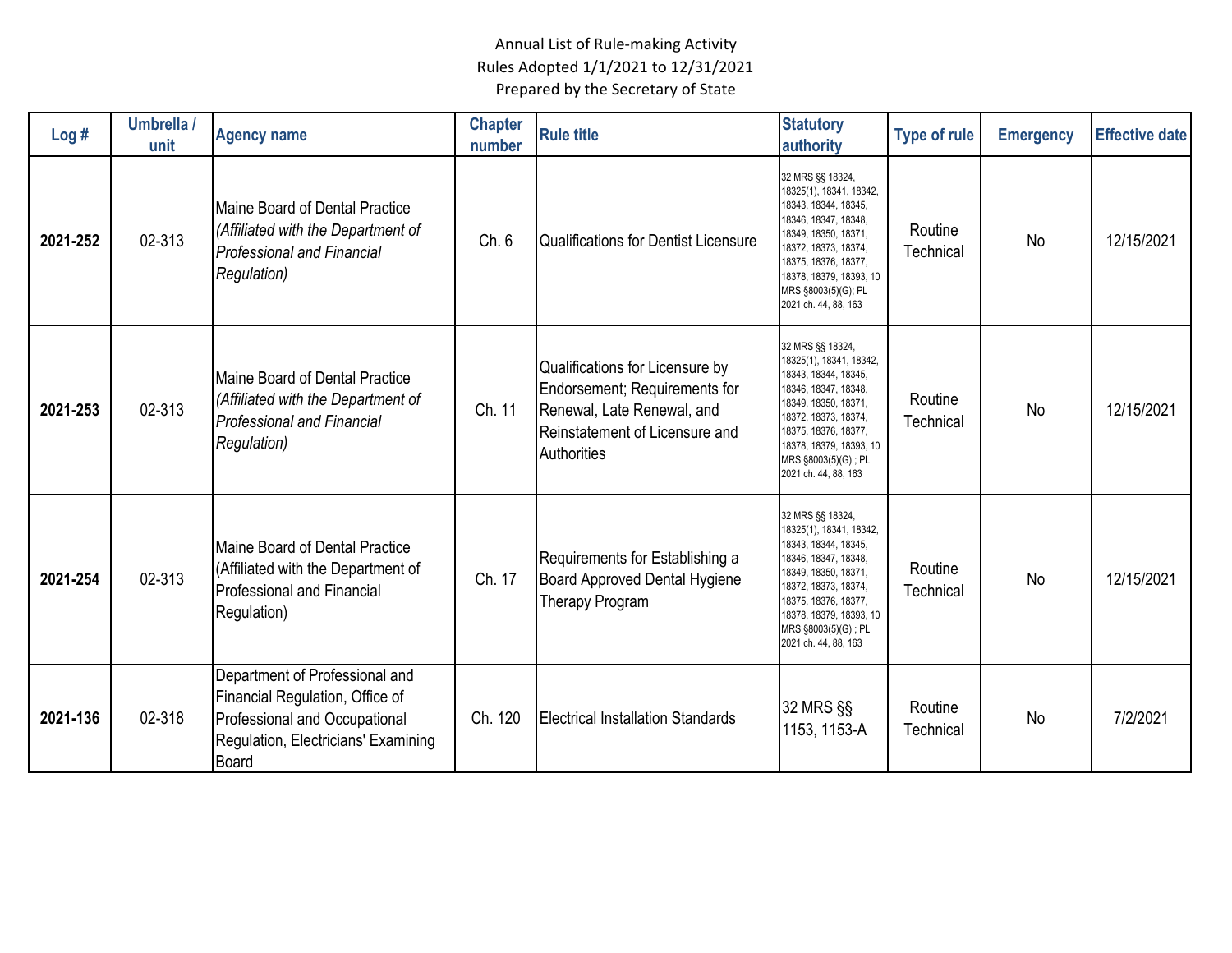| Log#     | Umbrella /<br>unit | <b>Agency name</b>                                                                                                                                 | <b>Chapter</b><br>number | <b>Rule title</b>                                                                                                                               | <b>Statutory</b><br>authority                                                                                                                                                                                                                  | <b>Type of rule</b>  | <b>Emergency</b> | <b>Effective date</b> |
|----------|--------------------|----------------------------------------------------------------------------------------------------------------------------------------------------|--------------------------|-------------------------------------------------------------------------------------------------------------------------------------------------|------------------------------------------------------------------------------------------------------------------------------------------------------------------------------------------------------------------------------------------------|----------------------|------------------|-----------------------|
| 2021-252 | 02-313             | Maine Board of Dental Practice<br>(Affiliated with the Department of<br><b>Professional and Financial</b><br><b>Regulation</b> )                   | Ch. 6                    | Qualifications for Dentist Licensure                                                                                                            | 32 MRS §§ 18324,<br>18325(1), 18341, 18342,<br>18343, 18344, 18345,<br>18346, 18347, 18348,<br>18349, 18350, 18371,<br>18372, 18373, 18374,<br>18375, 18376, 18377,<br>18378, 18379, 18393, 10<br>MRS §8003(5)(G); PL<br>2021 ch. 44, 88, 163  | Routine<br>Technical | <b>No</b>        | 12/15/2021            |
| 2021-253 | 02-313             | Maine Board of Dental Practice<br>(Affiliated with the Department of<br><b>Professional and Financial</b><br><b>Regulation</b> )                   | Ch. 11                   | Qualifications for Licensure by<br>Endorsement; Requirements for<br>Renewal, Late Renewal, and<br>Reinstatement of Licensure and<br>Authorities | 32 MRS §§ 18324,<br>18325(1), 18341, 18342,<br>18343, 18344, 18345,<br>18346, 18347, 18348,<br>18349, 18350, 18371,<br>18372, 18373, 18374,<br>18375, 18376, 18377,<br>18378, 18379, 18393, 10<br>MRS §8003(5)(G) ; PL<br>2021 ch. 44, 88, 163 | Routine<br>Technical | No               | 12/15/2021            |
| 2021-254 | 02-313             | Maine Board of Dental Practice<br>(Affiliated with the Department of<br><b>Professional and Financial</b><br>Regulation)                           | Ch. 17                   | Requirements for Establishing a<br>Board Approved Dental Hygiene<br>Therapy Program                                                             | 32 MRS §§ 18324,<br>18325(1), 18341, 18342,<br>18343, 18344, 18345,<br>18346, 18347, 18348,<br>18349, 18350, 18371,<br>18372, 18373, 18374,<br>18375, 18376, 18377,<br>18378, 18379, 18393, 10<br>MRS §8003(5)(G); PL<br>2021 ch. 44, 88, 163  | Routine<br>Technical | No               | 12/15/2021            |
| 2021-136 | 02-318             | Department of Professional and<br>Financial Regulation, Office of<br>Professional and Occupational<br>Regulation, Electricians' Examining<br>Board | Ch. 120                  | <b>Electrical Installation Standards</b>                                                                                                        | 32 MRS §§<br>1153, 1153-A                                                                                                                                                                                                                      | Routine<br>Technical | No               | 7/2/2021              |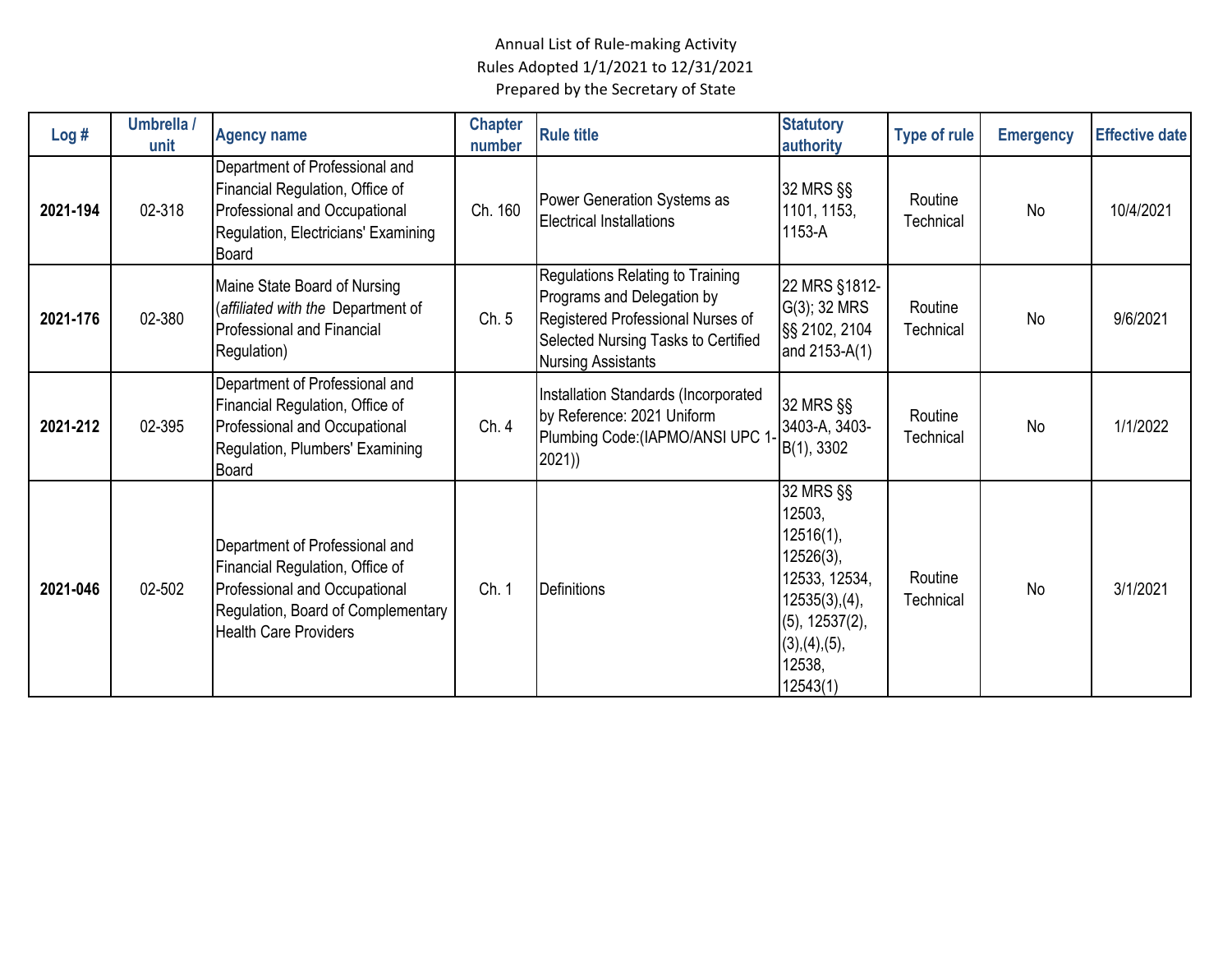| Log#     | Umbrella /<br>unit | <b>Agency name</b>                                                                                                                                                       | <b>Chapter</b><br>number | <b>Rule title</b>                                                                                                                                                       | <b>Statutory</b><br>authority                                                                                                                           | <b>Type of rule</b>  | <b>Emergency</b> | <b>Effective date</b> |
|----------|--------------------|--------------------------------------------------------------------------------------------------------------------------------------------------------------------------|--------------------------|-------------------------------------------------------------------------------------------------------------------------------------------------------------------------|---------------------------------------------------------------------------------------------------------------------------------------------------------|----------------------|------------------|-----------------------|
| 2021-194 | 02-318             | Department of Professional and<br>Financial Regulation, Office of<br>Professional and Occupational<br>Regulation, Electricians' Examining<br>Board                       | Ch. 160                  | Power Generation Systems as<br><b>Electrical Installations</b>                                                                                                          | 32 MRS §§<br>1101, 1153,<br>1153-A                                                                                                                      | Routine<br>Technical | No               | 10/4/2021             |
| 2021-176 | 02-380             | Maine State Board of Nursing<br>(affiliated with the Department of<br><b>Professional and Financial</b><br>Regulation)                                                   | Ch. 5                    | Regulations Relating to Training<br>Programs and Delegation by<br>Registered Professional Nurses of<br>Selected Nursing Tasks to Certified<br><b>Nursing Assistants</b> | 22 MRS §1812-<br>$G(3)$ ; 32 MRS<br>§§ 2102, 2104<br>and 2153-A(1)                                                                                      | Routine<br>Technical | No               | 9/6/2021              |
| 2021-212 | 02-395             | Department of Professional and<br>Financial Regulation, Office of<br>Professional and Occupational<br>Regulation, Plumbers' Examining<br>Board                           | Ch. 4                    | Installation Standards (Incorporated<br>by Reference: 2021 Uniform<br>Plumbing Code: (IAPMO/ANSI UPC 1<br>2021)                                                         | 32 MRS §§<br>3403-A, 3403-<br>B(1), 3302                                                                                                                | Routine<br>Technical | No               | 1/1/2022              |
| 2021-046 | 02-502             | Department of Professional and<br>Financial Regulation, Office of<br>Professional and Occupational<br>Regulation, Board of Complementary<br><b>Health Care Providers</b> | Ch. 1                    | <b>Definitions</b>                                                                                                                                                      | 32 MRS §§<br>12503,<br>12516(1),<br>$12526(3)$ ,<br>12533, 12534,<br>$12535(3)$ , (4),<br>$(5)$ , 12537 $(2)$ ,<br>(3), (4), (5),<br>12538,<br>12543(1) | Routine<br>Technical | <b>No</b>        | 3/1/2021              |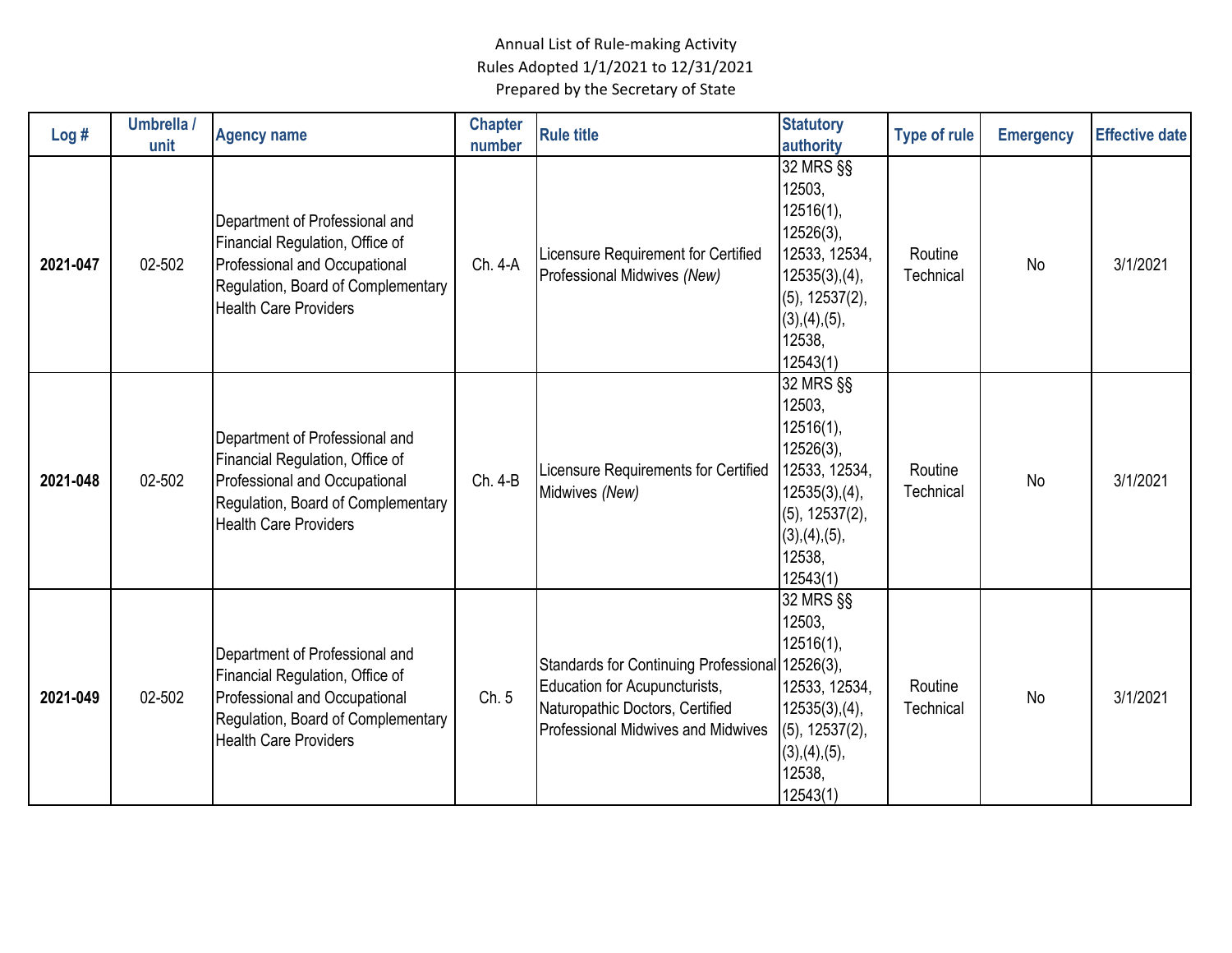| Log#     | Umbrella /<br>unit | <b>Agency name</b>                                                                                                                                                       | <b>Chapter</b><br>number | <b>Rule title</b>                                                                                                                                      | <b>Statutory</b><br>authority                                                                                                                           | <b>Type of rule</b>  | <b>Emergency</b> | <b>Effective date</b> |
|----------|--------------------|--------------------------------------------------------------------------------------------------------------------------------------------------------------------------|--------------------------|--------------------------------------------------------------------------------------------------------------------------------------------------------|---------------------------------------------------------------------------------------------------------------------------------------------------------|----------------------|------------------|-----------------------|
| 2021-047 | 02-502             | Department of Professional and<br>Financial Regulation, Office of<br>Professional and Occupational<br>Regulation, Board of Complementary<br><b>Health Care Providers</b> | Ch. 4-A                  | Licensure Requirement for Certified<br>Professional Midwives (New)                                                                                     | 32 MRS §§<br>12503,<br>12516(1),<br>$12526(3)$ ,<br>12533, 12534,<br>$12535(3)$ , (4),<br>$(5)$ , 12537 $(2)$ ,<br>(3), (4), (5),<br>12538,<br>12543(1) | Routine<br>Technical | No               | 3/1/2021              |
| 2021-048 | 02-502             | Department of Professional and<br>Financial Regulation, Office of<br>Professional and Occupational<br>Regulation, Board of Complementary<br><b>Health Care Providers</b> | Ch. 4-B                  | Licensure Requirements for Certified<br>Midwives (New)                                                                                                 | 32 MRS §§<br>12503,<br>12516(1),<br>$12526(3)$ ,<br>12533, 12534,<br>12535(3), (4),<br>$(5)$ , 12537 $(2)$ ,<br>(3), (4), (5),<br>12538,<br>12543(1)    | Routine<br>Technical | <b>No</b>        | 3/1/2021              |
| 2021-049 | 02-502             | Department of Professional and<br>Financial Regulation, Office of<br>Professional and Occupational<br>Regulation, Board of Complementary<br><b>Health Care Providers</b> | Ch. 5                    | <b>Standards for Continuing Professional</b><br>Education for Acupuncturists,<br>Naturopathic Doctors, Certified<br>Professional Midwives and Midwives | 32 MRS §§<br>12503,<br>12516(1),<br>$12526(3)$ ,<br>12533, 12534,<br>$12535(3)$ , (4),<br>$(5)$ , 12537 $(2)$ ,<br>(3), (4), (5),<br>12538,<br>12543(1) | Routine<br>Technical | <b>No</b>        | 3/1/2021              |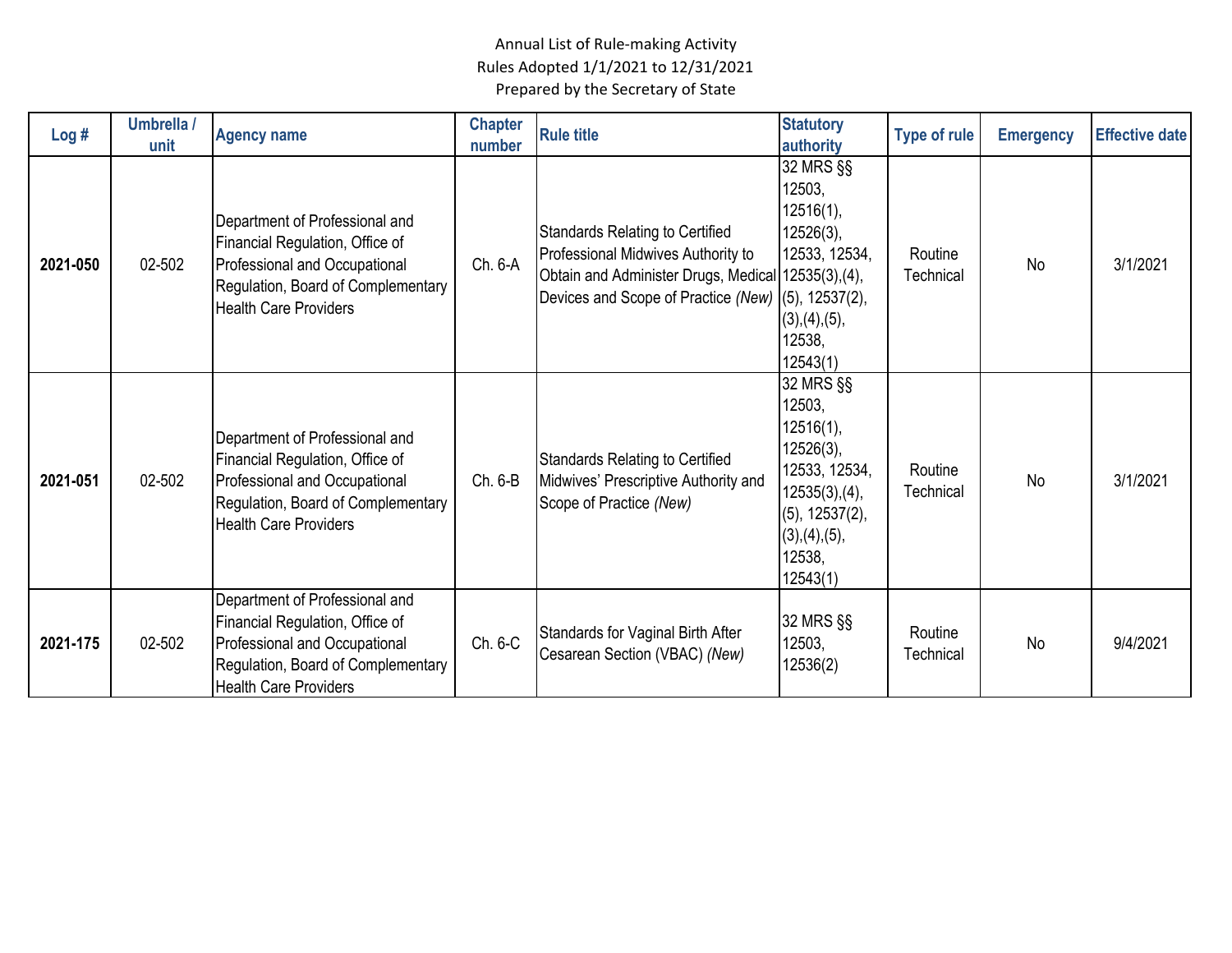| Log#     | Umbrella /<br>unit | <b>Agency name</b>                                                                                                                                                       | <b>Chapter</b><br>number | <b>Rule title</b>                                                                                                                                                                         | <b>Statutory</b><br>authority                                                                                                                    | <b>Type of rule</b>  | <b>Emergency</b> | <b>Effective date</b> |
|----------|--------------------|--------------------------------------------------------------------------------------------------------------------------------------------------------------------------|--------------------------|-------------------------------------------------------------------------------------------------------------------------------------------------------------------------------------------|--------------------------------------------------------------------------------------------------------------------------------------------------|----------------------|------------------|-----------------------|
| 2021-050 | 02-502             | Department of Professional and<br>Financial Regulation, Office of<br>Professional and Occupational<br>Regulation, Board of Complementary<br><b>Health Care Providers</b> | Ch. 6-A                  | <b>Standards Relating to Certified</b><br>Professional Midwives Authority to<br>Obtain and Administer Drugs, Medical 12535(3), (4),<br>Devices and Scope of Practice (New) (5), 12537(2), | 32 MRS §§<br>12503,<br>12516(1),<br>$12526(3)$ ,<br>12533, 12534,<br>(3), (4), (5),<br>12538,<br>12543(1)                                        | Routine<br>Technical | <b>No</b>        | 3/1/2021              |
| 2021-051 | 02-502             | Department of Professional and<br>Financial Regulation, Office of<br>Professional and Occupational<br>Regulation, Board of Complementary<br><b>Health Care Providers</b> | Ch. 6-B                  | <b>Standards Relating to Certified</b><br>Midwives' Prescriptive Authority and<br>Scope of Practice (New)                                                                                 | 32 MRS §§<br>12503,<br>12516(1),<br>12526(3),<br>12533, 12534,<br>12535(3),(4),<br>$(5)$ , 12537 $(2)$ ,<br>(3), (4), (5),<br>12538,<br>12543(1) | Routine<br>Technical | <b>No</b>        | 3/1/2021              |
| 2021-175 | 02-502             | Department of Professional and<br>Financial Regulation, Office of<br>Professional and Occupational<br>Regulation, Board of Complementary<br><b>Health Care Providers</b> | Ch. 6-C                  | Standards for Vaginal Birth After<br>Cesarean Section (VBAC) (New)                                                                                                                        | 32 MRS §§<br>12503,<br>12536(2)                                                                                                                  | Routine<br>Technical | <b>No</b>        | 9/4/2021              |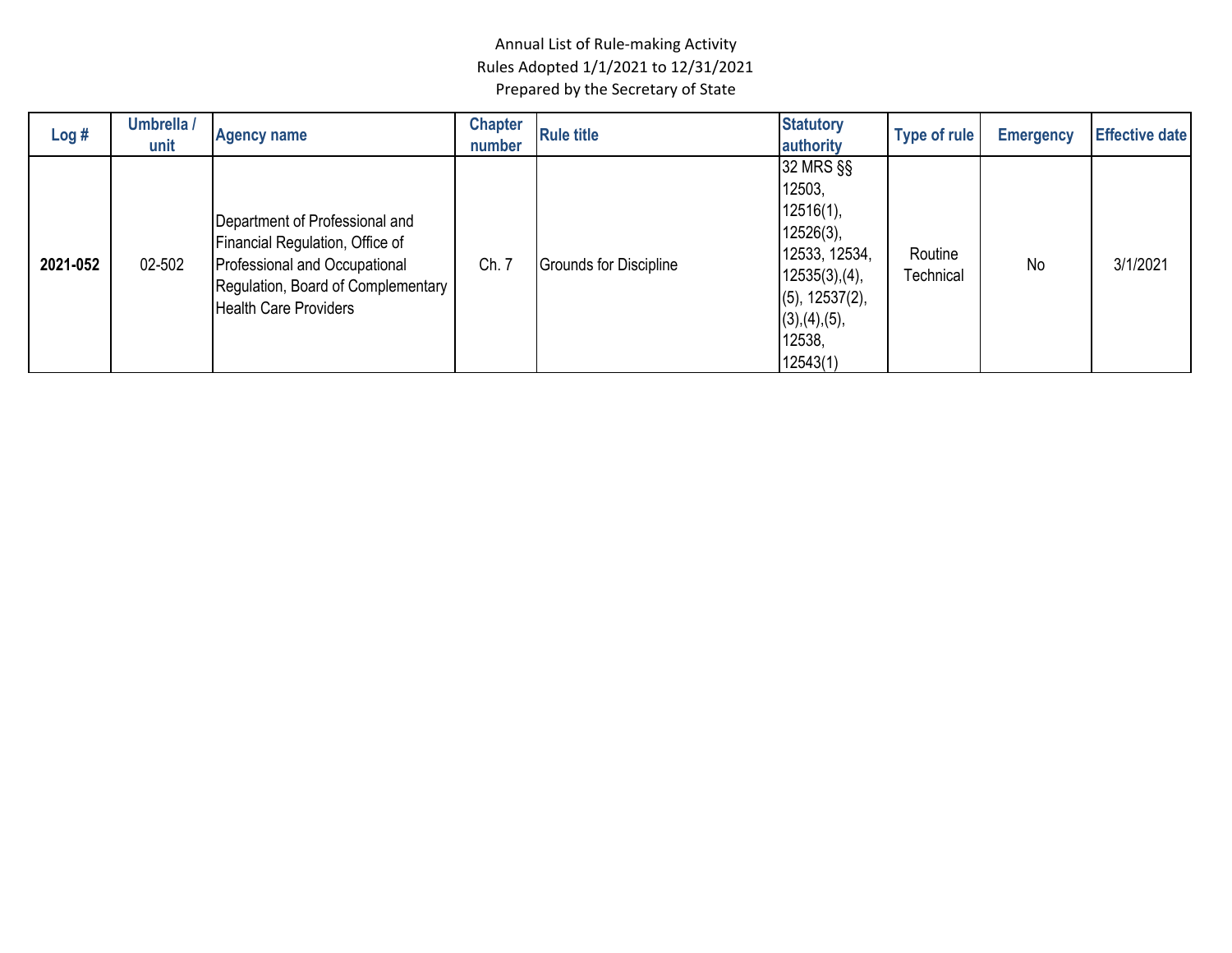| Log#     | Umbrella /<br>unit | <b>Agency name</b>                                                                                                                                                       | <b>Chapter</b><br>number | <b>Rule title</b>             | <b>Statutory</b><br>authority                                                                                                                              | Type of rule         | <b>Emergency</b> | <b>Effective date</b> |
|----------|--------------------|--------------------------------------------------------------------------------------------------------------------------------------------------------------------------|--------------------------|-------------------------------|------------------------------------------------------------------------------------------------------------------------------------------------------------|----------------------|------------------|-----------------------|
| 2021-052 | 02-502             | Department of Professional and<br>Financial Regulation, Office of<br>Professional and Occupational<br>Regulation, Board of Complementary<br><b>Health Care Providers</b> | Ch. 7                    | <b>Grounds for Discipline</b> | 32 MRS §§<br>12503,<br>$12516(1)$ ,<br>$12526(3)$ ,<br>12533, 12534,<br>$12535(3)$ , (4),<br>$(5)$ , 12537 $(2)$ ,<br>(3), (4), (5),<br>12538,<br>12543(1) | Routine<br>Technical | <b>No</b>        | 3/1/2021              |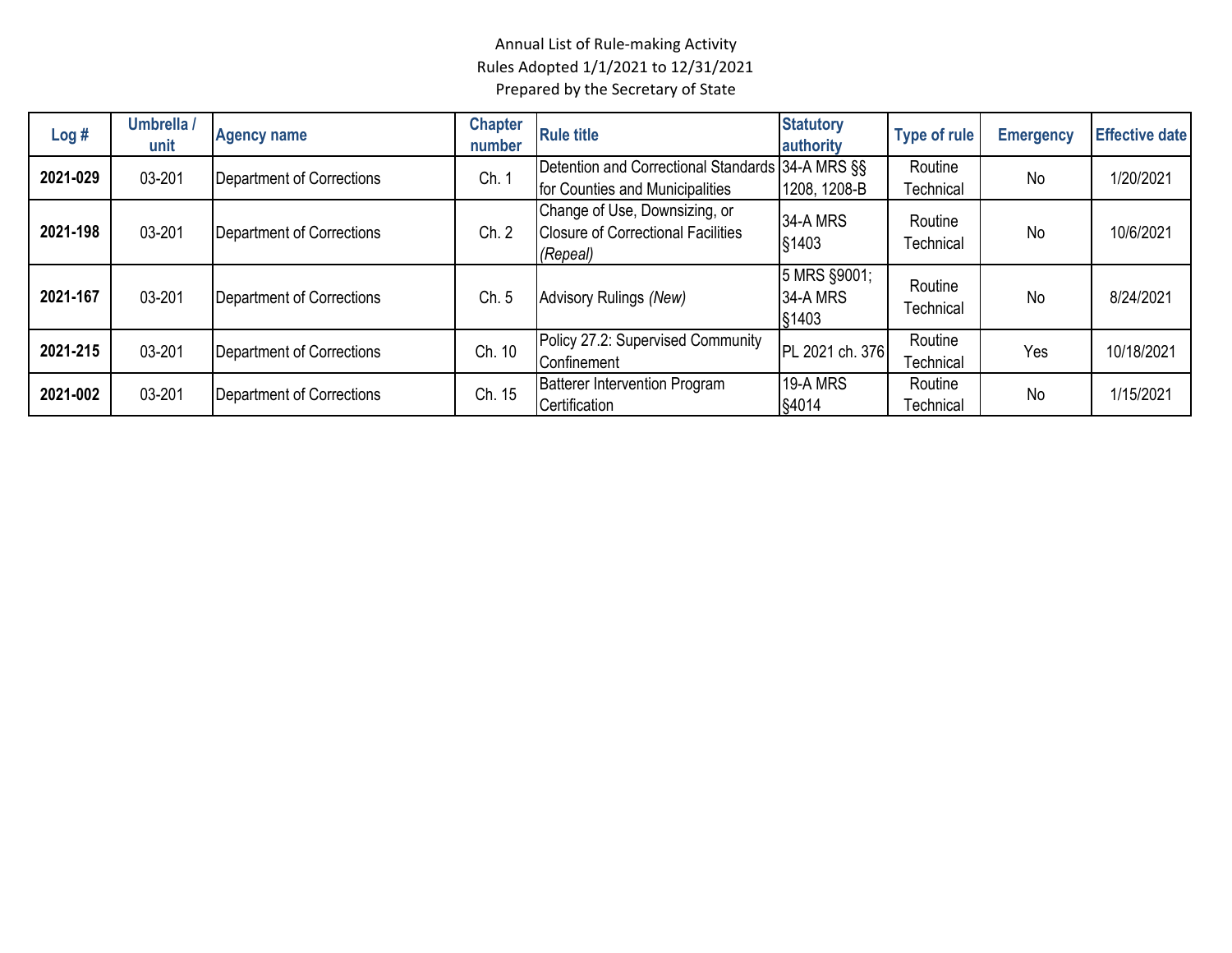| Log#     | Umbrella /<br>unit | <b>Agency name</b>        | <b>Chapter</b><br>number | <b>Rule title</b>                                                                      | <b>Statutory</b><br>authority     | <b>Type of rule</b>  | <b>Emergency</b> | <b>Effective date</b> |
|----------|--------------------|---------------------------|--------------------------|----------------------------------------------------------------------------------------|-----------------------------------|----------------------|------------------|-----------------------|
| 2021-029 | 03-201             | Department of Corrections | Ch. 1                    | Detention and Correctional Standards 34-A MRS §§<br>for Counties and Municipalities    | 1208, 1208-B                      | Routine<br>Technical | No               | 1/20/2021             |
| 2021-198 | 03-201             | Department of Corrections | Ch. 2                    | Change of Use, Downsizing, or<br><b>Closure of Correctional Facilities</b><br>(Repeal) | <b>34-A MRS</b><br>§1403          | Routine<br>Technical | <b>No</b>        | 10/6/2021             |
| 2021-167 | 03-201             | Department of Corrections | Ch. 5                    | Advisory Rulings (New)                                                                 | 5 MRS §9001;<br>34-A MRS<br>§1403 | Routine<br>Technical | <b>No</b>        | 8/24/2021             |
| 2021-215 | 03-201             | Department of Corrections | Ch. 10                   | Policy 27.2: Supervised Community<br>Confinement                                       | PL 2021 ch. 376                   | Routine<br>Technical | Yes              | 10/18/2021            |
| 2021-002 | 03-201             | Department of Corrections | Ch. 15                   | <b>Batterer Intervention Program</b><br>Certification                                  | 19-A MRS<br>§4014                 | Routine<br>Technical | No               | 1/15/2021             |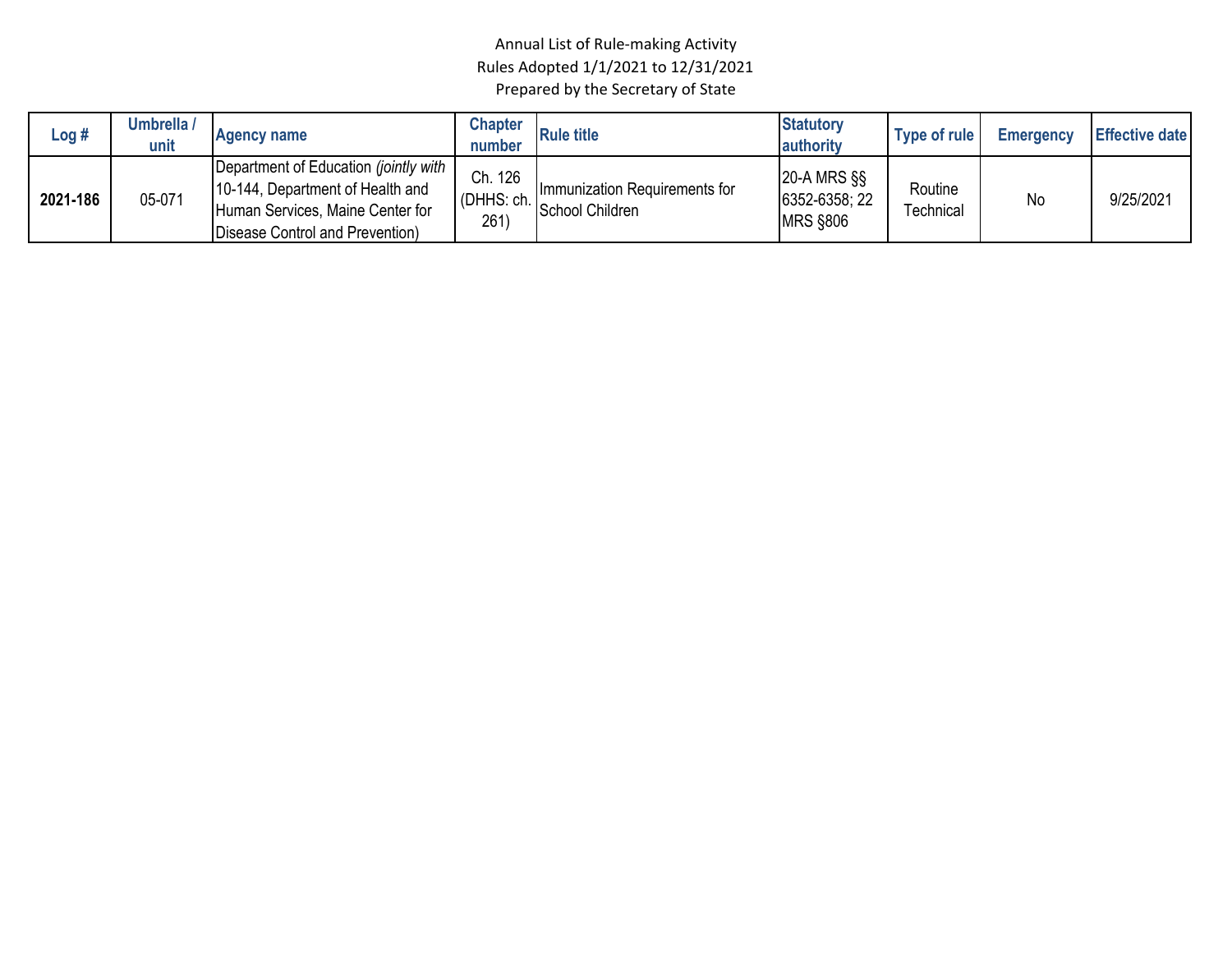| Log #    | Umbrella /<br>unit | <b>Agency name</b>                                                                                                                               | <b>Chapter</b><br>number       | <b>Rule title</b>                                | <b>Statutory</b><br>authority                       | Type of rule         | <b>Emergency</b> | <b>Effective date</b> |
|----------|--------------------|--------------------------------------------------------------------------------------------------------------------------------------------------|--------------------------------|--------------------------------------------------|-----------------------------------------------------|----------------------|------------------|-----------------------|
| 2021-186 | 05-071             | Department of Education (jointly with<br>10-144, Department of Health and<br>Human Services, Maine Center for<br>Disease Control and Prevention) | Ch. 126<br>(DHHS: ch. I<br>261 | Immunization Requirements for<br>School Children | $20-A$ MRS $\S$<br>6352-6358; 22<br><b>MRS §806</b> | Routine<br>Technical | <b>No</b>        | 9/25/2021             |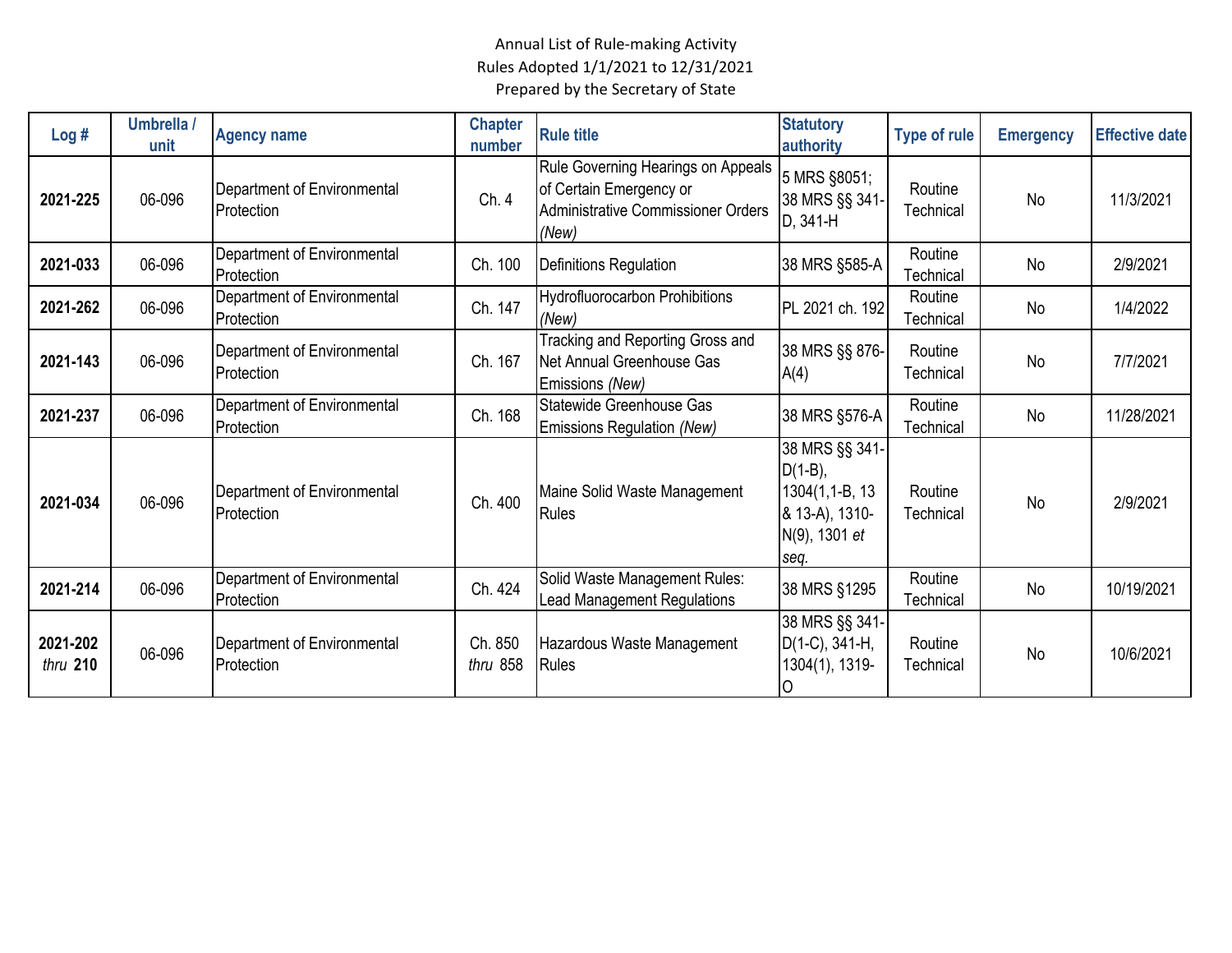| Log#                   | Umbrella /<br>unit | <b>Agency name</b>                        | <b>Chapter</b><br>number | <b>Rule title</b>                                                                                            | <b>Statutory</b><br>authority                                                            | <b>Type of rule</b>  | <b>Emergency</b> | <b>Effective date</b> |
|------------------------|--------------------|-------------------------------------------|--------------------------|--------------------------------------------------------------------------------------------------------------|------------------------------------------------------------------------------------------|----------------------|------------------|-----------------------|
| 2021-225               | 06-096             | Department of Environmental<br>Protection | Ch. 4                    | Rule Governing Hearings on Appeals<br>of Certain Emergency or<br>Administrative Commissioner Orders<br>(New) | 5 MRS §8051;<br>38 MRS §§ 341-<br>D, 341-H                                               | Routine<br>Technical | No               | 11/3/2021             |
| 2021-033               | 06-096             | Department of Environmental<br>Protection | Ch. 100                  | <b>Definitions Regulation</b>                                                                                | 38 MRS §585-A                                                                            | Routine<br>Technical | <b>No</b>        | 2/9/2021              |
| 2021-262               | 06-096             | Department of Environmental<br>Protection | Ch. 147                  | <b>Hydrofluorocarbon Prohibitions</b><br>(New)                                                               | PL 2021 ch. 192                                                                          | Routine<br>Technical | No               | 1/4/2022              |
| 2021-143               | 06-096             | Department of Environmental<br>Protection | Ch. 167                  | Tracking and Reporting Gross and<br>Net Annual Greenhouse Gas<br>Emissions (New)                             | 38 MRS §§ 876-<br>A(4)                                                                   | Routine<br>Technical | No               | 7/7/2021              |
| 2021-237               | 06-096             | Department of Environmental<br>Protection | Ch. 168                  | Statewide Greenhouse Gas<br>Emissions Regulation (New)                                                       | 38 MRS §576-A                                                                            | Routine<br>Technical | No               | 11/28/2021            |
| 2021-034               | 06-096             | Department of Environmental<br>Protection | Ch. 400                  | Maine Solid Waste Management<br>Rules                                                                        | 38 MRS §§ 341-<br>$D(1-B),$<br>1304(1,1-B, 13<br>& 13-A), 1310-<br>N(9), 1301 et<br>seq. | Routine<br>Technical | No               | 2/9/2021              |
| 2021-214               | 06-096             | Department of Environmental<br>Protection | Ch. 424                  | Solid Waste Management Rules:<br><b>Lead Management Regulations</b>                                          | 38 MRS §1295                                                                             | Routine<br>Technical | No               | 10/19/2021            |
| 2021-202<br>thru $210$ | 06-096             | Department of Environmental<br>Protection | Ch. 850<br>thru 858      | Hazardous Waste Management<br>Rules                                                                          | 38 MRS §§ 341-<br>$D(1-C)$ , 341-H,<br>1304(1), 1319-<br>O                               | Routine<br>Technical | No               | 10/6/2021             |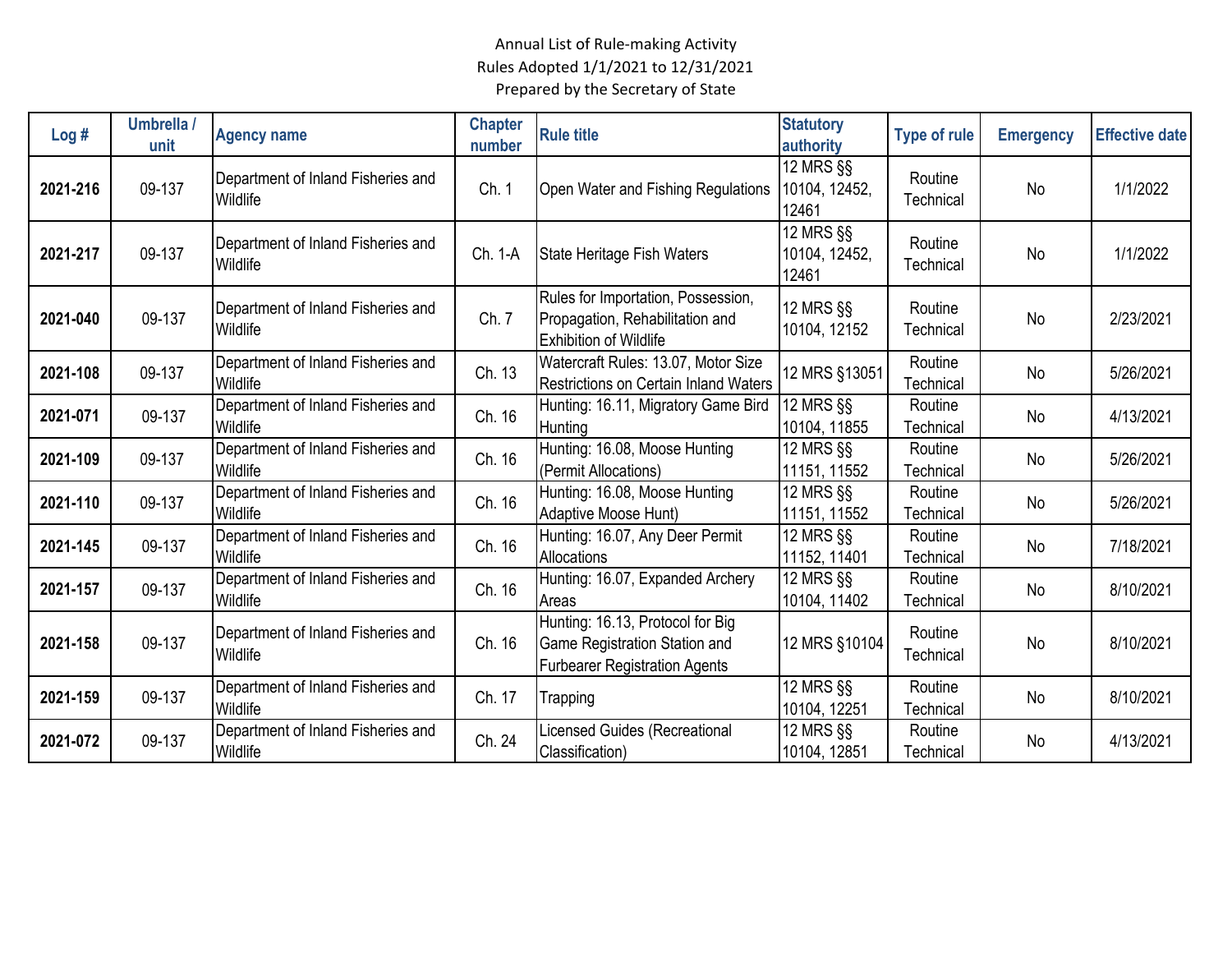| Log#     | Umbrella /<br>unit | <b>Agency name</b>                             | <b>Chapter</b><br>number | <b>Rule title</b>                                                                                         | <b>Statutory</b><br>authority                      | <b>Type of rule</b>  | <b>Emergency</b> | <b>Effective date</b> |
|----------|--------------------|------------------------------------------------|--------------------------|-----------------------------------------------------------------------------------------------------------|----------------------------------------------------|----------------------|------------------|-----------------------|
| 2021-216 | 09-137             | Department of Inland Fisheries and<br>Wildlife | Ch. 1                    | Open Water and Fishing Regulations                                                                        | 12 MRS §§<br>10104, 12452,<br>12461                | Routine<br>Technical | No               | 1/1/2022              |
| 2021-217 | 09-137             | Department of Inland Fisheries and<br>Wildlife | Ch. 1-A                  | State Heritage Fish Waters                                                                                | $\overline{12}$ MRS $\S$<br>10104, 12452,<br>12461 | Routine<br>Technical | No               | 1/1/2022              |
| 2021-040 | 09-137             | Department of Inland Fisheries and<br>Wildlife | Ch. 7                    | Rules for Importation, Possession,<br>Propagation, Rehabilitation and<br><b>Exhibition of Wildlife</b>    | 12 MRS §§<br>10104, 12152                          | Routine<br>Technical | No               | 2/23/2021             |
| 2021-108 | 09-137             | Department of Inland Fisheries and<br>Wildlife | Ch. 13                   | Watercraft Rules: 13.07, Motor Size<br>Restrictions on Certain Inland Waters                              | 12 MRS §13051                                      | Routine<br>Technical | No               | 5/26/2021             |
| 2021-071 | 09-137             | Department of Inland Fisheries and<br>Wildlife | Ch. 16                   | Hunting: 16.11, Migratory Game Bird<br>Hunting                                                            | 12 MRS §§<br>10104, 11855                          | Routine<br>Technical | No               | 4/13/2021             |
| 2021-109 | 09-137             | Department of Inland Fisheries and<br>Wildlife | Ch. 16                   | Hunting: 16.08, Moose Hunting<br>(Permit Allocations)                                                     | 12 MRS §§<br>11151, 11552                          | Routine<br>Technical | No               | 5/26/2021             |
| 2021-110 | 09-137             | Department of Inland Fisheries and<br>Wildlife | Ch. 16                   | Hunting: 16.08, Moose Hunting<br>Adaptive Moose Hunt)                                                     | 12 MRS §§<br>11151, 11552                          | Routine<br>Technical | No               | 5/26/2021             |
| 2021-145 | 09-137             | Department of Inland Fisheries and<br>Wildlife | Ch. 16                   | Hunting: 16.07, Any Deer Permit<br>Allocations                                                            | 12 MRS §§<br>11152, 11401                          | Routine<br>Technical | No               | 7/18/2021             |
| 2021-157 | 09-137             | Department of Inland Fisheries and<br>Wildlife | Ch. 16                   | Hunting: 16.07, Expanded Archery<br>Areas                                                                 | 12 MRS §§<br>10104, 11402                          | Routine<br>Technical | No               | 8/10/2021             |
| 2021-158 | 09-137             | Department of Inland Fisheries and<br>Wildlife | Ch. 16                   | Hunting: 16.13, Protocol for Big<br>Game Registration Station and<br><b>Furbearer Registration Agents</b> | 12 MRS §10104                                      | Routine<br>Technical | No               | 8/10/2021             |
| 2021-159 | 09-137             | Department of Inland Fisheries and<br>Wildlife | Ch. 17                   | Trapping                                                                                                  | 12 MRS §§<br>10104, 12251                          | Routine<br>Technical | No               | 8/10/2021             |
| 2021-072 | 09-137             | Department of Inland Fisheries and<br>Wildlife | Ch. 24                   | Licensed Guides (Recreational<br>Classification)                                                          | 12 MRS §§<br>10104, 12851                          | Routine<br>Technical | No               | 4/13/2021             |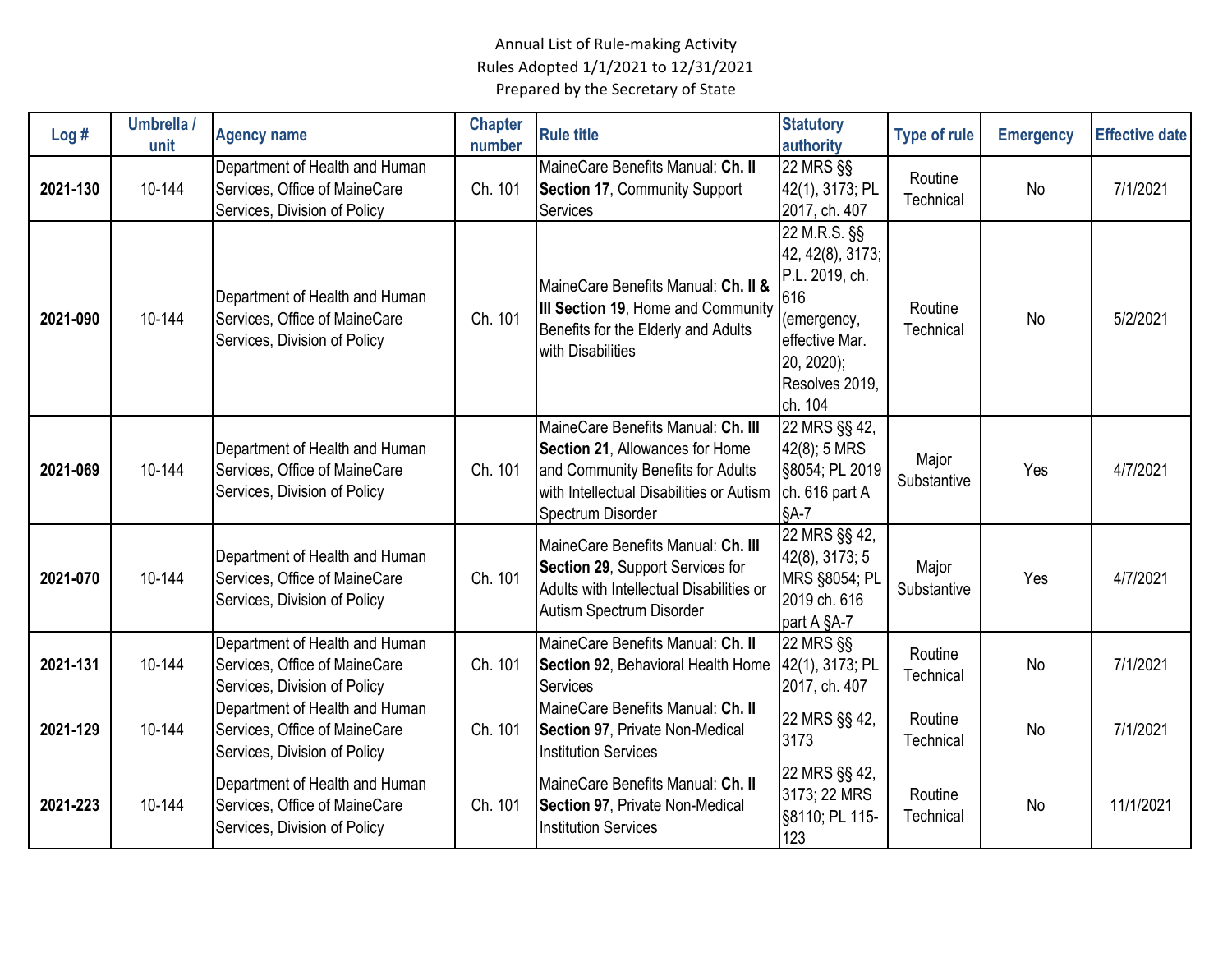| Log#     | Umbrella /<br>unit | <b>Agency name</b>                                                                              | <b>Chapter</b><br>number | <b>Rule title</b>                                                                                                                                                           | <b>Statutory</b><br>authority                                                                                                                       | <b>Type of rule</b>  | <b>Emergency</b> | <b>Effective date</b> |
|----------|--------------------|-------------------------------------------------------------------------------------------------|--------------------------|-----------------------------------------------------------------------------------------------------------------------------------------------------------------------------|-----------------------------------------------------------------------------------------------------------------------------------------------------|----------------------|------------------|-----------------------|
| 2021-130 | 10-144             | Department of Health and Human<br>Services, Office of MaineCare<br>Services, Division of Policy | Ch. 101                  | MaineCare Benefits Manual: Ch. II<br><b>Section 17, Community Support</b><br>Services                                                                                       | $\overline{2}$ 2 MRS §§<br>42(1), 3173; PL<br>2017, ch. 407                                                                                         | Routine<br>Technical | No               | 7/1/2021              |
| 2021-090 | 10-144             | Department of Health and Human<br>Services, Office of MaineCare<br>Services, Division of Policy | Ch. 101                  | MaineCare Benefits Manual: Ch. II &<br>III Section 19, Home and Community<br>Benefits for the Elderly and Adults<br>with Disabilities                                       | $\overline{2}$ 2 M.R.S. §§<br>42, 42(8), 3173;<br>P.L. 2019, ch.<br>616<br>(emergency,<br>effective Mar.<br>20, 2020);<br>Resolves 2019,<br>ch. 104 | Routine<br>Technical | No               | 5/2/2021              |
| 2021-069 | 10-144             | Department of Health and Human<br>Services, Office of MaineCare<br>Services, Division of Policy | Ch. 101                  | MaineCare Benefits Manual: Ch. III<br>Section 21, Allowances for Home<br>and Community Benefits for Adults<br>with Intellectual Disabilities or Autism<br>Spectrum Disorder | 22 MRS §§ 42,<br>42(8); 5 MRS<br>§8054; PL 2019<br>ch. 616 part A<br>$§A-7$                                                                         | Major<br>Substantive | Yes              | 4/7/2021              |
| 2021-070 | 10-144             | Department of Health and Human<br>Services, Office of MaineCare<br>Services, Division of Policy | Ch. 101                  | MaineCare Benefits Manual: Ch. III<br>Section 29, Support Services for<br>Adults with Intellectual Disabilities or<br>Autism Spectrum Disorder                              | 22 MRS §§ 42,<br>42(8), 3173; 5<br>MRS §8054; PL<br>2019 ch. 616<br>part A §A-7                                                                     | Major<br>Substantive | Yes              | 4/7/2021              |
| 2021-131 | 10-144             | Department of Health and Human<br>Services, Office of MaineCare<br>Services, Division of Policy | Ch. 101                  | MaineCare Benefits Manual: Ch. II<br>Section 92, Behavioral Health Home<br>Services                                                                                         | <b>22 MRS §§</b><br>42(1), 3173; PL<br>2017, ch. 407                                                                                                | Routine<br>Technical | No               | 7/1/2021              |
| 2021-129 | 10-144             | Department of Health and Human<br>Services, Office of MaineCare<br>Services, Division of Policy | Ch. 101                  | MaineCare Benefits Manual: Ch. II<br>Section 97, Private Non-Medical<br><b>Institution Services</b>                                                                         | 22 MRS §§ 42,<br>3173                                                                                                                               | Routine<br>Technical | No               | 7/1/2021              |
| 2021-223 | 10-144             | Department of Health and Human<br>Services, Office of MaineCare<br>Services, Division of Policy | Ch. 101                  | MaineCare Benefits Manual: Ch. II<br><b>Section 97, Private Non-Medical</b><br><b>Institution Services</b>                                                                  | 22 MRS §§ 42,<br>3173; 22 MRS<br>§8110; PL 115-<br>123                                                                                              | Routine<br>Technical | No               | 11/1/2021             |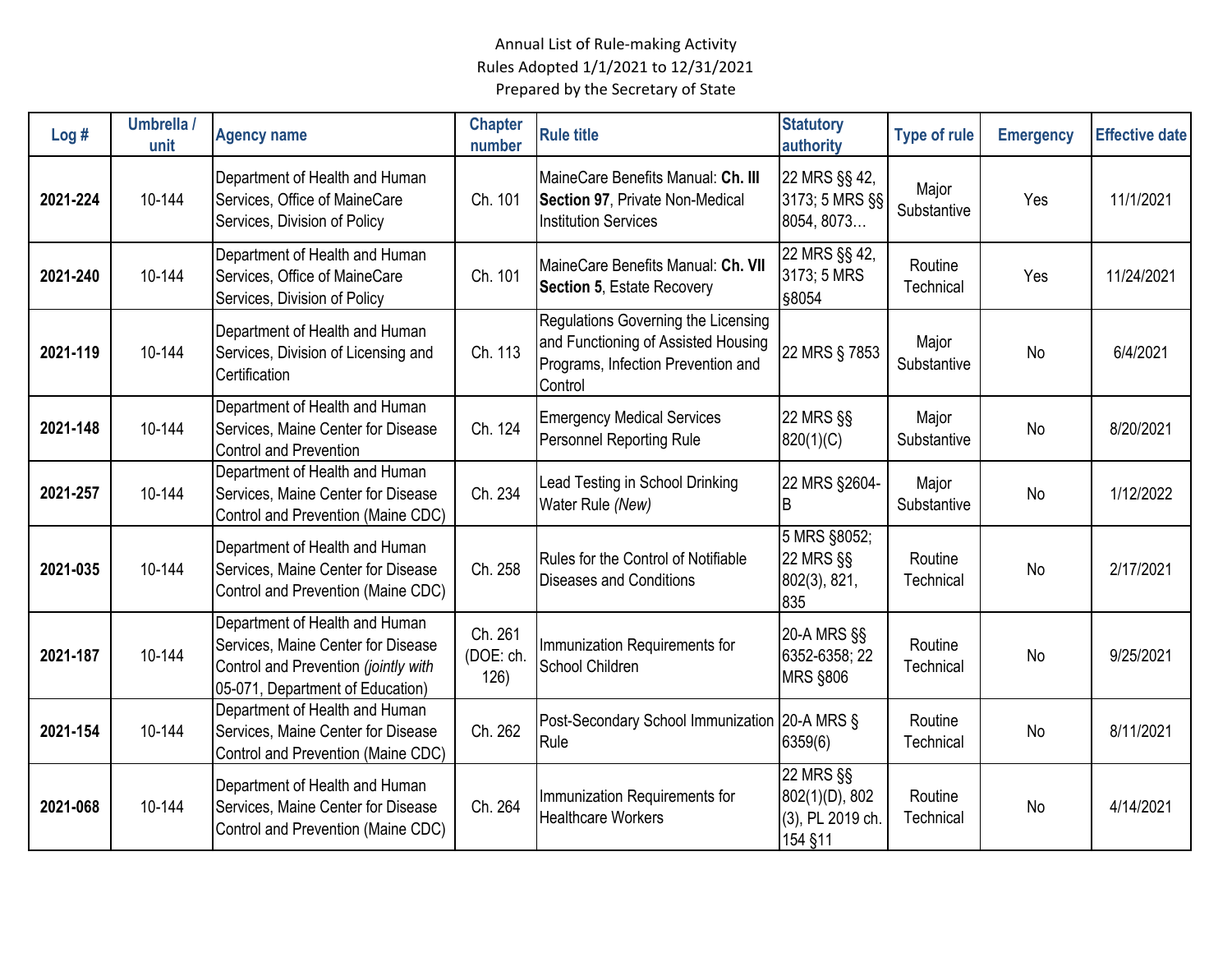| Log#     | Umbrella /<br>unit | <b>Agency name</b>                                                                                                                               | <b>Chapter</b><br>number     | <b>Rule title</b>                                                                                                           | <b>Statutory</b><br>authority                              | <b>Type of rule</b>  | <b>Emergency</b> | <b>Effective date</b> |
|----------|--------------------|--------------------------------------------------------------------------------------------------------------------------------------------------|------------------------------|-----------------------------------------------------------------------------------------------------------------------------|------------------------------------------------------------|----------------------|------------------|-----------------------|
| 2021-224 | 10-144             | Department of Health and Human<br>Services, Office of MaineCare<br>Services, Division of Policy                                                  | Ch. 101                      | MaineCare Benefits Manual: Ch. III<br>Section 97, Private Non-Medical<br><b>Institution Services</b>                        | 22 MRS §§ 42,<br>3173; 5 MRS §§<br>8054, 8073              | Major<br>Substantive | Yes              | 11/1/2021             |
| 2021-240 | 10-144             | Department of Health and Human<br>Services, Office of MaineCare<br>Services, Division of Policy                                                  | Ch. 101                      | MaineCare Benefits Manual: Ch. VII<br>Section 5, Estate Recovery                                                            | 22 MRS §§ 42,<br>3173; 5 MRS<br>§8054                      | Routine<br>Technical | Yes              | 11/24/2021            |
| 2021-119 | 10-144             | Department of Health and Human<br>Services, Division of Licensing and<br>Certification                                                           | Ch. 113                      | Regulations Governing the Licensing<br>and Functioning of Assisted Housing<br>Programs, Infection Prevention and<br>Control | 22 MRS § 7853                                              | Major<br>Substantive | No               | 6/4/2021              |
| 2021-148 | 10-144             | Department of Health and Human<br>Services, Maine Center for Disease<br><b>Control and Prevention</b>                                            | Ch. 124                      | <b>Emergency Medical Services</b><br><b>Personnel Reporting Rule</b>                                                        | 22 MRS §§<br>820(1)(C)                                     | Major<br>Substantive | No               | 8/20/2021             |
| 2021-257 | 10-144             | Department of Health and Human<br>Services, Maine Center for Disease<br>Control and Prevention (Maine CDC)                                       | Ch. 234                      | Lead Testing in School Drinking<br>Water Rule (New)                                                                         | 22 MRS §2604-<br>B                                         | Major<br>Substantive | No               | 1/12/2022             |
| 2021-035 | 10-144             | Department of Health and Human<br>Services, Maine Center for Disease<br>Control and Prevention (Maine CDC)                                       | Ch. 258                      | Rules for the Control of Notifiable<br><b>Diseases and Conditions</b>                                                       | 5 MRS §8052;<br>22 MRS §§<br>802(3), 821,<br>835           | Routine<br>Technical | <b>No</b>        | 2/17/2021             |
| 2021-187 | 10-144             | Department of Health and Human<br>Services, Maine Center for Disease<br>Control and Prevention (jointly with<br>05-071, Department of Education) | Ch. 261<br>(DOE: ch.<br>126) | Immunization Requirements for<br>School Children                                                                            | 20-A MRS §§<br>6352-6358; 22<br><b>MRS §806</b>            | Routine<br>Technical | No               | 9/25/2021             |
| 2021-154 | 10-144             | Department of Health and Human<br>Services, Maine Center for Disease<br>Control and Prevention (Maine CDC)                                       | Ch. 262                      | Post-Secondary School Immunization 20-A MRS §<br>Rule                                                                       | 6359(6)                                                    | Routine<br>Technical | <b>No</b>        | 8/11/2021             |
| 2021-068 | 10-144             | Department of Health and Human<br>Services, Maine Center for Disease<br>Control and Prevention (Maine CDC)                                       | Ch. 264                      | Immunization Requirements for<br><b>Healthcare Workers</b>                                                                  | 22 MRS §§<br>802(1)(D), 802<br>(3), PL 2019 ch.<br>154 §11 | Routine<br>Technical | No               | 4/14/2021             |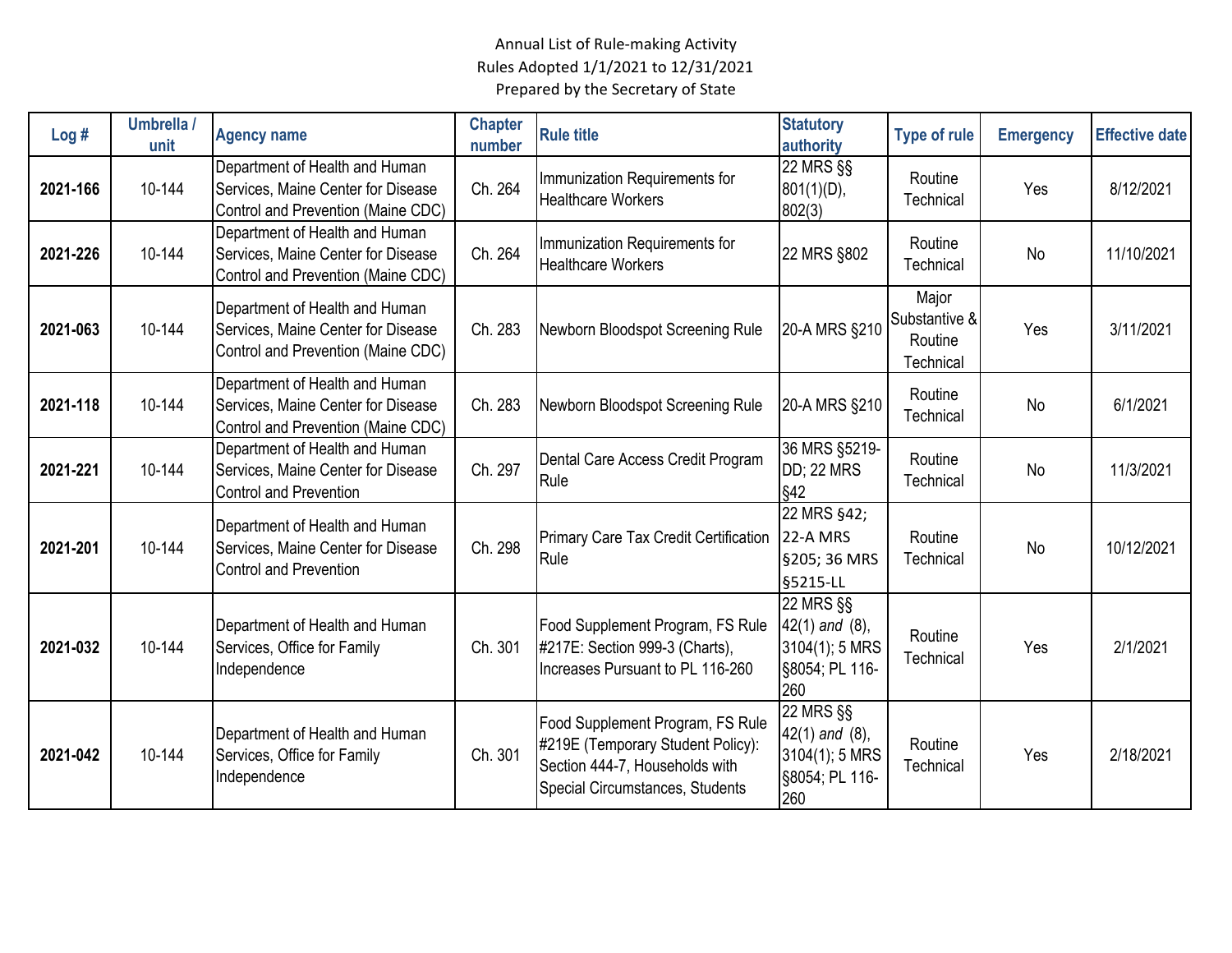| Log#     | Umbrella /<br>unit | <b>Agency name</b>                                                                                         | <b>Chapter</b><br>number | <b>Rule title</b>                                                                                                                          | <b>Statutory</b><br>authority                                               | <b>Type of rule</b>                            | <b>Emergency</b> | <b>Effective date</b> |
|----------|--------------------|------------------------------------------------------------------------------------------------------------|--------------------------|--------------------------------------------------------------------------------------------------------------------------------------------|-----------------------------------------------------------------------------|------------------------------------------------|------------------|-----------------------|
| 2021-166 | 10-144             | Department of Health and Human<br>Services, Maine Center for Disease<br>Control and Prevention (Maine CDC) | Ch. 264                  | Immunization Requirements for<br><b>Healthcare Workers</b>                                                                                 | 22 MRS §§<br>$801(1)(D)$ ,<br>802(3)                                        | Routine<br>Technical                           | Yes              | 8/12/2021             |
| 2021-226 | 10-144             | Department of Health and Human<br>Services, Maine Center for Disease<br>Control and Prevention (Maine CDC) | Ch. 264                  | Immunization Requirements for<br><b>Healthcare Workers</b>                                                                                 | 22 MRS §802                                                                 | Routine<br>Technical                           | No               | 11/10/2021            |
| 2021-063 | 10-144             | Department of Health and Human<br>Services, Maine Center for Disease<br>Control and Prevention (Maine CDC) | Ch. 283                  | Newborn Bloodspot Screening Rule                                                                                                           | 20-A MRS §210                                                               | Major<br>Substantive &<br>Routine<br>Technical | Yes              | 3/11/2021             |
| 2021-118 | 10-144             | Department of Health and Human<br>Services, Maine Center for Disease<br>Control and Prevention (Maine CDC) | Ch. 283                  | Newborn Bloodspot Screening Rule                                                                                                           | 20-A MRS §210                                                               | Routine<br>Technical                           | <b>No</b>        | 6/1/2021              |
| 2021-221 | 10-144             | Department of Health and Human<br>Services, Maine Center for Disease<br><b>Control and Prevention</b>      | Ch. 297                  | Dental Care Access Credit Program<br>Rule                                                                                                  | 36 MRS §5219-<br><b>DD; 22 MRS</b><br>§42                                   | Routine<br>Technical                           | No               | 11/3/2021             |
| 2021-201 | 10-144             | Department of Health and Human<br>Services, Maine Center for Disease<br><b>Control and Prevention</b>      | Ch. 298                  | <b>Primary Care Tax Credit Certification</b><br>Rule                                                                                       | 22 MRS §42;<br>22-A MRS<br>§205; 36 MRS<br>§5215-LL                         | Routine<br>Technical                           | No               | 10/12/2021            |
| 2021-032 | 10-144             | Department of Health and Human<br>Services, Office for Family<br>Independence                              | Ch. 301                  | Food Supplement Program, FS Rule<br>#217E: Section 999-3 (Charts),<br>Increases Pursuant to PL 116-260                                     | 22 MRS §§<br>$42(1)$ and $(8)$ ,<br>3104(1); 5 MRS<br>§8054; PL 116-<br>260 | Routine<br>Technical                           | Yes              | 2/1/2021              |
| 2021-042 | 10-144             | Department of Health and Human<br>Services, Office for Family<br>Independence                              | Ch. 301                  | Food Supplement Program, FS Rule<br>#219E (Temporary Student Policy):<br>Section 444-7, Households with<br>Special Circumstances, Students | 22 MRS §§<br>$42(1)$ and $(8)$ ,<br>3104(1); 5 MRS<br>§8054; PL 116-<br>260 | Routine<br>Technical                           | Yes              | 2/18/2021             |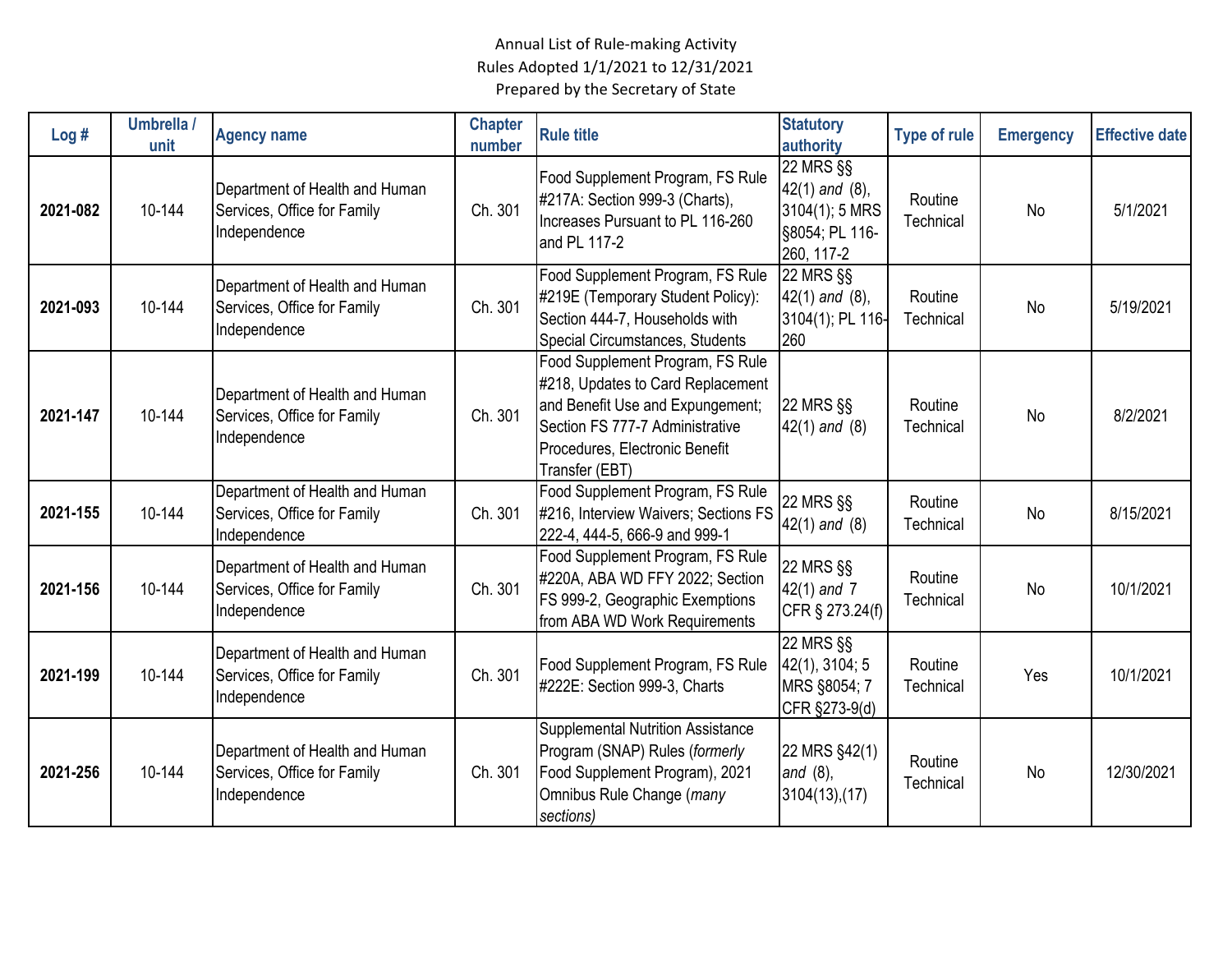| Log#     | Umbrella /<br>unit | <b>Agency name</b>                                                            | <b>Chapter</b><br>number | <b>Rule title</b>                                                                                                                                                                                | <b>Statutory</b><br>authority                                                             | <b>Type of rule</b>  | <b>Emergency</b> | <b>Effective date</b> |
|----------|--------------------|-------------------------------------------------------------------------------|--------------------------|--------------------------------------------------------------------------------------------------------------------------------------------------------------------------------------------------|-------------------------------------------------------------------------------------------|----------------------|------------------|-----------------------|
| 2021-082 | 10-144             | Department of Health and Human<br>Services, Office for Family<br>Independence | Ch. 301                  | Food Supplement Program, FS Rule<br>#217A: Section 999-3 (Charts),<br>Increases Pursuant to PL 116-260<br>and PL 117-2                                                                           | <b>22 MRS §§</b><br>$42(1)$ and $(8)$ ,<br>3104(1); 5 MRS<br>§8054; PL 116-<br>260, 117-2 | Routine<br>Technical | <b>No</b>        | 5/1/2021              |
| 2021-093 | 10-144             | Department of Health and Human<br>Services, Office for Family<br>Independence | Ch. 301                  | Food Supplement Program, FS Rule<br>#219E (Temporary Student Policy):<br>Section 444-7, Households with<br>Special Circumstances, Students                                                       | <b>22 MRS §§</b><br>$42(1)$ and $(8)$ ,<br>3104(1); PL 116-<br>260                        | Routine<br>Technical | <b>No</b>        | 5/19/2021             |
| 2021-147 | 10-144             | Department of Health and Human<br>Services, Office for Family<br>Independence | Ch. 301                  | Food Supplement Program, FS Rule<br>#218, Updates to Card Replacement<br>and Benefit Use and Expungement;<br>Section FS 777-7 Administrative<br>Procedures, Electronic Benefit<br>Transfer (EBT) | <b>22 MRS §§</b><br>$42(1)$ and $(8)$                                                     | Routine<br>Technical | <b>No</b>        | 8/2/2021              |
| 2021-155 | 10-144             | Department of Health and Human<br>Services, Office for Family<br>Independence | Ch. 301                  | Food Supplement Program, FS Rule<br>#216, Interview Waivers; Sections FS<br>222-4, 444-5, 666-9 and 999-1                                                                                        | 22 MRS §§<br>$42(1)$ and $(8)$                                                            | Routine<br>Technical | No               | 8/15/2021             |
| 2021-156 | 10-144             | Department of Health and Human<br>Services, Office for Family<br>Independence | Ch. 301                  | Food Supplement Program, FS Rule<br>#220A, ABA WD FFY 2022; Section<br>FS 999-2, Geographic Exemptions<br>from ABA WD Work Requirements                                                          | <b>22 MRS §§</b><br>42(1) and 7<br>CFR § 273.24(f)                                        | Routine<br>Technical | <b>No</b>        | 10/1/2021             |
| 2021-199 | 10-144             | Department of Health and Human<br>Services, Office for Family<br>Independence | Ch. 301                  | Food Supplement Program, FS Rule<br>#222E: Section 999-3, Charts                                                                                                                                 | <b>22 MRS §§</b><br>42(1), 3104; 5<br>MRS §8054; 7<br>CFR §273-9(d)                       | Routine<br>Technical | Yes              | 10/1/2021             |
| 2021-256 | 10-144             | Department of Health and Human<br>Services, Office for Family<br>Independence | Ch. 301                  | <b>Supplemental Nutrition Assistance</b><br>Program (SNAP) Rules (formerly<br>Food Supplement Program), 2021<br>Omnibus Rule Change (many<br>sections)                                           | 22 MRS §42(1)<br>and $(8)$ ,<br>3104(13),(17)                                             | Routine<br>Technical | <b>No</b>        | 12/30/2021            |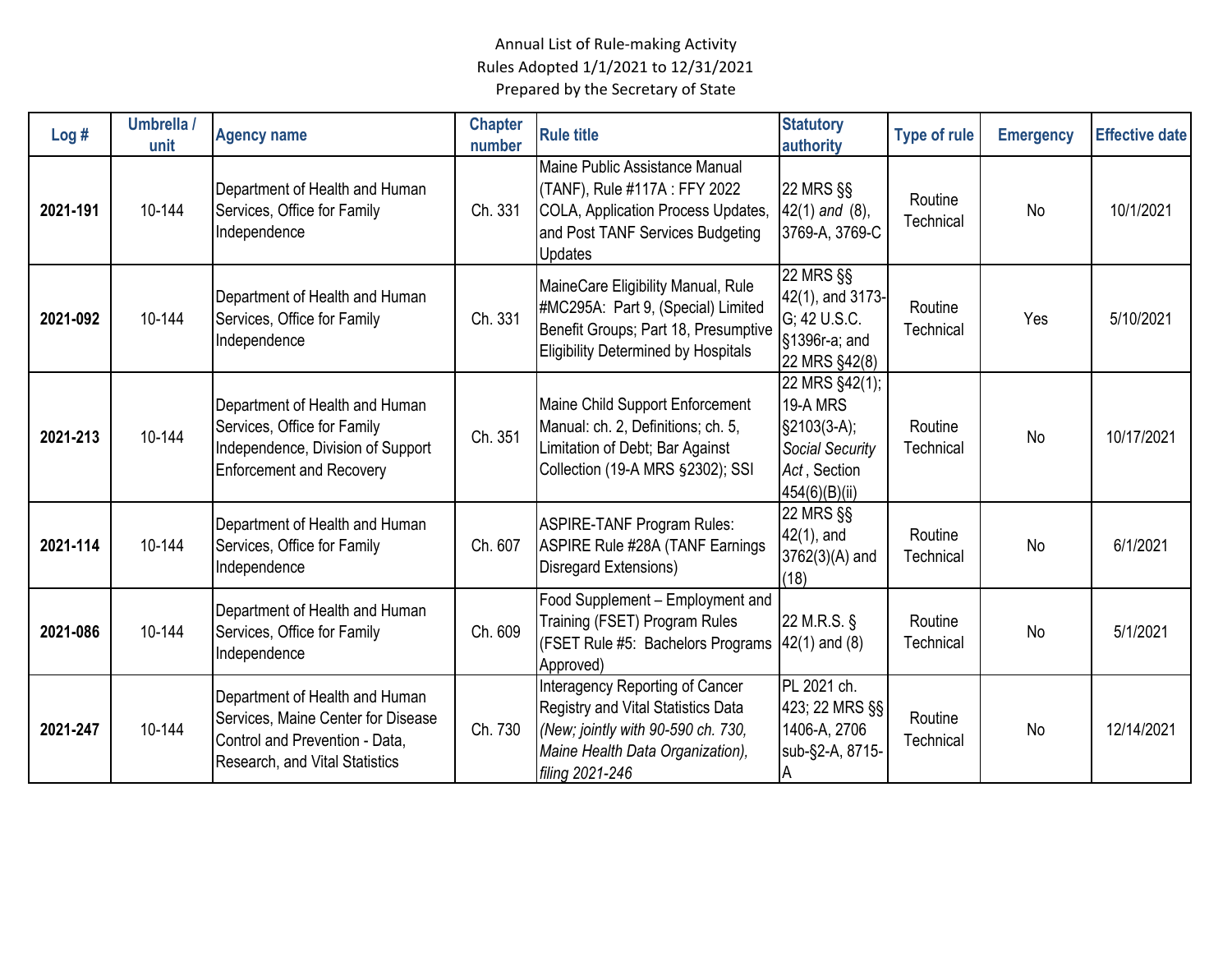| Log#     | Umbrella /<br>unit | <b>Agency name</b>                                                                                                                       | <b>Chapter</b><br>number | <b>Rule title</b>                                                                                                                                                  | <b>Statutory</b><br>authority                                                                          | <b>Type of rule</b>  | <b>Emergency</b> | <b>Effective date</b> |
|----------|--------------------|------------------------------------------------------------------------------------------------------------------------------------------|--------------------------|--------------------------------------------------------------------------------------------------------------------------------------------------------------------|--------------------------------------------------------------------------------------------------------|----------------------|------------------|-----------------------|
| 2021-191 | 10-144             | Department of Health and Human<br>Services, Office for Family<br>Independence                                                            | Ch. 331                  | Maine Public Assistance Manual<br>(TANF), Rule #117A : FFY 2022<br>COLA, Application Process Updates,<br>and Post TANF Services Budgeting<br><b>Updates</b>        | 22 MRS §§<br>$42(1)$ and $(8)$ ,<br>3769-A, 3769-C                                                     | Routine<br>Technical | No               | 10/1/2021             |
| 2021-092 | 10-144             | Department of Health and Human<br>Services, Office for Family<br>Independence                                                            | Ch. 331                  | MaineCare Eligibility Manual, Rule<br>#MC295A: Part 9, (Special) Limited<br>Benefit Groups; Part 18, Presumptive<br>Eligibility Determined by Hospitals            | 22 MRS §§<br>42(1), and 3173-<br>G; 42 U.S.C.<br>§1396r-a; and<br>22 MRS §42(8)                        | Routine<br>Technical | Yes              | 5/10/2021             |
| 2021-213 | 10-144             | Department of Health and Human<br>Services, Office for Family<br>Independence, Division of Support<br><b>Enforcement and Recovery</b>    | Ch. 351                  | Maine Child Support Enforcement<br>Manual: ch. 2, Definitions; ch. 5,<br>Limitation of Debt; Bar Against<br>Collection (19-A MRS §2302); SSI                       | 22 MRS §42(1);<br>19-A MRS<br>$§2103(3-A);$<br><b>Social Security</b><br>Act, Section<br>454(6)(B)(ii) | Routine<br>Technical | <b>No</b>        | 10/17/2021            |
| 2021-114 | 10-144             | Department of Health and Human<br>Services, Office for Family<br>Independence                                                            | Ch. 607                  | <b>ASPIRE-TANF Program Rules:</b><br><b>ASPIRE Rule #28A (TANF Earnings</b><br>Disregard Extensions)                                                               | 22 MRS §§<br>$42(1)$ , and<br>$3762(3)(A)$ and<br>(18)                                                 | Routine<br>Technical | <b>No</b>        | 6/1/2021              |
| 2021-086 | 10-144             | Department of Health and Human<br>Services, Office for Family<br>Independence                                                            | Ch. 609                  | Food Supplement - Employment and<br>Training (FSET) Program Rules<br>(FSET Rule #5: Bachelors Programs<br>Approved)                                                | 22 M.R.S. §<br>$42(1)$ and $(8)$                                                                       | Routine<br>Technical | <b>No</b>        | 5/1/2021              |
| 2021-247 | 10-144             | Department of Health and Human<br>Services, Maine Center for Disease<br>Control and Prevention - Data,<br>Research, and Vital Statistics | Ch. 730                  | Interagency Reporting of Cancer<br>Registry and Vital Statistics Data<br>(New; jointly with 90-590 ch. 730,<br>Maine Health Data Organization),<br>filing 2021-246 | PL 2021 ch.<br>423; 22 MRS §§<br>1406-A, 2706<br>sub-§2-A, 8715-<br>A                                  | Routine<br>Technical | No               | 12/14/2021            |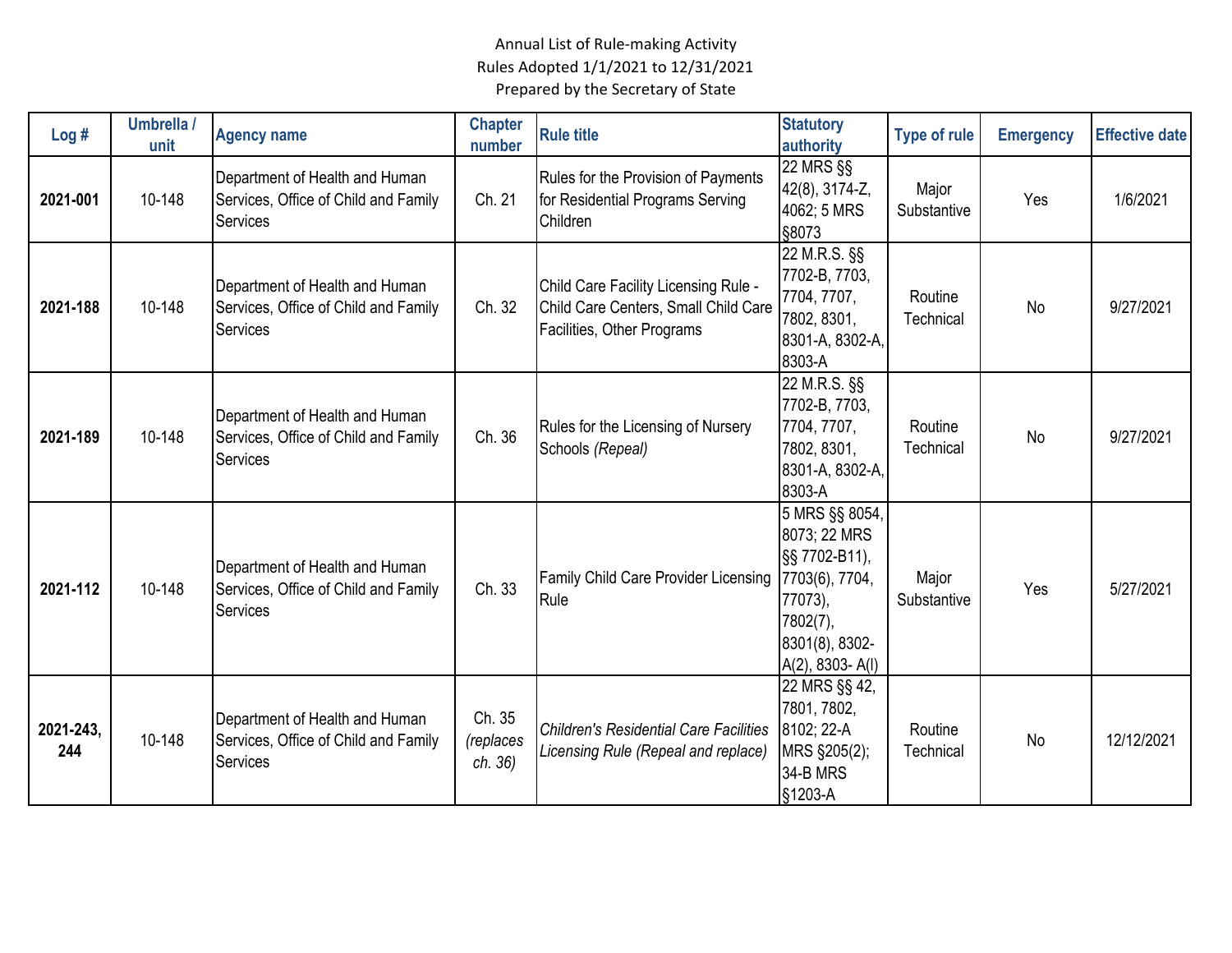| Log#             | Umbrella /<br>unit | <b>Agency name</b>                                                                        | <b>Chapter</b><br>number       | <b>Rule title</b>                                                                                          | <b>Statutory</b><br>authority                                                                                                       | <b>Type of rule</b>  | <b>Emergency</b> | <b>Effective date</b> |
|------------------|--------------------|-------------------------------------------------------------------------------------------|--------------------------------|------------------------------------------------------------------------------------------------------------|-------------------------------------------------------------------------------------------------------------------------------------|----------------------|------------------|-----------------------|
| 2021-001         | 10-148             | Department of Health and Human<br>Services, Office of Child and Family<br>Services        | Ch. 21                         | Rules for the Provision of Payments<br>for Residential Programs Serving<br>Children                        | 22 MRS §§<br>42(8), 3174-Z,<br>4062; 5 MRS<br>§8073                                                                                 | Major<br>Substantive | Yes              | 1/6/2021              |
| 2021-188         | 10-148             | Department of Health and Human<br>Services, Office of Child and Family<br><b>Services</b> | Ch. 32                         | Child Care Facility Licensing Rule -<br>Child Care Centers, Small Child Care<br>Facilities, Other Programs | 22 M.R.S. §§<br>7702-B, 7703,<br>7704, 7707,<br>7802, 8301,<br>8301-A, 8302-A,<br>8303-A                                            | Routine<br>Technical | No               | 9/27/2021             |
| 2021-189         | 10-148             | Department of Health and Human<br>Services, Office of Child and Family<br><b>Services</b> | Ch. 36                         | Rules for the Licensing of Nursery<br>Schools (Repeal)                                                     | 22 M.R.S. §§<br>7702-B, 7703,<br>7704, 7707,<br>7802, 8301,<br>8301-A, 8302-A,<br>8303-A                                            | Routine<br>Technical | No               | 9/27/2021             |
| 2021-112         | 10-148             | Department of Health and Human<br>Services, Office of Child and Family<br><b>Services</b> | Ch. 33                         | <b>Family Child Care Provider Licensing</b><br>Rule                                                        | 5 MRS §§ 8054,<br>8073; 22 MRS<br>§§ 7702-B11),<br>7703(6), 7704,<br>77073),<br>7802(7),<br>8301(8), 8302-<br>$A(2)$ , 8303- $A(1)$ | Major<br>Substantive | Yes              | 5/27/2021             |
| 2021-243,<br>244 | 10-148             | Department of Health and Human<br>Services, Office of Child and Family<br>Services        | Ch. 35<br>(replaces<br>ch. 36) | <b>Children's Residential Care Facilities</b><br>Licensing Rule (Repeal and replace)                       | 22 MRS §§ 42,<br>7801, 7802,<br>8102; 22-A<br>MRS §205(2);<br>34-B MRS<br>§1203-A                                                   | Routine<br>Technical | No               | 12/12/2021            |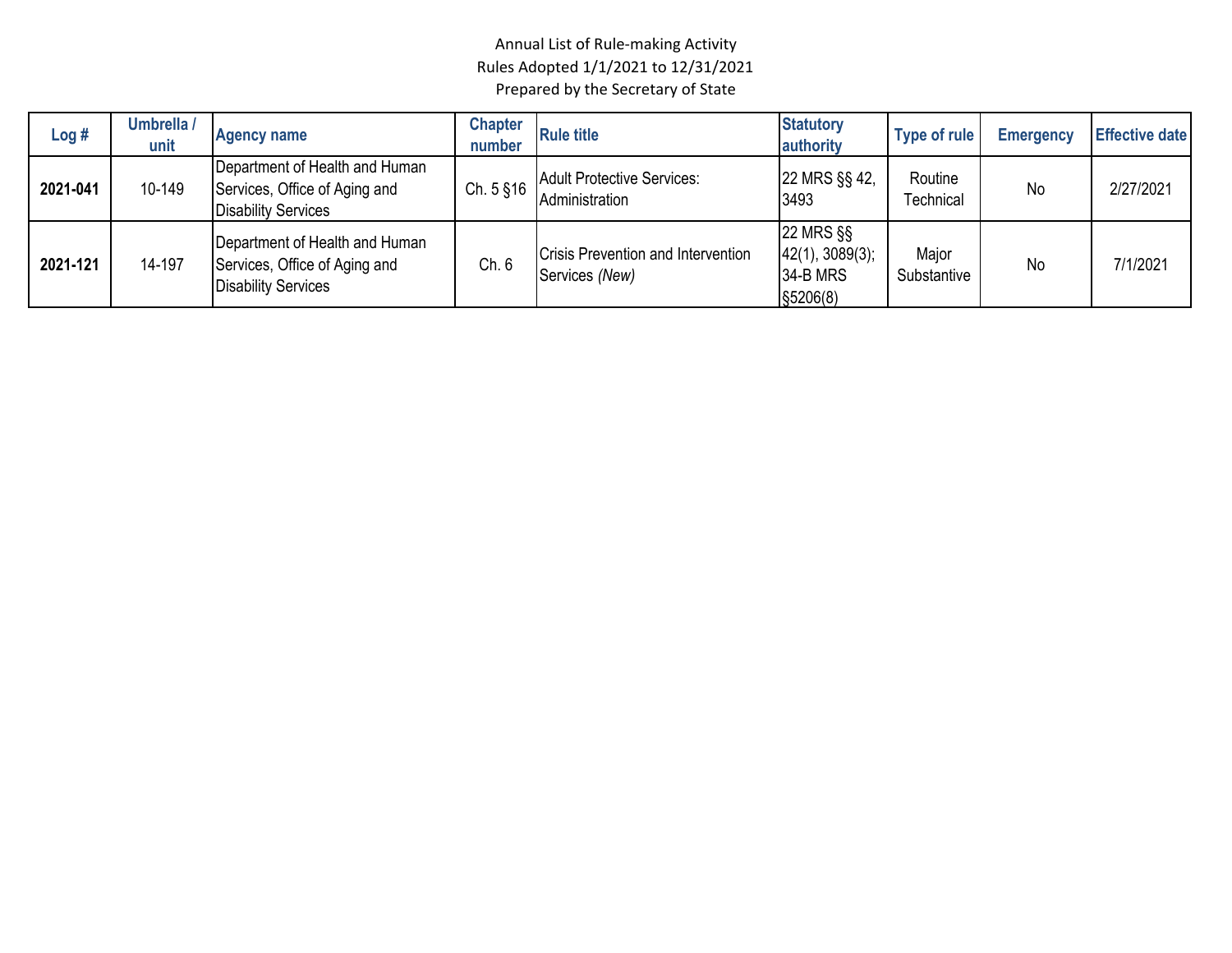| Log#     | Umbrella /<br>unit | <b>Agency name</b>                                                                            | <b>Chapter</b><br>number | <b>Rule title</b>                                    | <b>Statutory</b><br>authority                          | Type of rule                | <b>Emergency</b> | <b>Effective date</b> |
|----------|--------------------|-----------------------------------------------------------------------------------------------|--------------------------|------------------------------------------------------|--------------------------------------------------------|-----------------------------|------------------|-----------------------|
| 2021-041 | 10-149             | Department of Health and Human<br>Services, Office of Aging and<br><b>Disability Services</b> | Ch. $5$ $$16$            | <b>Adult Protective Services:</b><br>Administration  | 22 MRS §§ 42,<br>3493                                  | Routine<br><b>Fechnical</b> | <b>No</b>        | 2/27/2021             |
| 2021-121 | 14-197             | Department of Health and Human<br>Services, Office of Aging and<br><b>Disability Services</b> | Ch. 6                    | Crisis Prevention and Intervention<br>Services (New) | 22 MRS §§<br> 42(1), 3089(3);<br>34-B MRS<br>\$5206(8) | Major<br>Substantive        | No               | 7/1/2021              |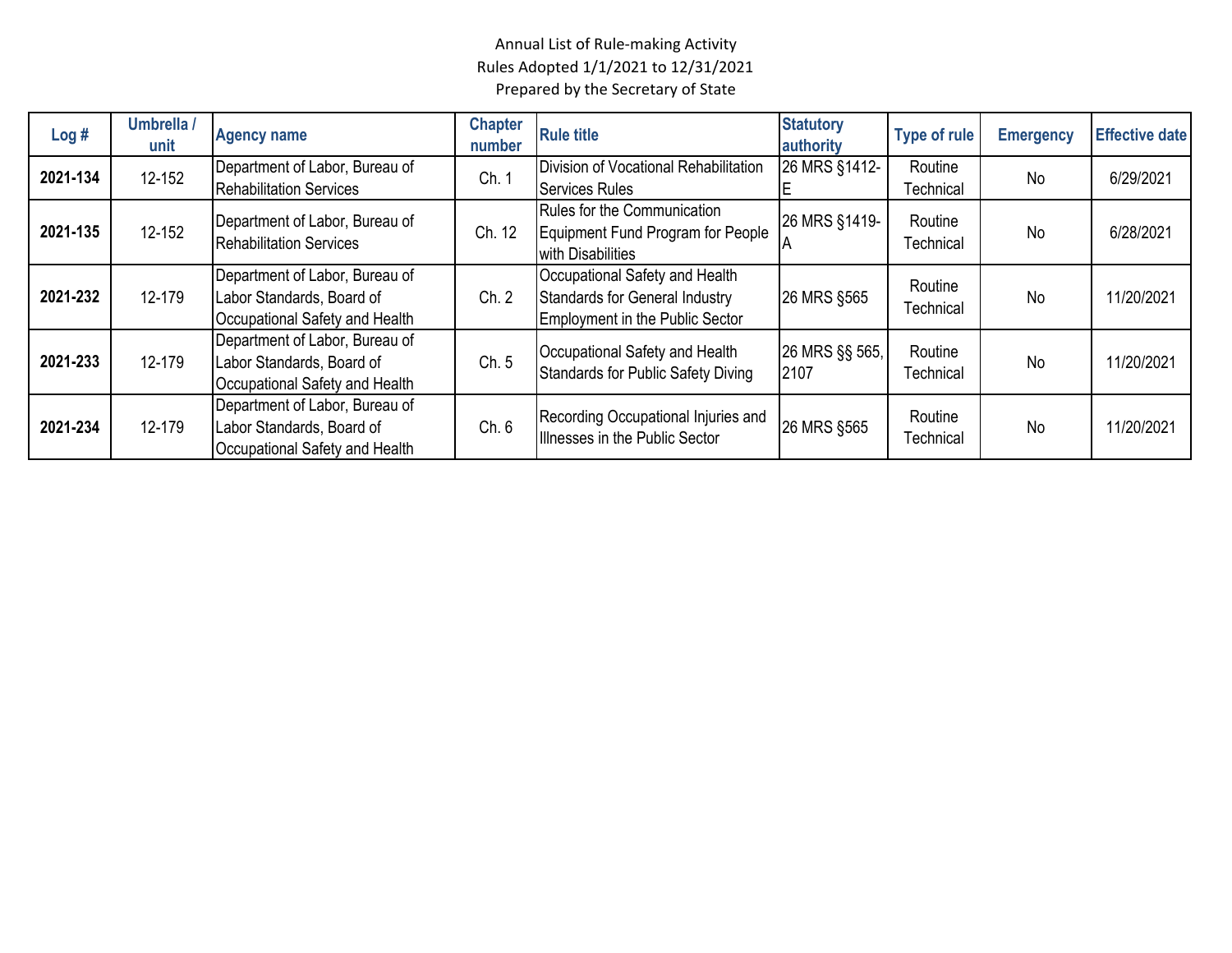| Log#     | Umbrella /<br>unit | <b>Agency name</b>                                                                            | <b>Chapter</b><br>number | <b>Rule title</b>                                                                                          | <b>Statutory</b><br>authority | <b>Type of rule</b>  | <b>Emergency</b> | <b>Effective date</b> |
|----------|--------------------|-----------------------------------------------------------------------------------------------|--------------------------|------------------------------------------------------------------------------------------------------------|-------------------------------|----------------------|------------------|-----------------------|
| 2021-134 | 12-152             | Department of Labor, Bureau of<br><b>Rehabilitation Services</b>                              | Ch. 1                    | Division of Vocational Rehabilitation<br><b>Services Rules</b>                                             | 26 MRS §1412-                 | Routine<br>Technical | <b>No</b>        | 6/29/2021             |
| 2021-135 | 12-152             | Department of Labor, Bureau of<br><b>Rehabilitation Services</b>                              | Ch. 12                   | Rules for the Communication<br>Equipment Fund Program for People<br>with Disabilities                      | 26 MRS §1419-<br>IΑ           | Routine<br>Technical | No               | 6/28/2021             |
| 2021-232 | 12-179             | Department of Labor, Bureau of<br>Labor Standards, Board of<br>Occupational Safety and Health | Ch. 2                    | Occupational Safety and Health<br>Standards for General Industry<br><b>Employment in the Public Sector</b> | 26 MRS §565                   | Routine<br>Technical | <b>No</b>        | 11/20/2021            |
| 2021-233 | 12-179             | Department of Labor, Bureau of<br>Labor Standards, Board of<br>Occupational Safety and Health | Ch. 5                    | Occupational Safety and Health<br><b>Standards for Public Safety Diving</b>                                | 26 MRS §§ 565,<br>2107        | Routine<br>Technical | <b>No</b>        | 11/20/2021            |
| 2021-234 | 12-179             | Department of Labor, Bureau of<br>Labor Standards, Board of<br>Occupational Safety and Health | Ch. 6                    | Recording Occupational Injuries and<br>Illnesses in the Public Sector                                      | 26 MRS §565                   | Routine<br>Technical | <b>No</b>        | 11/20/2021            |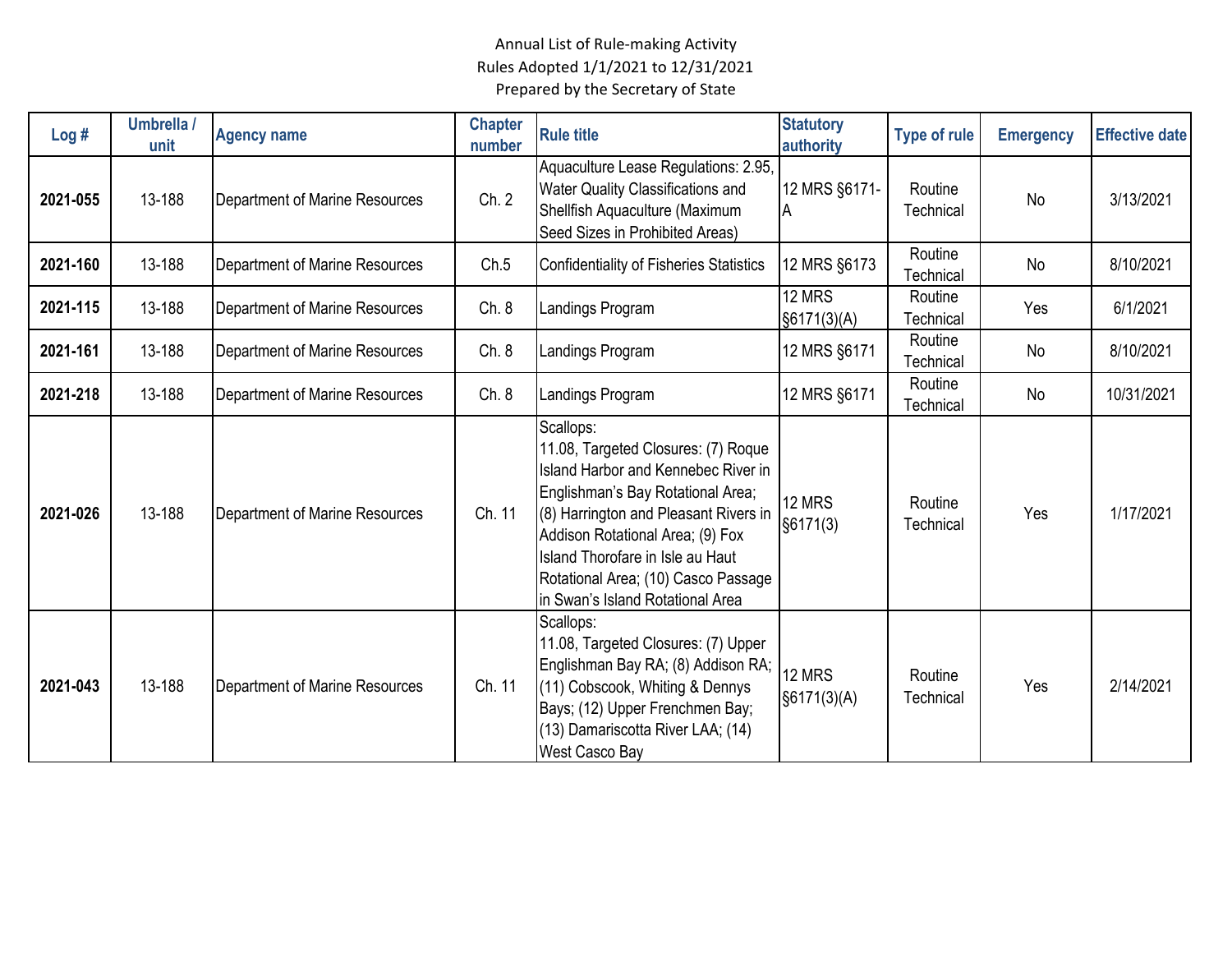| Log#     | Umbrella /<br>unit | <b>Agency name</b>             | <b>Chapter</b><br>number | <b>Rule title</b>                                                                                                                                                                                                                                                                                                               | <b>Statutory</b><br>authority | <b>Type of rule</b>  | <b>Emergency</b> | <b>Effective date</b> |
|----------|--------------------|--------------------------------|--------------------------|---------------------------------------------------------------------------------------------------------------------------------------------------------------------------------------------------------------------------------------------------------------------------------------------------------------------------------|-------------------------------|----------------------|------------------|-----------------------|
| 2021-055 | 13-188             | Department of Marine Resources | Ch. 2                    | Aquaculture Lease Regulations: 2.95,<br>Water Quality Classifications and<br>Shellfish Aquaculture (Maximum<br>Seed Sizes in Prohibited Areas)                                                                                                                                                                                  | 12 MRS §6171-<br>A            | Routine<br>Technical | <b>No</b>        | 3/13/2021             |
| 2021-160 | 13-188             | Department of Marine Resources | Ch.5                     | <b>Confidentiality of Fisheries Statistics</b>                                                                                                                                                                                                                                                                                  | 12 MRS §6173                  | Routine<br>Technical | No               | 8/10/2021             |
| 2021-115 | 13-188             | Department of Marine Resources | Ch. 8                    | Landings Program                                                                                                                                                                                                                                                                                                                | 12 MRS<br>§6171(3)(A)         | Routine<br>Technical | Yes              | 6/1/2021              |
| 2021-161 | 13-188             | Department of Marine Resources | Ch. 8                    | Landings Program                                                                                                                                                                                                                                                                                                                | 12 MRS §6171                  | Routine<br>Technical | <b>No</b>        | 8/10/2021             |
| 2021-218 | 13-188             | Department of Marine Resources | Ch. 8                    | Landings Program                                                                                                                                                                                                                                                                                                                | 12 MRS §6171                  | Routine<br>Technical | No               | 10/31/2021            |
| 2021-026 | 13-188             | Department of Marine Resources | Ch. 11                   | Scallops:<br>11.08, Targeted Closures: (7) Roque<br><b>Island Harbor and Kennebec River in</b><br>Englishman's Bay Rotational Area;<br>(8) Harrington and Pleasant Rivers in<br>Addison Rotational Area; (9) Fox<br>Island Thorofare in Isle au Haut<br>Rotational Area; (10) Casco Passage<br>in Swan's Island Rotational Area | 12 MRS<br>§6171(3)            | Routine<br>Technical | Yes              | 1/17/2021             |
| 2021-043 | 13-188             | Department of Marine Resources | Ch. 11                   | Scallops:<br>11.08, Targeted Closures: (7) Upper<br>Englishman Bay RA; (8) Addison RA;<br>(11) Cobscook, Whiting & Dennys<br>Bays; (12) Upper Frenchmen Bay;<br>(13) Damariscotta River LAA; (14)<br><b>West Casco Bay</b>                                                                                                      | 12 MRS<br>§6171(3)(A)         | Routine<br>Technical | Yes              | 2/14/2021             |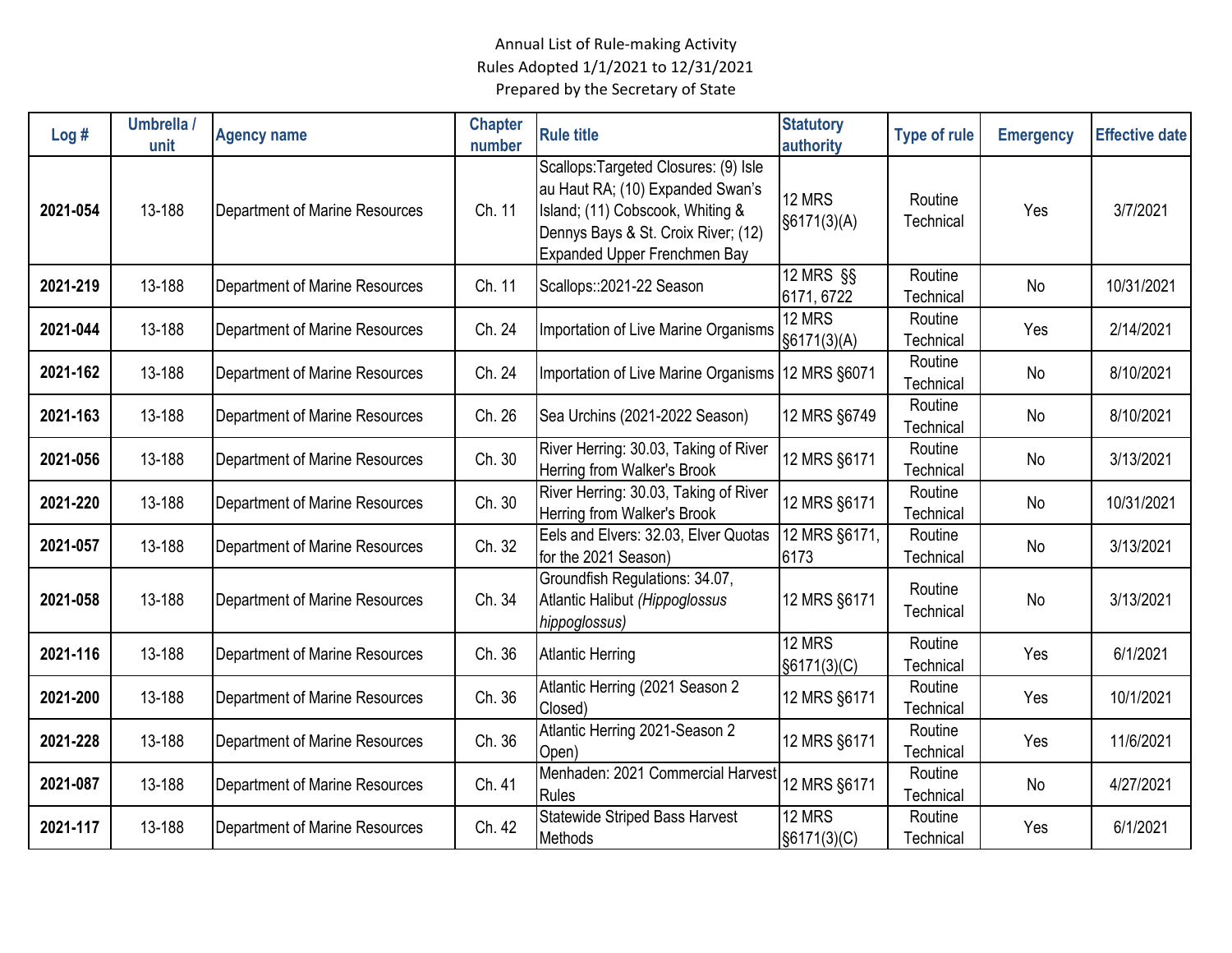| Log#     | Umbrella /<br>unit | <b>Agency name</b>             | <b>Chapter</b><br>number | <b>Rule title</b>                                                                                                                                                                    | <b>Statutory</b><br>authority          | <b>Type of rule</b>  | <b>Emergency</b> | <b>Effective date</b> |
|----------|--------------------|--------------------------------|--------------------------|--------------------------------------------------------------------------------------------------------------------------------------------------------------------------------------|----------------------------------------|----------------------|------------------|-----------------------|
| 2021-054 | 13-188             | Department of Marine Resources | Ch. 11                   | Scallops: Targeted Closures: (9) Isle<br>au Haut RA; (10) Expanded Swan's<br>Island; (11) Cobscook, Whiting &<br>Dennys Bays & St. Croix River; (12)<br>Expanded Upper Frenchmen Bay | 12 MRS<br>\$6171(3)(A)                 | Routine<br>Technical | Yes              | 3/7/2021              |
| 2021-219 | 13-188             | Department of Marine Resources | Ch. 11                   | Scallops::2021-22 Season                                                                                                                                                             | $\overline{12}$ MRS $\S$<br>6171, 6722 | Routine<br>Technical | No               | 10/31/2021            |
| 2021-044 | 13-188             | Department of Marine Resources | Ch. 24                   | Importation of Live Marine Organisms                                                                                                                                                 | 12 MRS<br>§6171(3)(A)                  | Routine<br>Technical | Yes              | 2/14/2021             |
| 2021-162 | 13-188             | Department of Marine Resources | Ch. 24                   | Importation of Live Marine Organisms                                                                                                                                                 | 12 MRS §6071                           | Routine<br>Technical | No               | 8/10/2021             |
| 2021-163 | 13-188             | Department of Marine Resources | Ch. 26                   | Sea Urchins (2021-2022 Season)                                                                                                                                                       | 12 MRS §6749                           | Routine<br>Technical | No               | 8/10/2021             |
| 2021-056 | 13-188             | Department of Marine Resources | Ch. 30                   | River Herring: 30.03, Taking of River<br>Herring from Walker's Brook                                                                                                                 | 12 MRS §6171                           | Routine<br>Technical | No               | 3/13/2021             |
| 2021-220 | 13-188             | Department of Marine Resources | Ch. 30                   | River Herring: 30.03, Taking of River<br>Herring from Walker's Brook                                                                                                                 | 12 MRS §6171                           | Routine<br>Technical | No               | 10/31/2021            |
| 2021-057 | 13-188             | Department of Marine Resources | Ch. 32                   | Eels and Elvers: 32.03, Elver Quotas<br>for the 2021 Season)                                                                                                                         | 12 MRS §6171,<br>6173                  | Routine<br>Technical | No               | 3/13/2021             |
| 2021-058 | 13-188             | Department of Marine Resources | Ch. 34                   | Groundfish Regulations: 34.07,<br>Atlantic Halibut (Hippoglossus<br>hippoglossus)                                                                                                    | 12 MRS §6171                           | Routine<br>Technical | No               | 3/13/2021             |
| 2021-116 | 13-188             | Department of Marine Resources | Ch. 36                   | <b>Atlantic Herring</b>                                                                                                                                                              | 12 MRS<br>§6171(3)(C)                  | Routine<br>Technical | Yes              | 6/1/2021              |
| 2021-200 | 13-188             | Department of Marine Resources | Ch. 36                   | Atlantic Herring (2021 Season 2<br>Closed)                                                                                                                                           | 12 MRS §6171                           | Routine<br>Technical | Yes              | 10/1/2021             |
| 2021-228 | 13-188             | Department of Marine Resources | Ch. 36                   | Atlantic Herring 2021-Season 2<br>Open)                                                                                                                                              | 12 MRS §6171                           | Routine<br>Technical | Yes              | 11/6/2021             |
| 2021-087 | 13-188             | Department of Marine Resources | Ch. 41                   | Menhaden: 2021 Commercial Harvest<br>Rules                                                                                                                                           | 12 MRS §6171                           | Routine<br>Technical | No               | 4/27/2021             |
| 2021-117 | 13-188             | Department of Marine Resources | Ch. 42                   | Statewide Striped Bass Harvest<br>Methods                                                                                                                                            | 12 MRS<br>§6171(3)(C)                  | Routine<br>Technical | Yes              | 6/1/2021              |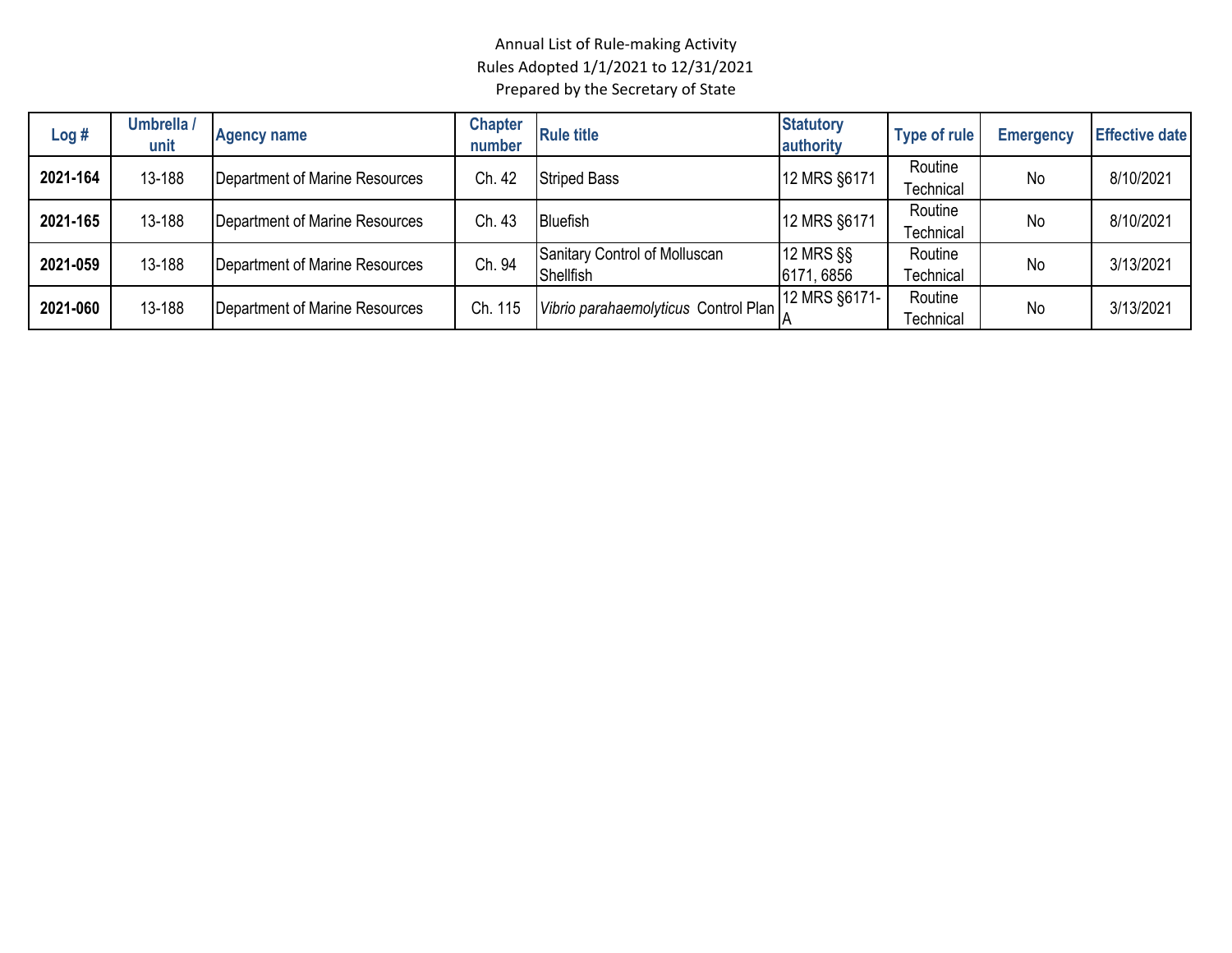| Log#     | Umbrella /<br>unit | <b>Agency name</b>             | <b>Chapter</b><br>number | <b>Rule title</b>                          | <b>Statutory</b><br>authority | <b>Type of rule</b>  | <b>Emergency</b> | <b>Effective date</b> |
|----------|--------------------|--------------------------------|--------------------------|--------------------------------------------|-------------------------------|----------------------|------------------|-----------------------|
| 2021-164 | 13-188             | Department of Marine Resources | Ch. 42                   | <b>Striped Bass</b>                        | 12 MRS §6171                  | Routine<br>Technical | No               | 8/10/2021             |
| 2021-165 | 13-188             | Department of Marine Resources | Ch. 43                   | <b>Bluefish</b>                            | 12 MRS §6171                  | Routine<br>Technical | No               | 8/10/2021             |
| 2021-059 | 13-188             | Department of Marine Resources | Ch. 94                   | Sanitary Control of Molluscan<br>Shellfish | 12 MRS §§<br>6171, 6856       | Routine<br>Technical | No               | 3/13/2021             |
| 2021-060 | 13-188             | Department of Marine Resources | Ch. 115                  | Vibrio parahaemolyticus Control Plan       | 12 MRS §6171-                 | Routine<br>Technical | No               | 3/13/2021             |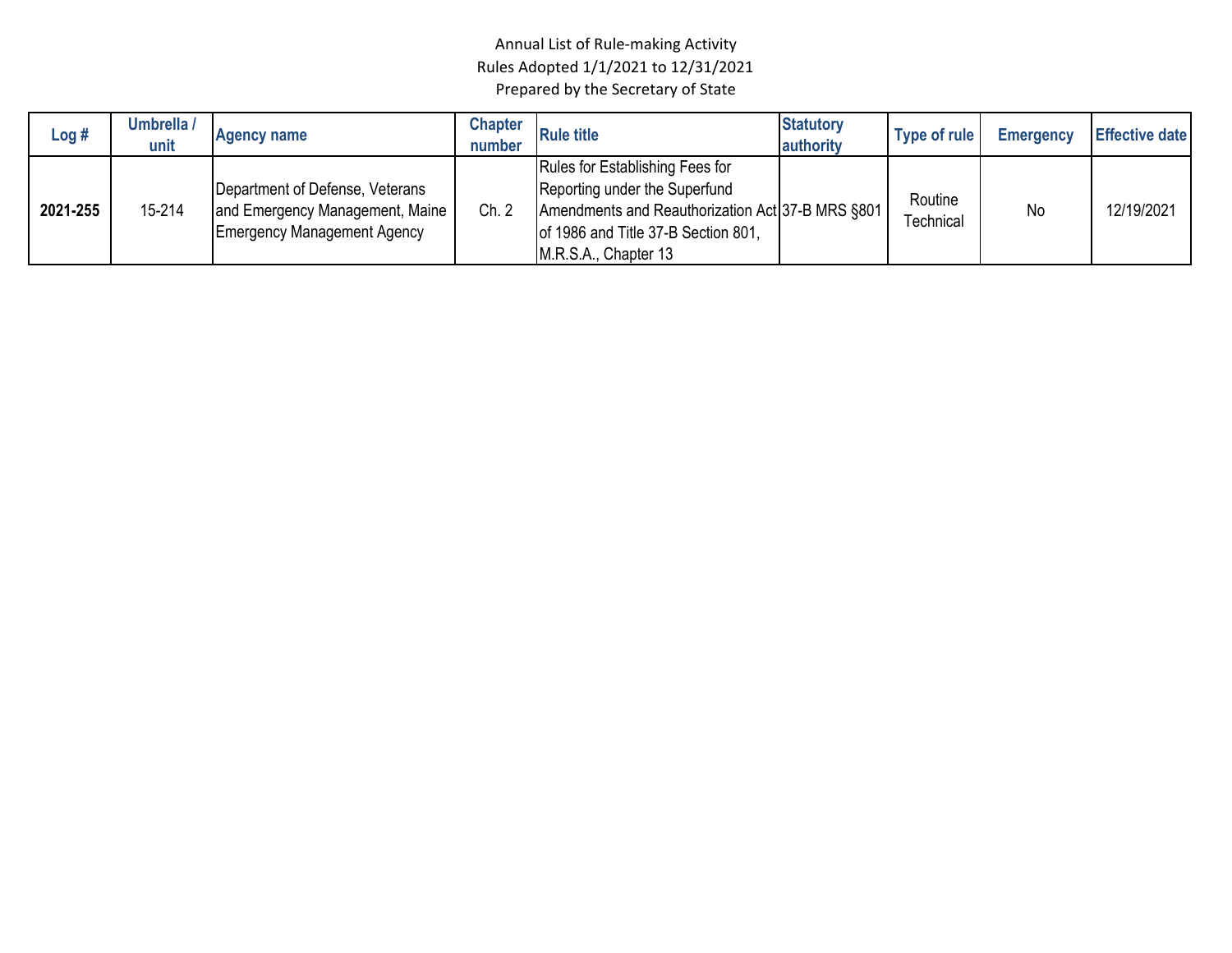| Log #    | Umbrella /<br>unit | <b>Agency name</b>                                                                                       | Chapter<br>number | <b>Rule title</b>                                                                                                                                                                   | <b>Statutory</b><br>authority | Type of rule                | <b>Emergency</b> | <b>Effective date</b> |
|----------|--------------------|----------------------------------------------------------------------------------------------------------|-------------------|-------------------------------------------------------------------------------------------------------------------------------------------------------------------------------------|-------------------------------|-----------------------------|------------------|-----------------------|
| 2021-255 | 15-214             | Department of Defense, Veterans<br>and Emergency Management, Maine<br><b>Emergency Management Agency</b> | Ch. 2             | Rules for Establishing Fees for<br>Reporting under the Superfund<br>Amendments and Reauthorization Act 37-B MRS §801<br>of 1986 and Title 37-B Section 801,<br>M.R.S.A., Chapter 13 |                               | Routine<br><b>Fechnical</b> | No               | 12/19/2021            |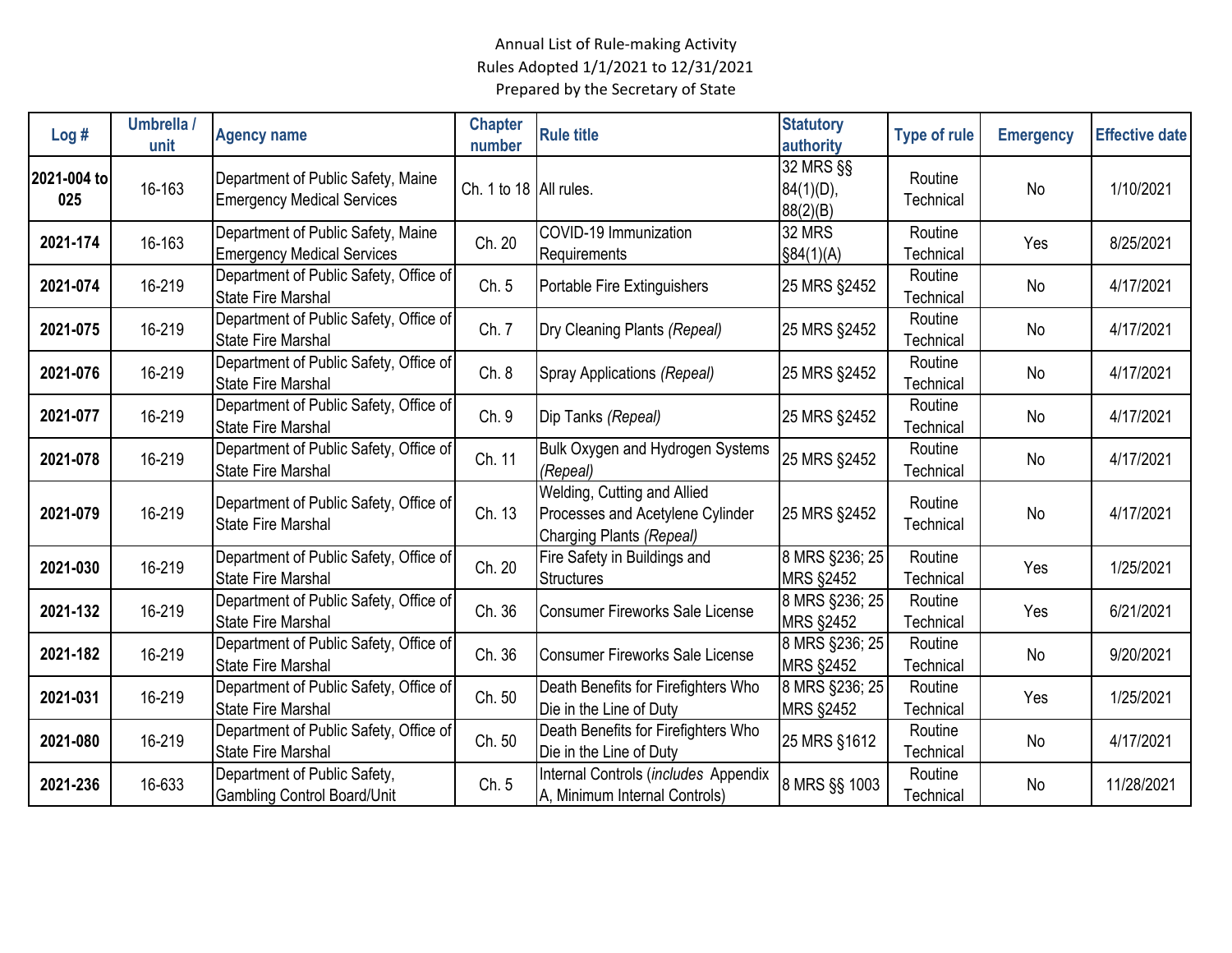| Log#               | Umbrella /<br>unit | <b>Agency name</b>                                                      | <b>Chapter</b><br>number | <b>Rule title</b>                                                                           | <b>Statutory</b><br>authority         | <b>Type of rule</b>  | <b>Emergency</b> | <b>Effective date</b> |
|--------------------|--------------------|-------------------------------------------------------------------------|--------------------------|---------------------------------------------------------------------------------------------|---------------------------------------|----------------------|------------------|-----------------------|
| 2021-004 to<br>025 | 16-163             | Department of Public Safety, Maine<br><b>Emergency Medical Services</b> | Ch. 1 to 18 All rules.   |                                                                                             | 32 MRS §§<br>$84(1)(D)$ ,<br>88(2)(B) | Routine<br>Technical | No               | 1/10/2021             |
| 2021-174           | 16-163             | Department of Public Safety, Maine<br><b>Emergency Medical Services</b> | Ch. 20                   | COVID-19 Immunization<br>Requirements                                                       | <b>32 MRS</b><br>\$84(1)(A)           | Routine<br>Technical | Yes              | 8/25/2021             |
| 2021-074           | 16-219             | Department of Public Safety, Office of<br><b>State Fire Marshal</b>     | Ch. 5                    | Portable Fire Extinguishers                                                                 | 25 MRS §2452                          | Routine<br>Technical | No               | 4/17/2021             |
| 2021-075           | 16-219             | Department of Public Safety, Office of<br><b>State Fire Marshal</b>     | Ch. 7                    | Dry Cleaning Plants (Repeal)                                                                | 25 MRS §2452                          | Routine<br>Technical | No               | 4/17/2021             |
| 2021-076           | 16-219             | Department of Public Safety, Office of<br><b>State Fire Marshal</b>     | Ch. 8                    | Spray Applications (Repeal)                                                                 | 25 MRS §2452                          | Routine<br>Technical | No               | 4/17/2021             |
| 2021-077           | 16-219             | Department of Public Safety, Office of<br><b>State Fire Marshal</b>     | Ch. 9                    | Dip Tanks (Repeal)                                                                          | 25 MRS §2452                          | Routine<br>Technical | No               | 4/17/2021             |
| 2021-078           | 16-219             | Department of Public Safety, Office of<br><b>State Fire Marshal</b>     | Ch. 11                   | Bulk Oxygen and Hydrogen Systems<br>(Repeal)                                                | 25 MRS §2452                          | Routine<br>Technical | No               | 4/17/2021             |
| 2021-079           | 16-219             | Department of Public Safety, Office of<br><b>State Fire Marshal</b>     | Ch. 13                   | Welding, Cutting and Allied<br>Processes and Acetylene Cylinder<br>Charging Plants (Repeal) | 25 MRS §2452                          | Routine<br>Technical | <b>No</b>        | 4/17/2021             |
| 2021-030           | 16-219             | Department of Public Safety, Office of<br><b>State Fire Marshal</b>     | Ch. 20                   | Fire Safety in Buildings and<br><b>Structures</b>                                           | 8 MRS §236; 25<br><b>MRS §2452</b>    | Routine<br>Technical | Yes              | 1/25/2021             |
| 2021-132           | 16-219             | Department of Public Safety, Office of<br><b>State Fire Marshal</b>     | Ch. 36                   | <b>Consumer Fireworks Sale License</b>                                                      | 8 MRS §236; 25<br><b>MRS §2452</b>    | Routine<br>Technical | Yes              | 6/21/2021             |
| 2021-182           | 16-219             | Department of Public Safety, Office of<br><b>State Fire Marshal</b>     | Ch. 36                   | <b>Consumer Fireworks Sale License</b>                                                      | 8 MRS §236; 25<br><b>MRS §2452</b>    | Routine<br>Technical | No               | 9/20/2021             |
| 2021-031           | 16-219             | Department of Public Safety, Office of<br><b>State Fire Marshal</b>     | Ch. 50                   | Death Benefits for Firefighters Who<br>Die in the Line of Duty                              | 8 MRS §236; 25<br>MRS §2452           | Routine<br>Technical | Yes              | 1/25/2021             |
| 2021-080           | 16-219             | Department of Public Safety, Office of<br><b>State Fire Marshal</b>     | Ch. 50                   | Death Benefits for Firefighters Who<br>Die in the Line of Duty                              | 25 MRS §1612                          | Routine<br>Technical | No               | 4/17/2021             |
| 2021-236           | 16-633             | Department of Public Safety,<br><b>Gambling Control Board/Unit</b>      | Ch. 5                    | Internal Controls (includes Appendix<br>A, Minimum Internal Controls)                       | 8 MRS §§ 1003                         | Routine<br>Technical | No               | 11/28/2021            |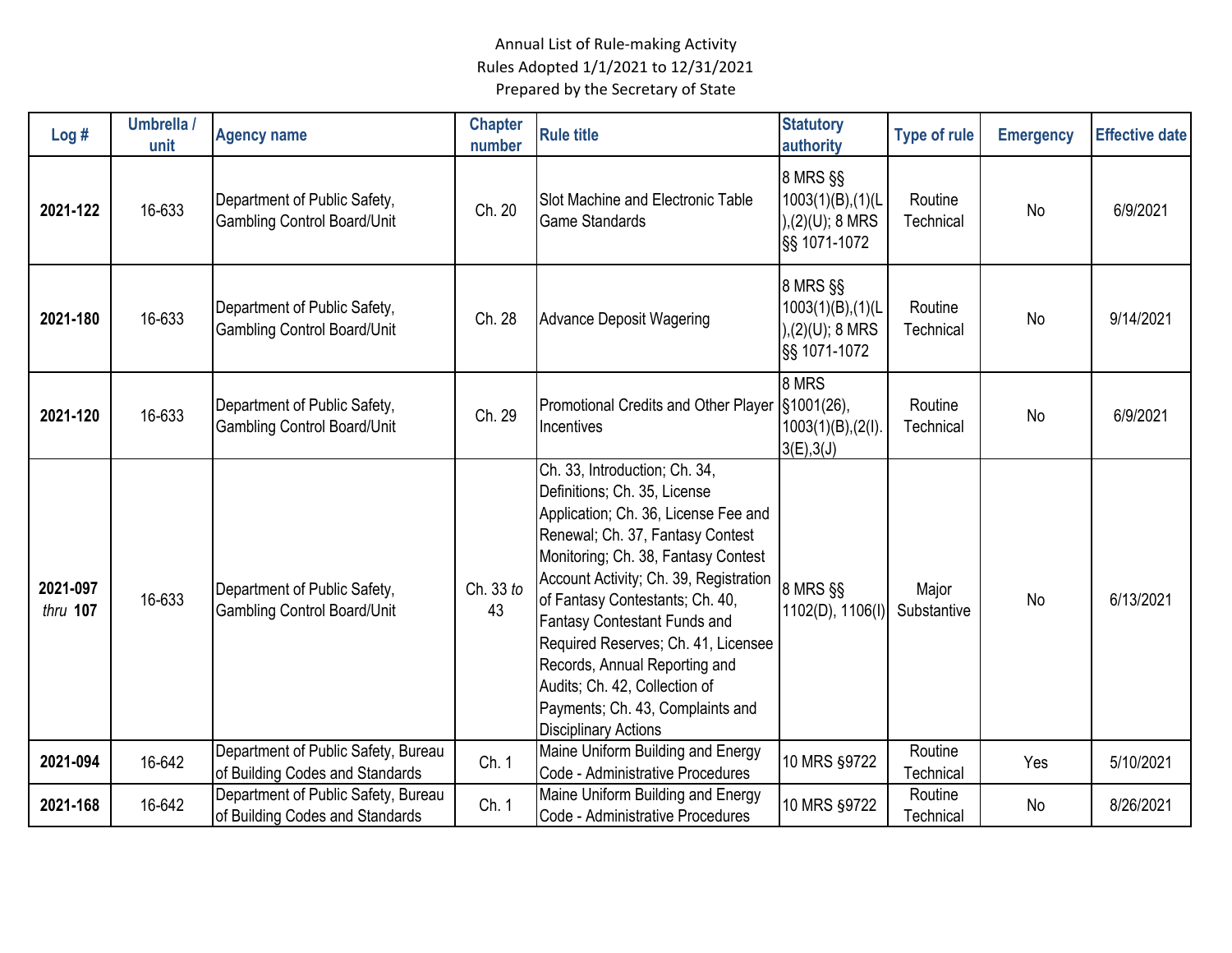| Log#                 | Umbrella /<br>unit | <b>Agency name</b>                                                     | <b>Chapter</b><br>number | <b>Rule title</b>                                                                                                                                                                                                                                                                                                                                                                                                                                                         | <b>Statutory</b><br>authority                                             | <b>Type of rule</b>  | <b>Emergency</b> | <b>Effective date</b> |
|----------------------|--------------------|------------------------------------------------------------------------|--------------------------|---------------------------------------------------------------------------------------------------------------------------------------------------------------------------------------------------------------------------------------------------------------------------------------------------------------------------------------------------------------------------------------------------------------------------------------------------------------------------|---------------------------------------------------------------------------|----------------------|------------------|-----------------------|
| 2021-122             | 16-633             | Department of Public Safety,<br><b>Gambling Control Board/Unit</b>     | Ch. 20                   | Slot Machine and Electronic Table<br><b>Game Standards</b>                                                                                                                                                                                                                                                                                                                                                                                                                | 8 MRS §§<br>$1003(1)(B)$ , $(1)(L)$<br>$), (2)(U); 8$ MRS<br>§§ 1071-1072 | Routine<br>Technical | <b>No</b>        | 6/9/2021              |
| 2021-180             | 16-633             | Department of Public Safety,<br><b>Gambling Control Board/Unit</b>     | Ch. 28                   | Advance Deposit Wagering                                                                                                                                                                                                                                                                                                                                                                                                                                                  | 8 MRS §§<br>$1003(1)(B)$ , $(1)(L)$<br>),(2)(U); 8 MRS<br>§§ 1071-1072    | Routine<br>Technical | No               | 9/14/2021             |
| 2021-120             | 16-633             | Department of Public Safety,<br><b>Gambling Control Board/Unit</b>     | Ch. 29                   | Promotional Credits and Other Player<br>Incentives                                                                                                                                                                                                                                                                                                                                                                                                                        | 8 MRS<br>§1001(26),<br>$1003(1)(B)$ , $(2(I))$<br>3(E), 3(J)              | Routine<br>Technical | <b>No</b>        | 6/9/2021              |
| 2021-097<br>thru 107 | 16-633             | Department of Public Safety,<br><b>Gambling Control Board/Unit</b>     | Ch. 33 to<br>43          | Ch. 33, Introduction; Ch. 34,<br>Definitions; Ch. 35, License<br>Application; Ch. 36, License Fee and<br>Renewal; Ch. 37, Fantasy Contest<br>Monitoring; Ch. 38, Fantasy Contest<br>Account Activity; Ch. 39, Registration<br>of Fantasy Contestants; Ch. 40,<br>Fantasy Contestant Funds and<br>Required Reserves; Ch. 41, Licensee<br>Records, Annual Reporting and<br>Audits; Ch. 42, Collection of<br>Payments; Ch. 43, Complaints and<br><b>Disciplinary Actions</b> | 8 MRS §§<br>1102(D), 1106(I)                                              | Major<br>Substantive | <b>No</b>        | 6/13/2021             |
| 2021-094             | 16-642             | Department of Public Safety, Bureau<br>of Building Codes and Standards | Ch. 1                    | Maine Uniform Building and Energy<br>Code - Administrative Procedures                                                                                                                                                                                                                                                                                                                                                                                                     | 10 MRS §9722                                                              | Routine<br>Technical | Yes              | 5/10/2021             |
| 2021-168             | 16-642             | Department of Public Safety, Bureau<br>of Building Codes and Standards | Ch. 1                    | Maine Uniform Building and Energy<br>Code - Administrative Procedures                                                                                                                                                                                                                                                                                                                                                                                                     | 10 MRS §9722                                                              | Routine<br>Technical | No               | 8/26/2021             |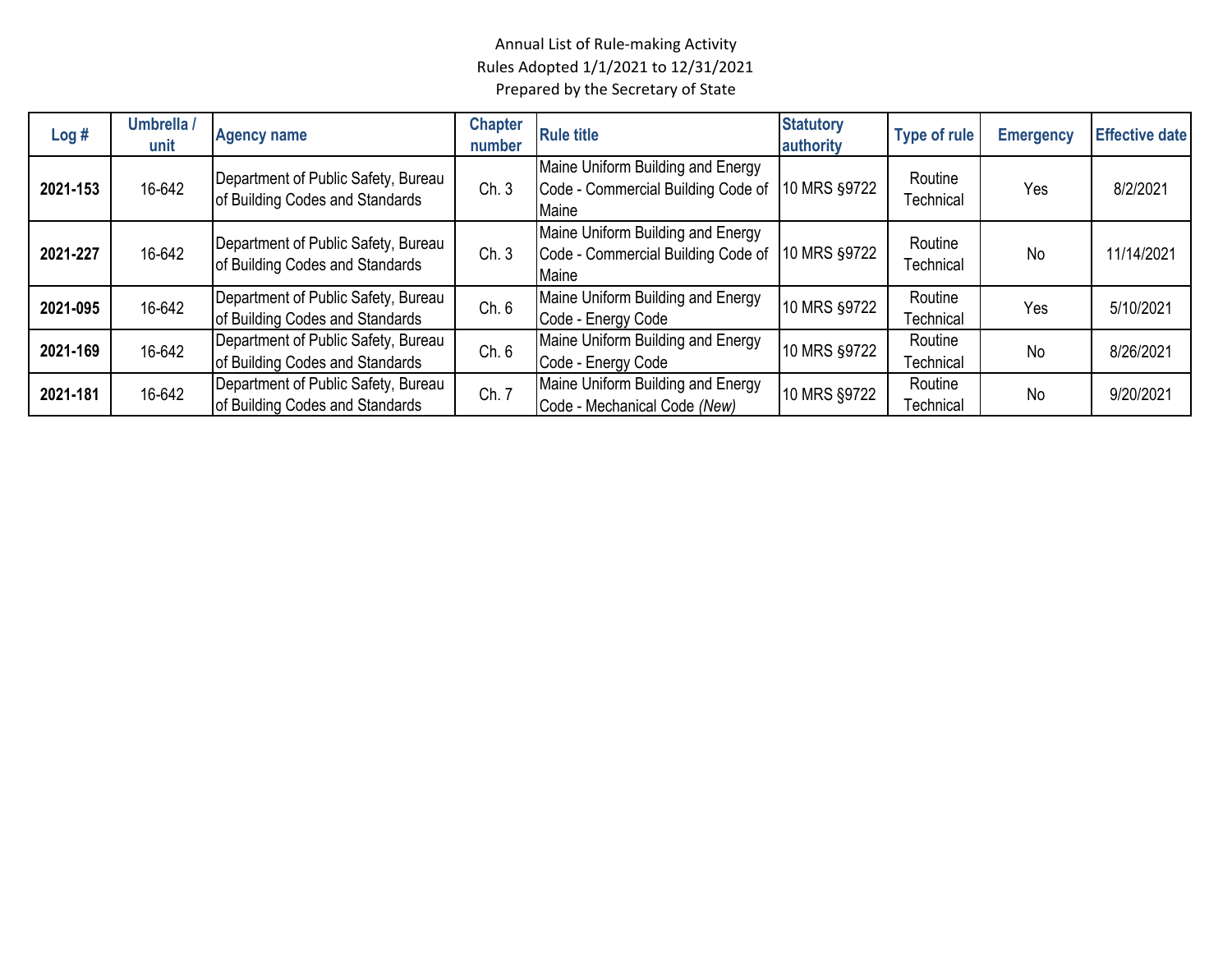| Log#     | Umbrella /<br>unit | <b>Agency name</b>                                                     | <b>Chapter</b><br>number | <b>Rule title</b>                                                                | <b>Statutory</b><br>authority | <b>Type of rule</b>  | <b>Emergency</b> | <b>Effective date</b> |
|----------|--------------------|------------------------------------------------------------------------|--------------------------|----------------------------------------------------------------------------------|-------------------------------|----------------------|------------------|-----------------------|
| 2021-153 | 16-642             | Department of Public Safety, Bureau<br>of Building Codes and Standards | Ch.3                     | Maine Uniform Building and Energy<br>Code - Commercial Building Code of<br>Maine | 10 MRS §9722                  | Routine<br>Technical | Yes              | 8/2/2021              |
| 2021-227 | 16-642             | Department of Public Safety, Bureau<br>of Building Codes and Standards | Ch.3                     | Maine Uniform Building and Energy<br>Code - Commercial Building Code of<br>Maine | 10 MRS §9722                  | Routine<br>Technical | <b>No</b>        | 11/14/2021            |
| 2021-095 | 16-642             | Department of Public Safety, Bureau<br>of Building Codes and Standards | Ch. 6                    | Maine Uniform Building and Energy<br>Code - Energy Code                          | 10 MRS §9722                  | Routine<br>Technical | Yes              | 5/10/2021             |
| 2021-169 | 16-642             | Department of Public Safety, Bureau<br>of Building Codes and Standards | Ch. 6                    | Maine Uniform Building and Energy<br>Code - Energy Code                          | 10 MRS §9722                  | Routine<br>Technical | No               | 8/26/2021             |
| 2021-181 | 16-642             | Department of Public Safety, Bureau<br>of Building Codes and Standards | Ch. 7                    | Maine Uniform Building and Energy<br>Code - Mechanical Code (New)                | 10 MRS §9722                  | Routine<br>Technical | No               | 9/20/2021             |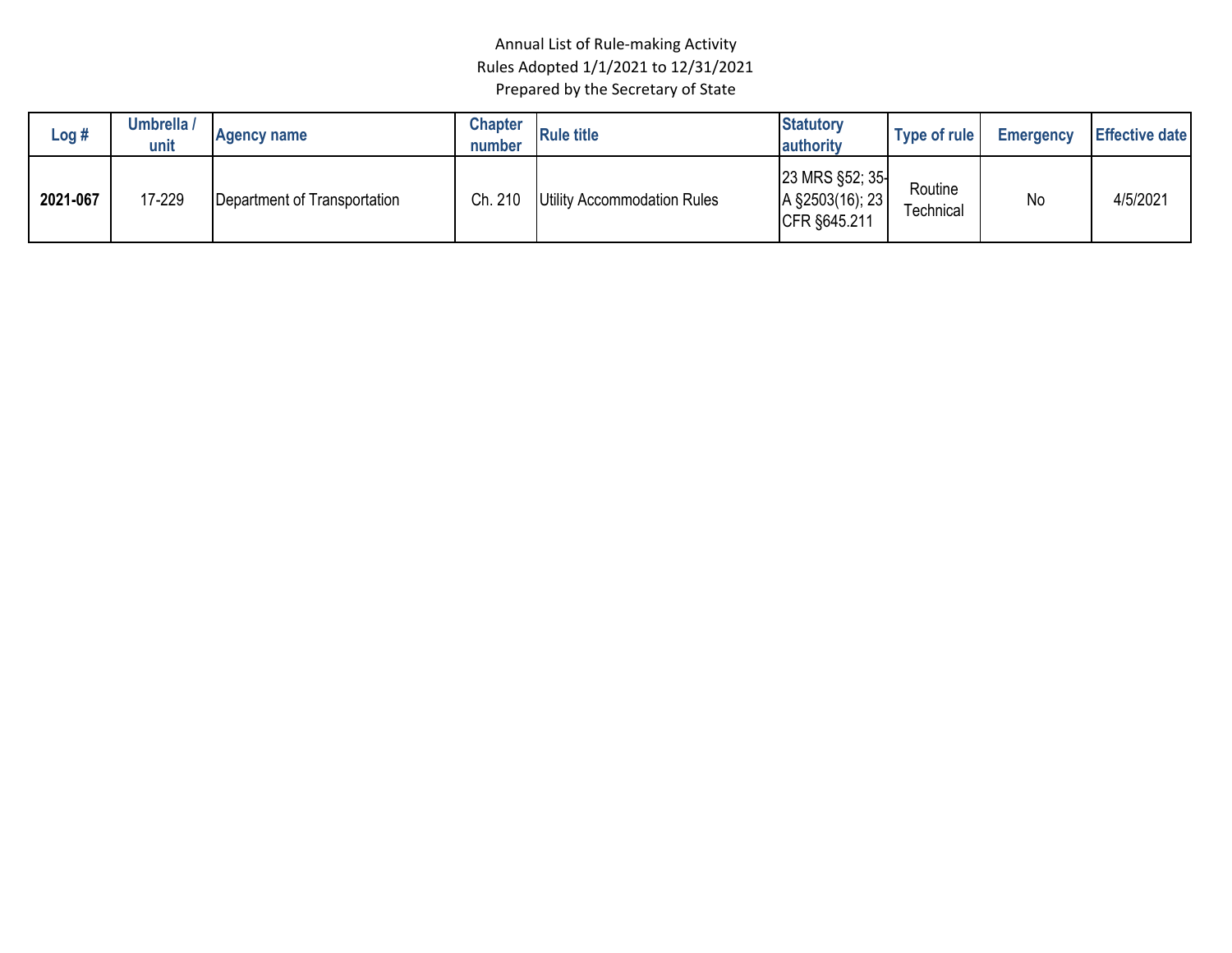| Log #    | Umbrella /<br>unit | <b>Agency name</b>           | <b>Chapter</b><br>number | <b>Rule title</b>           | <b>Statutory</b><br>authority                      | Type of rule         | Emergency | <b>Effective date</b> |
|----------|--------------------|------------------------------|--------------------------|-----------------------------|----------------------------------------------------|----------------------|-----------|-----------------------|
| 2021-067 | 17-229             | Department of Transportation | Ch. 210                  | Utility Accommodation Rules | 23 MRS §52; 35-<br>A §2503(16); 23<br>CFR §645.211 | Routine<br>Technical | No        | 4/5/2021              |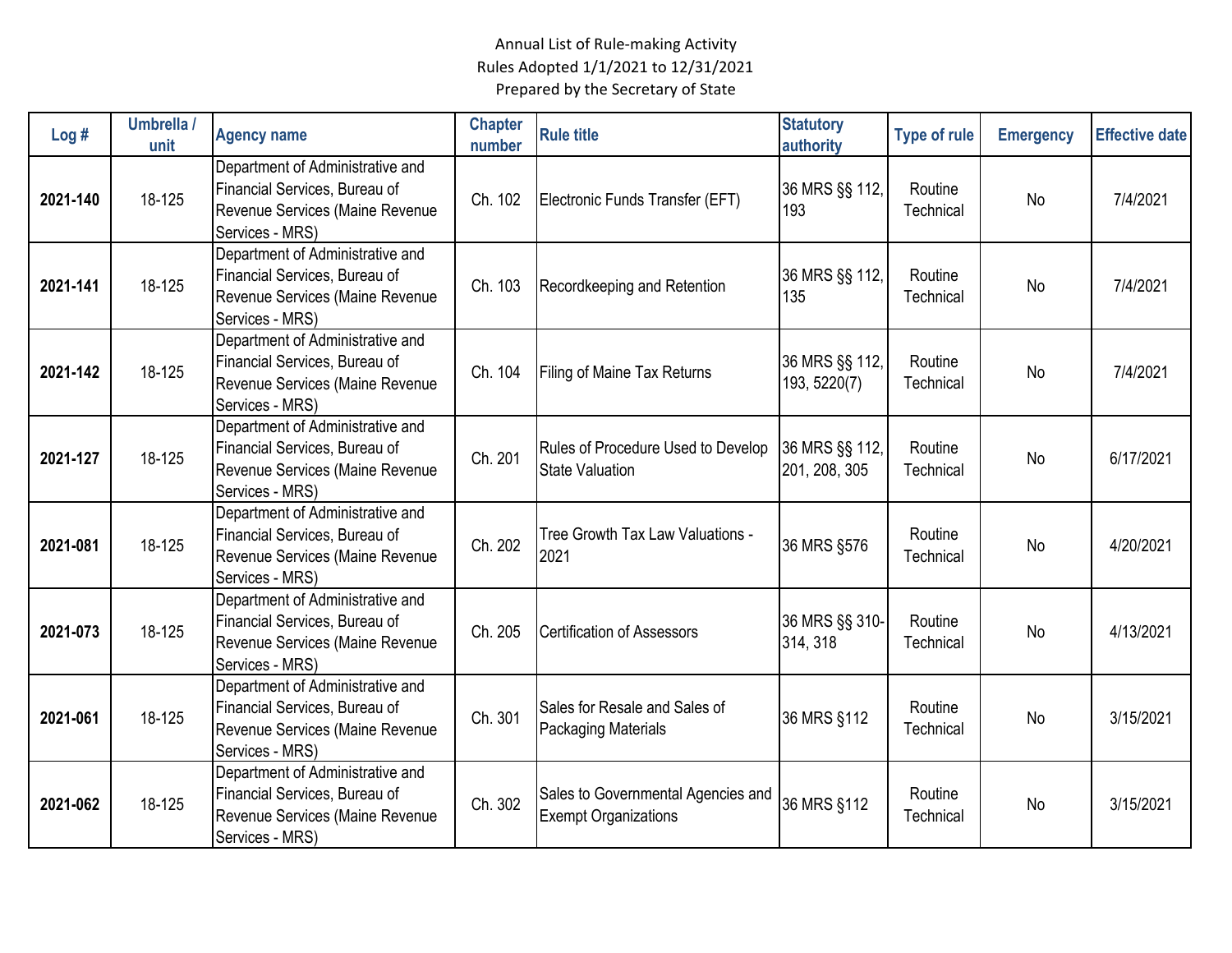| Log#     | Umbrella /<br>unit | <b>Agency name</b>                                                                                                      | <b>Chapter</b><br>number | <b>Rule title</b>                                                 | <b>Statutory</b><br>authority   | <b>Type of rule</b>  | <b>Emergency</b> | <b>Effective date</b> |
|----------|--------------------|-------------------------------------------------------------------------------------------------------------------------|--------------------------|-------------------------------------------------------------------|---------------------------------|----------------------|------------------|-----------------------|
| 2021-140 | 18-125             | Department of Administrative and<br>Financial Services, Bureau of<br>Revenue Services (Maine Revenue<br>Services - MRS) | Ch. 102                  | Electronic Funds Transfer (EFT)                                   | 36 MRS §§ 112,<br>193           | Routine<br>Technical | <b>No</b>        | 7/4/2021              |
| 2021-141 | 18-125             | Department of Administrative and<br>Financial Services, Bureau of<br>Revenue Services (Maine Revenue<br>Services - MRS) | Ch. 103                  | Recordkeeping and Retention                                       | 36 MRS §§ 112,<br>135           | Routine<br>Technical | No               | 7/4/2021              |
| 2021-142 | 18-125             | Department of Administrative and<br>Financial Services, Bureau of<br>Revenue Services (Maine Revenue<br>Services - MRS) | Ch. 104                  | Filing of Maine Tax Returns                                       | 36 MRS §§ 112,<br>193, 5220(7)  | Routine<br>Technical | No               | 7/4/2021              |
| 2021-127 | 18-125             | Department of Administrative and<br>Financial Services, Bureau of<br>Revenue Services (Maine Revenue<br>Services - MRS) | Ch. 201                  | Rules of Procedure Used to Develop<br><b>State Valuation</b>      | 36 MRS §§ 112,<br>201, 208, 305 | Routine<br>Technical | <b>No</b>        | 6/17/2021             |
| 2021-081 | 18-125             | Department of Administrative and<br>Financial Services, Bureau of<br>Revenue Services (Maine Revenue<br>Services - MRS) | Ch. 202                  | Tree Growth Tax Law Valuations -<br>2021                          | 36 MRS §576                     | Routine<br>Technical | <b>No</b>        | 4/20/2021             |
| 2021-073 | 18-125             | Department of Administrative and<br>Financial Services, Bureau of<br>Revenue Services (Maine Revenue<br>Services - MRS) | Ch. 205                  | <b>Certification of Assessors</b>                                 | 36 MRS §§ 310-<br>314, 318      | Routine<br>Technical | <b>No</b>        | 4/13/2021             |
| 2021-061 | 18-125             | Department of Administrative and<br>Financial Services, Bureau of<br>Revenue Services (Maine Revenue<br>Services - MRS) | Ch. 301                  | Sales for Resale and Sales of<br><b>Packaging Materials</b>       | 36 MRS §112                     | Routine<br>Technical | No               | 3/15/2021             |
| 2021-062 | 18-125             | Department of Administrative and<br>Financial Services, Bureau of<br>Revenue Services (Maine Revenue<br>Services - MRS) | Ch. 302                  | Sales to Governmental Agencies and<br><b>Exempt Organizations</b> | 36 MRS §112                     | Routine<br>Technical | No               | 3/15/2021             |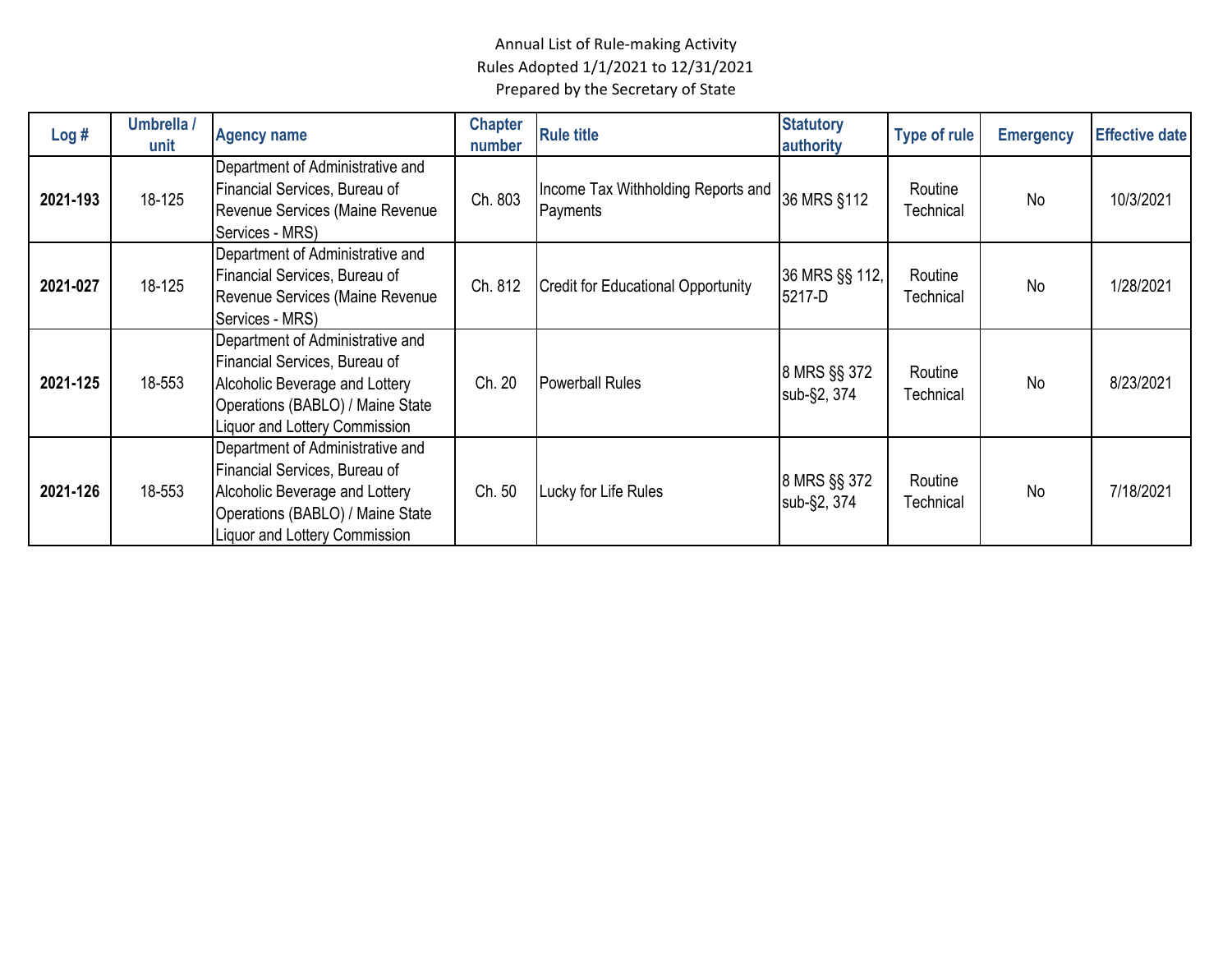| Log#     | Umbrella /<br>unit | <b>Agency name</b>                                                                                                                                                              | <b>Chapter</b><br>number | <b>Rule title</b>                              | <b>Statutory</b><br>authority | <b>Type of rule</b>  | <b>Emergency</b> | <b>Effective date</b> |
|----------|--------------------|---------------------------------------------------------------------------------------------------------------------------------------------------------------------------------|--------------------------|------------------------------------------------|-------------------------------|----------------------|------------------|-----------------------|
| 2021-193 | 18-125             | Department of Administrative and<br>Financial Services, Bureau of<br>Revenue Services (Maine Revenue<br>Services - MRS)                                                         | Ch. 803                  | Income Tax Withholding Reports and<br>Payments | 36 MRS §112                   | Routine<br>Technical | <b>No</b>        | 10/3/2021             |
| 2021-027 | 18-125             | Department of Administrative and<br>Financial Services, Bureau of<br>Revenue Services (Maine Revenue<br>Services - MRS)                                                         | Ch. 812                  | <b>Credit for Educational Opportunity</b>      | 36 MRS §§ 112,<br>5217-D      | Routine<br>Technical | <b>No</b>        | 1/28/2021             |
| 2021-125 | 18-553             | Department of Administrative and<br>Financial Services, Bureau of<br>Alcoholic Beverage and Lottery<br>Operations (BABLO) / Maine State<br><b>Liquor and Lottery Commission</b> | Ch. 20                   | <b>Powerball Rules</b>                         | 8 MRS §§ 372<br>sub-§2, 374   | Routine<br>Technical | <b>No</b>        | 8/23/2021             |
| 2021-126 | 18-553             | Department of Administrative and<br>Financial Services, Bureau of<br>Alcoholic Beverage and Lottery<br>Operations (BABLO) / Maine State<br>Liquor and Lottery Commission        | Ch. 50                   | Lucky for Life Rules                           | 8 MRS §§ 372<br>sub-§2, 374   | Routine<br>Technical | <b>No</b>        | 7/18/2021             |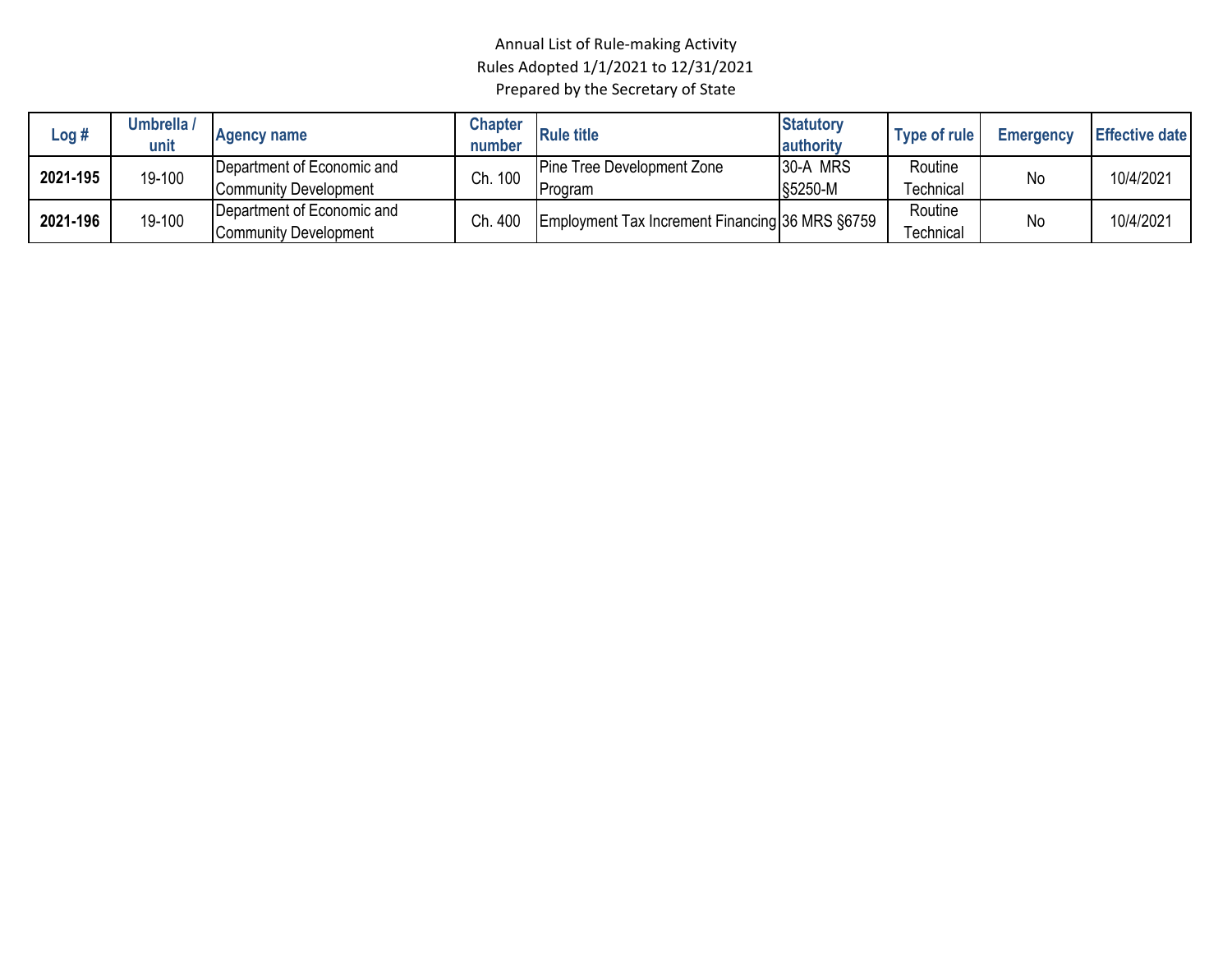| Log #    | Umbrella /<br>unit | <b>Agency name</b>                                  | Chapter<br>number | <b>Rule title</b>                                | <b>Statutory</b><br>authority | Type of rule         | <b>Emergency</b> | <b>Effective date</b> |
|----------|--------------------|-----------------------------------------------------|-------------------|--------------------------------------------------|-------------------------------|----------------------|------------------|-----------------------|
| 2021-195 | 19-100             | Department of Economic and<br>Community Development | Ch. 100           | Pine Tree Development Zone<br>Program            | 30-A MRS<br>§5250-M           | Routine<br>Technical | <b>No</b>        | 10/4/2021             |
| 2021-196 | 19-100             | Department of Economic and<br>Community Development | Ch. 400           | Employment Tax Increment Financing 36 MRS \$6759 |                               | Routine<br>Гесhnical | No               | 10/4/2021             |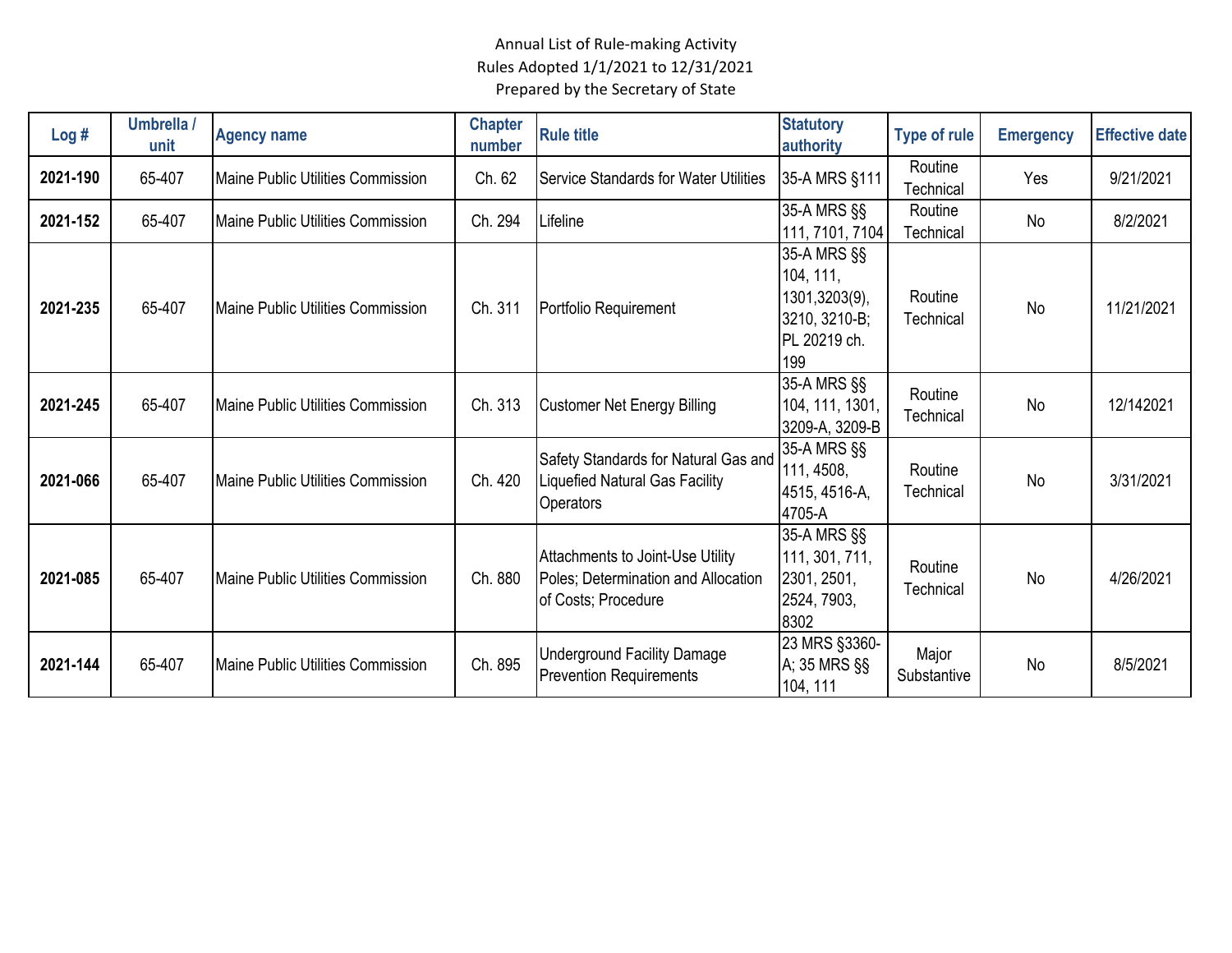| Log#     | Umbrella /<br>unit | <b>Agency name</b>                        | <b>Chapter</b><br>number | <b>Rule title</b>                                                                                 | <b>Statutory</b><br>authority                                                     | <b>Type of rule</b>  | <b>Emergency</b> | <b>Effective date</b> |
|----------|--------------------|-------------------------------------------|--------------------------|---------------------------------------------------------------------------------------------------|-----------------------------------------------------------------------------------|----------------------|------------------|-----------------------|
| 2021-190 | 65-407             | Maine Public Utilities Commission         | Ch. 62                   | <b>Service Standards for Water Utilities</b>                                                      | 35-A MRS §111                                                                     | Routine<br>Technical | Yes              | 9/21/2021             |
| 2021-152 | 65-407             | Maine Public Utilities Commission         | Ch. 294                  | Lifeline                                                                                          | 35-A MRS §§<br>111, 7101, 7104                                                    | Routine<br>Technical | <b>No</b>        | 8/2/2021              |
| 2021-235 | 65-407             | Maine Public Utilities Commission         | Ch. 311                  | Portfolio Requirement                                                                             | 35-A MRS §§<br>104, 111,<br>1301,3203(9),<br>3210, 3210-B;<br>PL 20219 ch.<br>199 | Routine<br>Technical | No               | 11/21/2021            |
| 2021-245 | 65-407             | Maine Public Utilities Commission         | Ch. 313                  | <b>Customer Net Energy Billing</b>                                                                | 35-A MRS §§<br>104, 111, 1301,<br>3209-A, 3209-B                                  | Routine<br>Technical | <b>No</b>        | 12/142021             |
| 2021-066 | 65-407             | <b>IMaine Public Utilities Commission</b> | Ch. 420                  | Safety Standards for Natural Gas and<br><b>Liquefied Natural Gas Facility</b><br><b>Operators</b> | 35-A MRS §§<br>111, 4508,<br>4515, 4516-A,<br>4705-A                              | Routine<br>Technical | No               | 3/31/2021             |
| 2021-085 | 65-407             | Maine Public Utilities Commission         | Ch. 880                  | Attachments to Joint-Use Utility<br>Poles; Determination and Allocation<br>of Costs; Procedure    | 35-A MRS §§<br>111, 301, 711,<br>2301, 2501,<br>2524, 7903,<br>8302               | Routine<br>Technical | <b>No</b>        | 4/26/2021             |
| 2021-144 | 65-407             | <b>IMaine Public Utilities Commission</b> | Ch. 895                  | <b>Underground Facility Damage</b><br><b>Prevention Requirements</b>                              | 23 MRS §3360-<br>A; 35 MRS §§<br>104, 111                                         | Major<br>Substantive | No               | 8/5/2021              |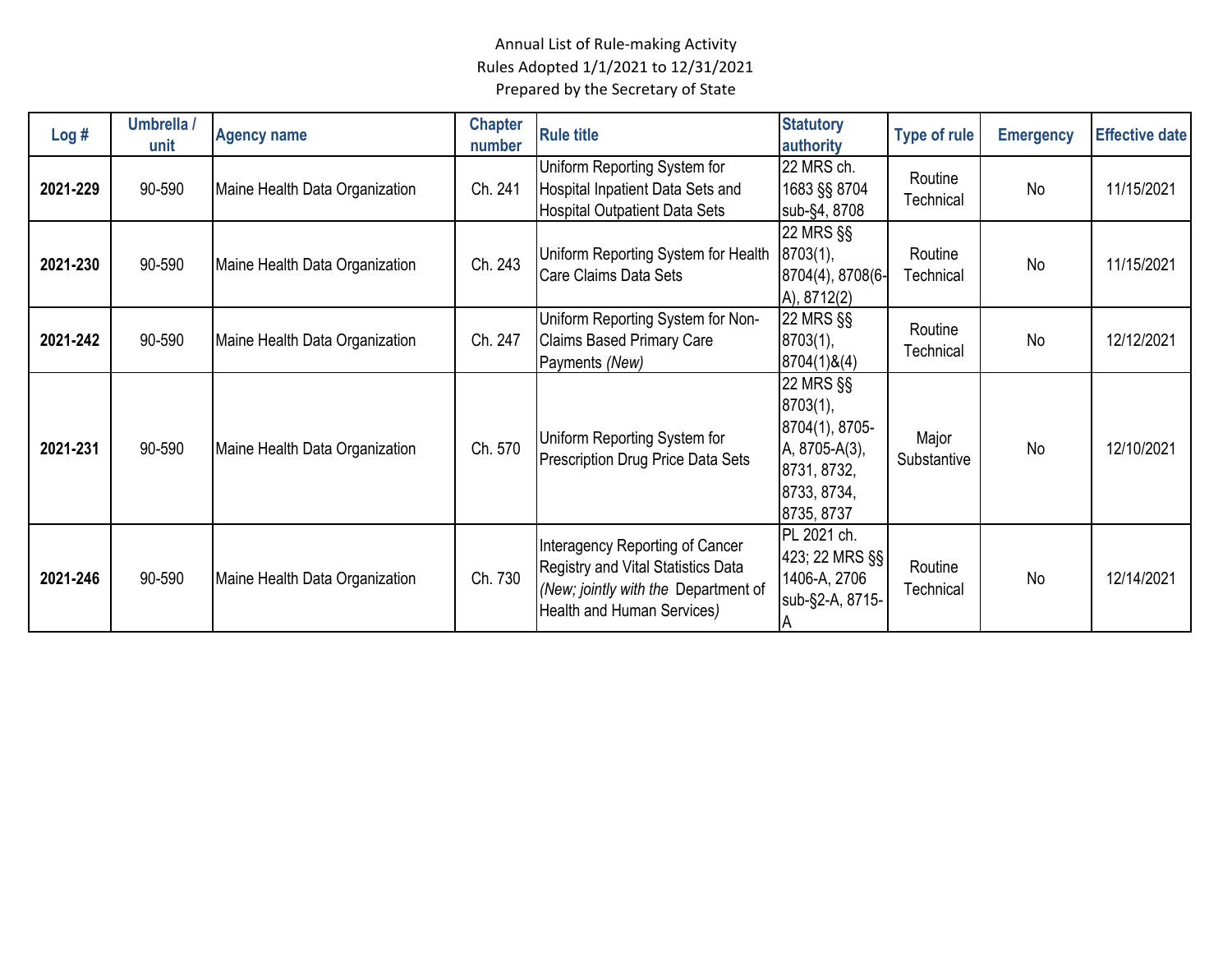| Log#     | Umbrella /<br>unit | <b>Agency name</b>             | <b>Chapter</b><br>number | <b>Rule title</b>                                                                                                                           | <b>Statutory</b><br>authority                                                                        | <b>Type of rule</b>  | <b>Emergency</b> | <b>Effective date</b> |
|----------|--------------------|--------------------------------|--------------------------|---------------------------------------------------------------------------------------------------------------------------------------------|------------------------------------------------------------------------------------------------------|----------------------|------------------|-----------------------|
| 2021-229 | 90-590             | Maine Health Data Organization | Ch. 241                  | Uniform Reporting System for<br>Hospital Inpatient Data Sets and<br><b>Hospital Outpatient Data Sets</b>                                    | 22 MRS ch.<br>1683 §§ 8704<br>sub-§4, 8708                                                           | Routine<br>Technical | <b>No</b>        | 11/15/2021            |
| 2021-230 | 90-590             | Maine Health Data Organization | Ch. 243                  | Uniform Reporting System for Health<br>Care Claims Data Sets                                                                                | 22 MRS §§<br>8703(1),<br>8704(4), 8708(6-<br>A), 8712(2)                                             | Routine<br>Technical | <b>No</b>        | 11/15/2021            |
| 2021-242 | 90-590             | Maine Health Data Organization | Ch. 247                  | Uniform Reporting System for Non-<br><b>Claims Based Primary Care</b><br>Payments (New)                                                     | 22 MRS §§<br>8703(1),<br>8704(1)8(4)                                                                 | Routine<br>Technical | No               | 12/12/2021            |
| 2021-231 | 90-590             | Maine Health Data Organization | Ch. 570                  | Uniform Reporting System for<br>Prescription Drug Price Data Sets                                                                           | 22 MRS §§<br>8703(1),<br>8704(1), 8705-<br>A, 8705-A(3),<br>8731, 8732,<br>8733, 8734,<br>8735, 8737 | Major<br>Substantive | No               | 12/10/2021            |
| 2021-246 | 90-590             | Maine Health Data Organization | Ch. 730                  | Interagency Reporting of Cancer<br>Registry and Vital Statistics Data<br>(New; jointly with the Department of<br>Health and Human Services) | PL 2021 ch.<br>423; 22 MRS §§<br>1406-A, 2706<br>sub-§2-A, 8715-                                     | Routine<br>Technical | No               | 12/14/2021            |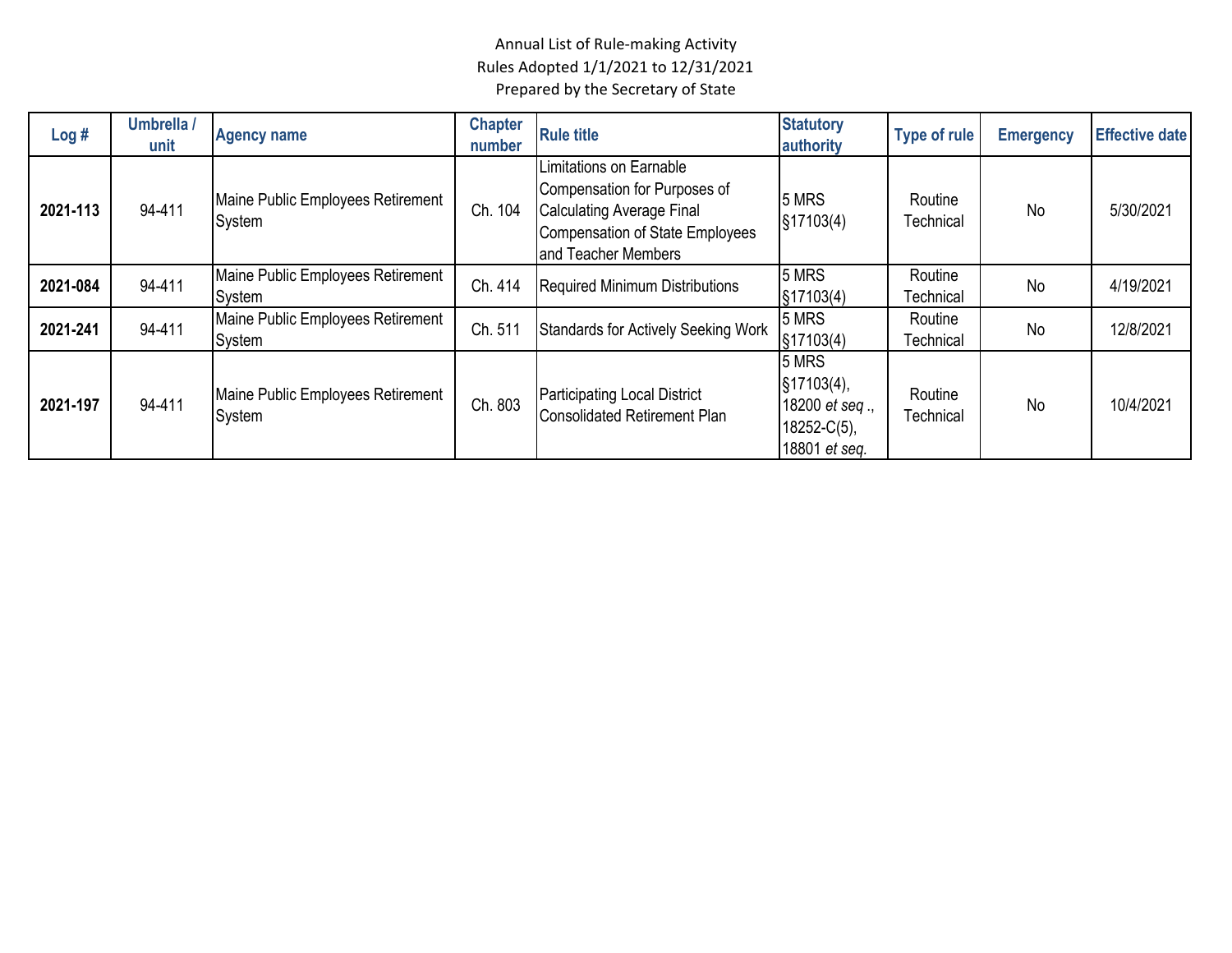| Log#     | Umbrella /<br>unit | <b>Agency name</b>                          | <b>Chapter</b><br>number | <b>Rule title</b>                                                                                                                                     | <b>Statutory</b><br>authority                                                | <b>Type of rule</b>         | <b>Emergency</b> | <b>Effective date</b> |
|----------|--------------------|---------------------------------------------|--------------------------|-------------------------------------------------------------------------------------------------------------------------------------------------------|------------------------------------------------------------------------------|-----------------------------|------------------|-----------------------|
| 2021-113 | 94-411             | Maine Public Employees Retirement<br>System | Ch. 104                  | Limitations on Earnable<br>Compensation for Purposes of<br><b>Calculating Average Final</b><br>Compensation of State Employees<br>and Teacher Members | 5 MRS<br>§17103(4)                                                           | Routine<br>Technical        | No               | 5/30/2021             |
| 2021-084 | 94-411             | Maine Public Employees Retirement<br>System | Ch. 414                  | <b>Required Minimum Distributions</b>                                                                                                                 | 5 MRS<br>§17103(4)                                                           | Routine<br>Technical        | No               | 4/19/2021             |
| 2021-241 | 94-411             | Maine Public Employees Retirement<br>System | Ch. 511                  | <b>Standards for Actively Seeking Work</b>                                                                                                            | 5 MRS<br>§17103(4)                                                           | Routine<br><b>Technical</b> | No               | 12/8/2021             |
| 2021-197 | 94-411             | Maine Public Employees Retirement<br>System | Ch. 803                  | <b>Participating Local District</b><br><b>Consolidated Retirement Plan</b>                                                                            | 5 MRS<br>§17103(4),<br>18200 $et$ seq.,<br>$18252 - C(5)$ ,<br>18801 et seg. | Routine<br><b>Technical</b> | <b>No</b>        | 10/4/2021             |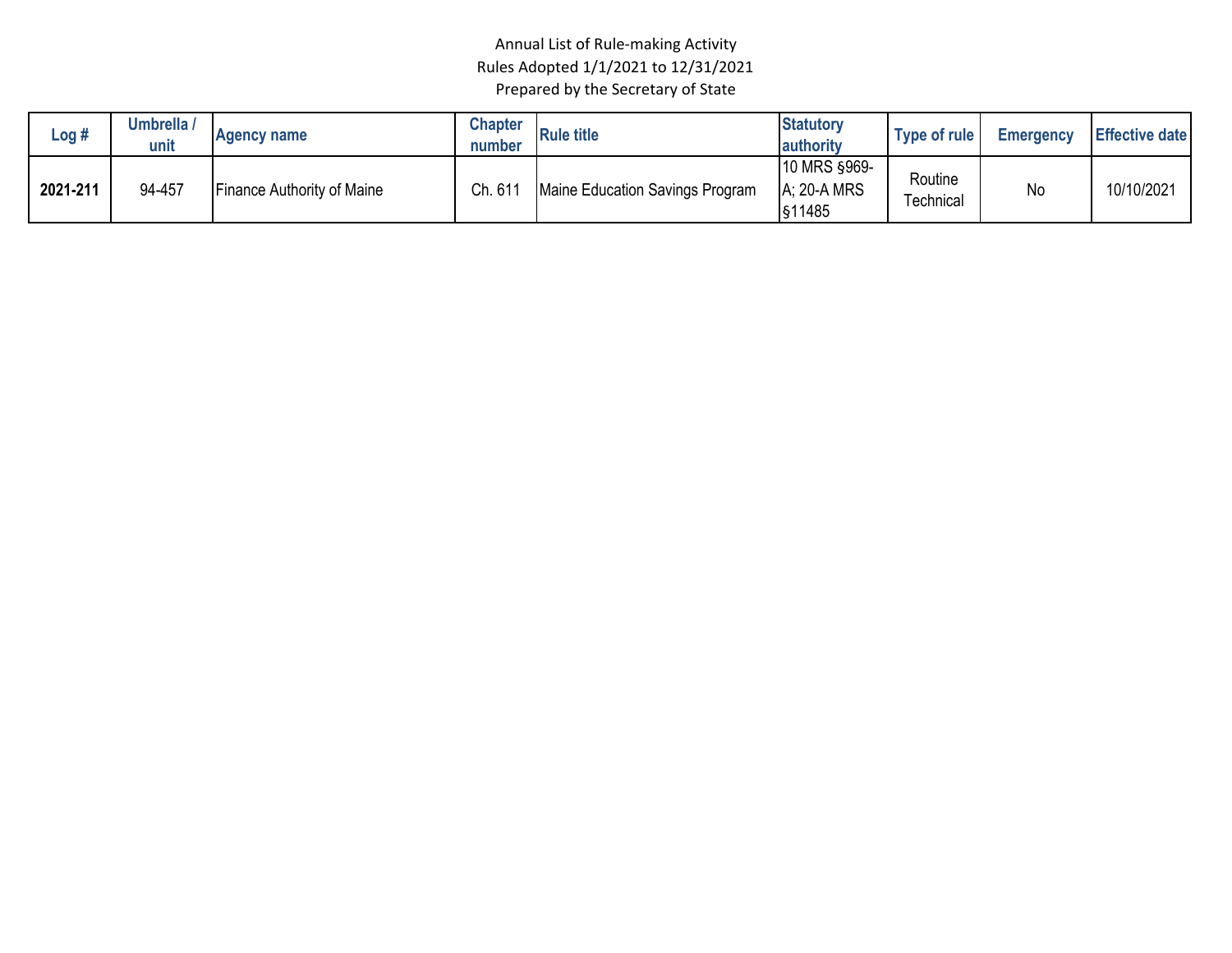| Log #    | Umbrella /<br>unit | <b>Agency name</b>                | <b>Chapter</b><br>number | <b>Rule title</b>               | <b>Statutory</b><br>authority                | Type of rule         | <b>Emergency</b> | <b>Effective date</b> |
|----------|--------------------|-----------------------------------|--------------------------|---------------------------------|----------------------------------------------|----------------------|------------------|-----------------------|
| 2021-211 | 94-457             | <b>Finance Authority of Maine</b> | Ch. 61                   | Maine Education Savings Program | <b>10 MRS §969-</b><br>A: 20-A MRS<br>§11485 | Routine<br>Technical | No               | 10/10/2021            |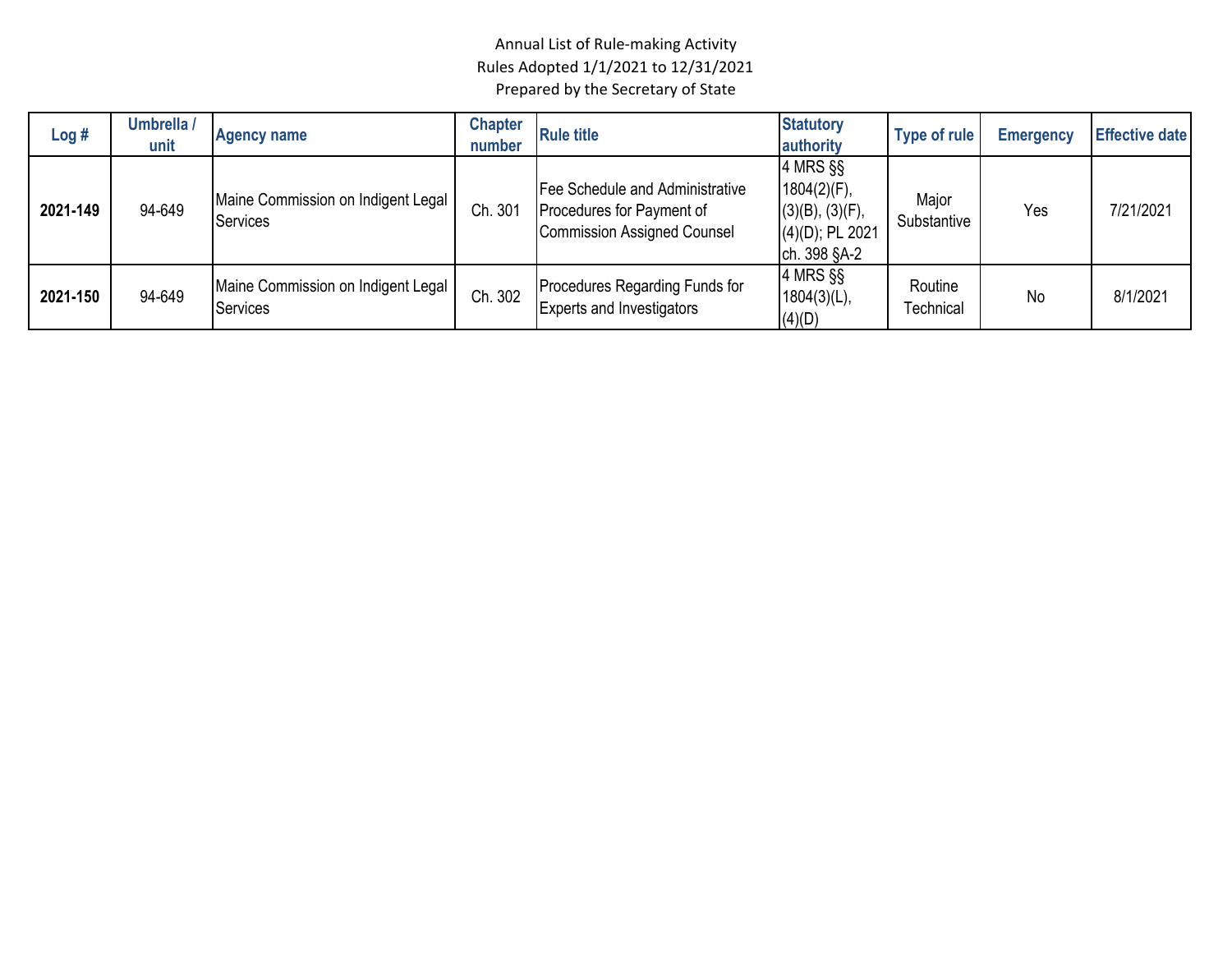| Log#     | Umbrella /<br>unit | <b>Agency name</b>                                    | <b>Chapter</b><br>number | <b>Rule title</b>                                                                                  | <b>Statutory</b><br>authority                                                          | Type of rule         | <b>Emergency</b> | <b>Effective date</b> |
|----------|--------------------|-------------------------------------------------------|--------------------------|----------------------------------------------------------------------------------------------------|----------------------------------------------------------------------------------------|----------------------|------------------|-----------------------|
| 2021-149 | 94-649             | Maine Commission on Indigent Legal<br><b>Services</b> | Ch. 301                  | Fee Schedule and Administrative<br>Procedures for Payment of<br><b>Commission Assigned Counsel</b> | 4 MRS §§<br>1804(2)(F),<br>$(3)(B)$ , $(3)(F)$ ,<br>$(4)(D)$ ; PL 2021<br>ch. 398 §A-2 | Major<br>Substantive | Yes              | 7/21/2021             |
| 2021-150 | 94-649             | Maine Commission on Indigent Legal<br><b>Services</b> | Ch. 302                  | Procedures Regarding Funds for<br><b>Experts and Investigators</b>                                 | 4 MRS §§<br>$1804(3)(L)$ ,<br>(4)(D)                                                   | Routine<br>Technical | <b>No</b>        | 8/1/2021              |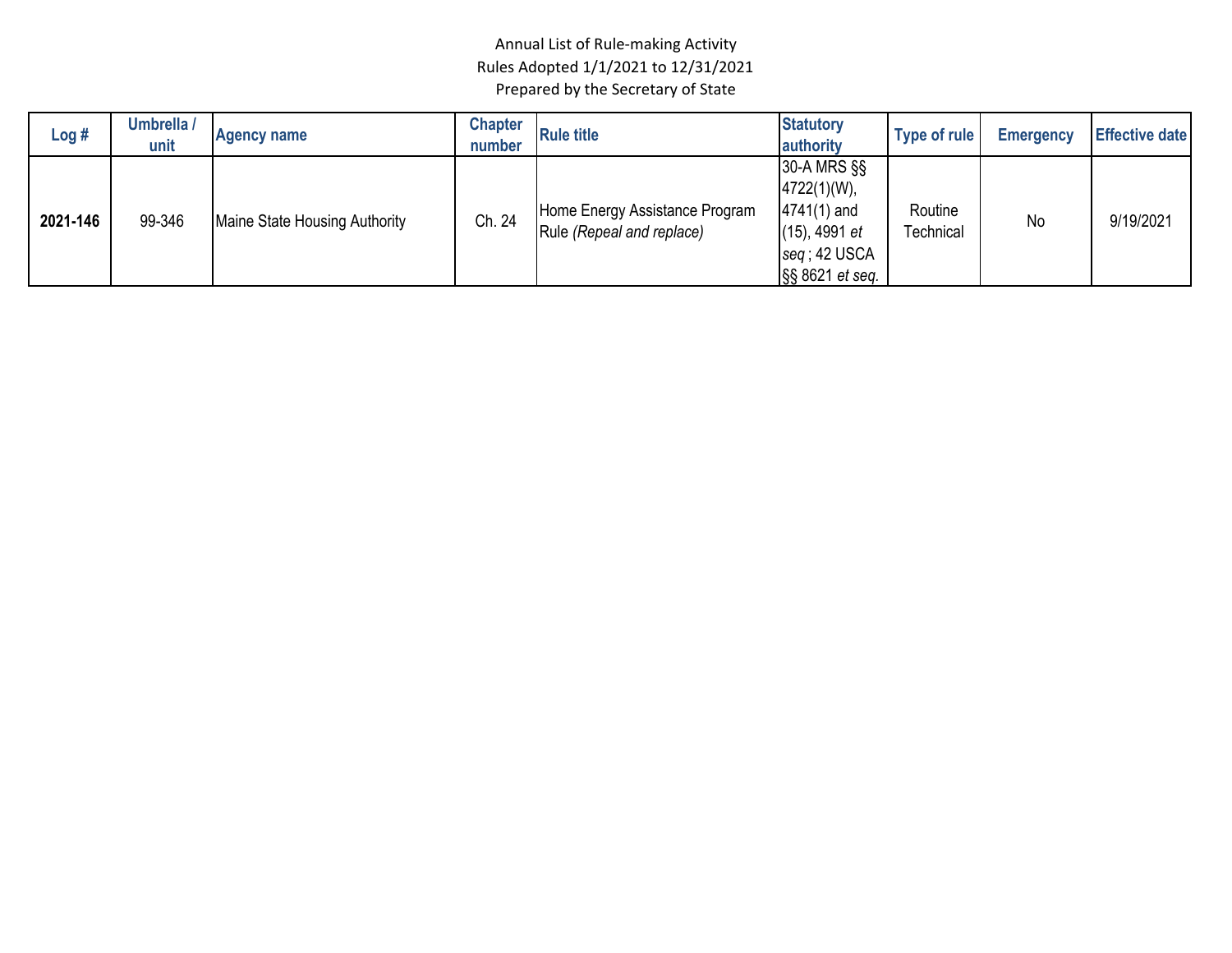| Log#     | Umbrella /<br>unit | <b>Agency name</b>            | <b>Chapter</b><br>number | <b>Rule title</b>                                           | <b>Statutory</b><br>authority                                                                            | Type of rule         | <b>Emergency</b> | <b>Effective date</b> |
|----------|--------------------|-------------------------------|--------------------------|-------------------------------------------------------------|----------------------------------------------------------------------------------------------------------|----------------------|------------------|-----------------------|
| 2021-146 | 99-346             | Maine State Housing Authority | Ch. 24                   | Home Energy Assistance Program<br>Rule (Repeal and replace) | 30-A MRS §§<br>$4722(1)(W)$ ,<br>$4741(1)$ and<br>$(15)$ , 4991 et<br>$seq$ ; 42 USCA<br>§§ 8621 et seq. | Routine<br>Technical | No               | 9/19/2021             |